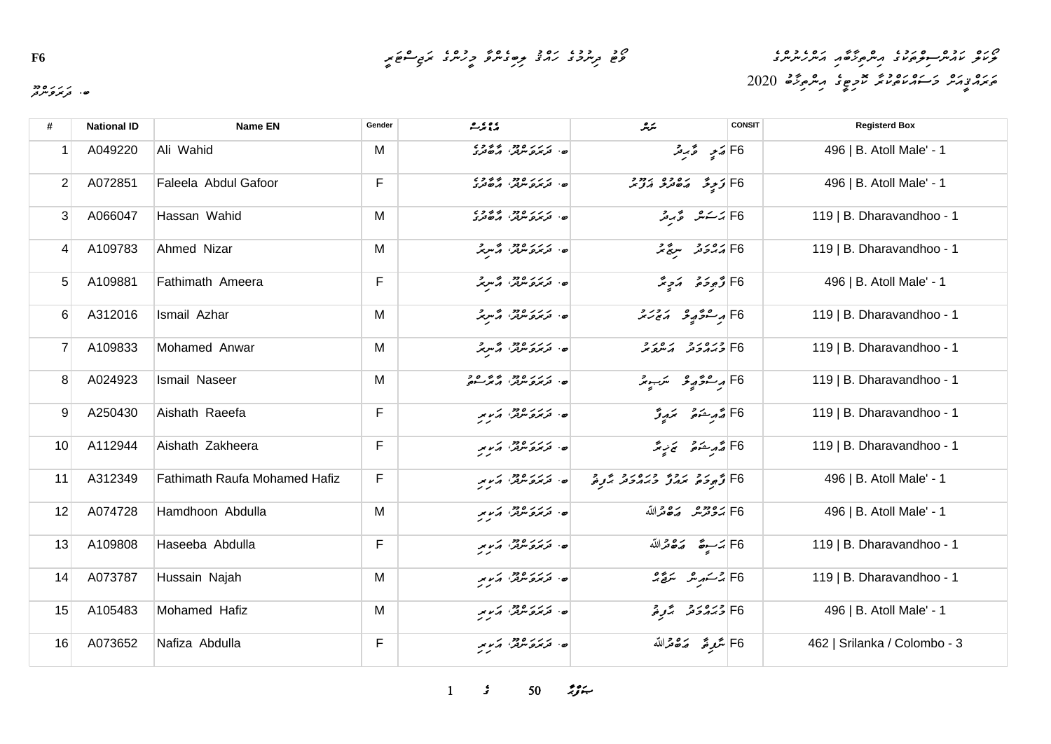*sCw7q7s5w7m< o<n9nOoAw7o< sCq;mAwBoEw7q<m; wBm;vB* م من المرة المرة المرة المرجع المرجع في المركبة 2020<br>مجم*د المريض المربوط المربع المرجع في المراجع المركبة* 

| <i>,,,,,</i><br>د» تر <i>بر و س</i> ر در |  |
|------------------------------------------|--|
|                                          |  |

| #              | <b>National ID</b> | Name EN                              | Gender      | بروبره                                                 | ىترىگر                                                                                                         | <b>CONSIT</b> | <b>Registerd Box</b>         |
|----------------|--------------------|--------------------------------------|-------------|--------------------------------------------------------|----------------------------------------------------------------------------------------------------------------|---------------|------------------------------|
|                | A049220            | Ali Wahid                            | M           | ر در ده در پروه<br>ه۰ تربروسرتر، بره ترد               | F6 <i>ھَ۔ قَب</i> قہ                                                                                           |               | 496   B. Atoll Male' - 1     |
| $\overline{2}$ | A072851            | Faleela Abdul Gafoor                 | F           | ر در دود.<br>ه۰ تربروسرتر، م‰تری                       | F6 زَرِرْ - رَە دَرْ زَرْدْ -                                                                                  |               | 496   B. Atoll Male' - 1     |
| 3              | A066047            | Hassan Wahid                         | M           | ه به کربره در ۱۶۶۶<br>ن تربروسرتر برگانری              | F6   يَرْسَدُ مُحْدِمْرُ                                                                                       |               | 119   B. Dharavandhoo - 1    |
| 4              | A109783            | Ahmed Nizar                          | M           | ۰۰ تربره دوم محسوبر                                    | F6 <i>مُدْحَدٌ</i> سِيِّ مُدُ                                                                                  |               | 119   B. Dharavandhoo - 1    |
| 5              | A109881            | Fathimath Ameera                     | F           | ه . تریروسرتی از سربر                                  | F6 <i>وَّجِوَحَةُ مَجِ</i> عًا                                                                                 |               | 496   B. Atoll Male' - 1     |
| 6              | A312016            | Ismail Azhar                         | M           | ۰۰ تربره دو.<br>۲۰۰۰ تربره سربر، مرسربر                | F6 مەش <i>ۇم بۇ مەيزىر</i>                                                                                     |               | 119   B. Dharavandhoo - 1    |
| $\overline{7}$ | A109833            | Mohamed Anwar                        | M           | ه . تریروسرتی از سربر                                  | F6 ديرور د مرور د                                                                                              |               | 119   B. Dharavandhoo - 1    |
| 8              | A024923            | <b>Ismail Naseer</b>                 | M           | ر در در دود.<br>ن تر تر تر تر تر تر شور                | F6 مەشگەر ھەرىپە ئىرىسىدى F6                                                                                   |               | 119   B. Dharavandhoo - 1    |
| 9              | A250430            | Aishath Raeefa                       | $\mathsf F$ | ه · فریزه میزن کرد بر                                  | F6 مُدِيسَة مَدِيَّ                                                                                            |               | 119   B. Dharavandhoo - 1    |
| 10             | A112944            | Aishath Zakheera                     | $\mathsf F$ | ه . مرمره در المرم مر                                  | F6 مەم ئىشقىق ئىم ئىرى <i>گە</i>                                                                               |               | 119   B. Dharavandhoo - 1    |
| 11             | A312349            | <b>Fathimath Raufa Mohamed Hafiz</b> | $\mathsf F$ |                                                        | F6 تحقيق محمدتي وره دو المحمد و المحمد المحمد المحمد المحمد المحمد المحمد المحمد المحمد المحمد المحمد المحمد ا |               | 496   B. Atoll Male' - 1     |
| 12             | A074728            | Hamdhoon Abdulla                     | M           | ه . تریزه سربی . کم با بو                              | F6 تروم مركة مركة الله                                                                                         |               | 496   B. Atoll Male' - 1     |
| 13             | A109808            | Haseeba Abdulla                      | $\mathsf F$ | ے - تریروسی - تریم مریر                                | F6 <i>كَتْسِوَةُ مَدَّهْ قَدْ</i> اللَّهُ                                                                      |               | 119   B. Dharavandhoo - 1    |
| 14             | A073787            | Hussain Najah                        | M           | ے - تریرہ میں - ترین مر                                | F6 يُرْسَمَ مِنْ سَرَقِيْرُ                                                                                    |               | 119   B. Dharavandhoo - 1    |
| 15             | A105483            | Mohamed Hafiz                        | M           | ص- تربره ودود مركز بر بر                               | F6 <i>\$نەۋى ئۇبۇ</i>                                                                                          |               | 496   B. Atoll Male' - 1     |
| 16             | A073652            | Nafiza Abdulla                       | F           | ے - تریزو برود<br>ے - تریزو برقر - تری <sub>ز</sub> بر | F6 س <i>ُرْم<sub>ُر</sub>ِيُّة ضَ</i> صَّرَاللَّه                                                              |               | 462   Srilanka / Colombo - 3 |

 $1$  *s* 50  $23$   $\approx$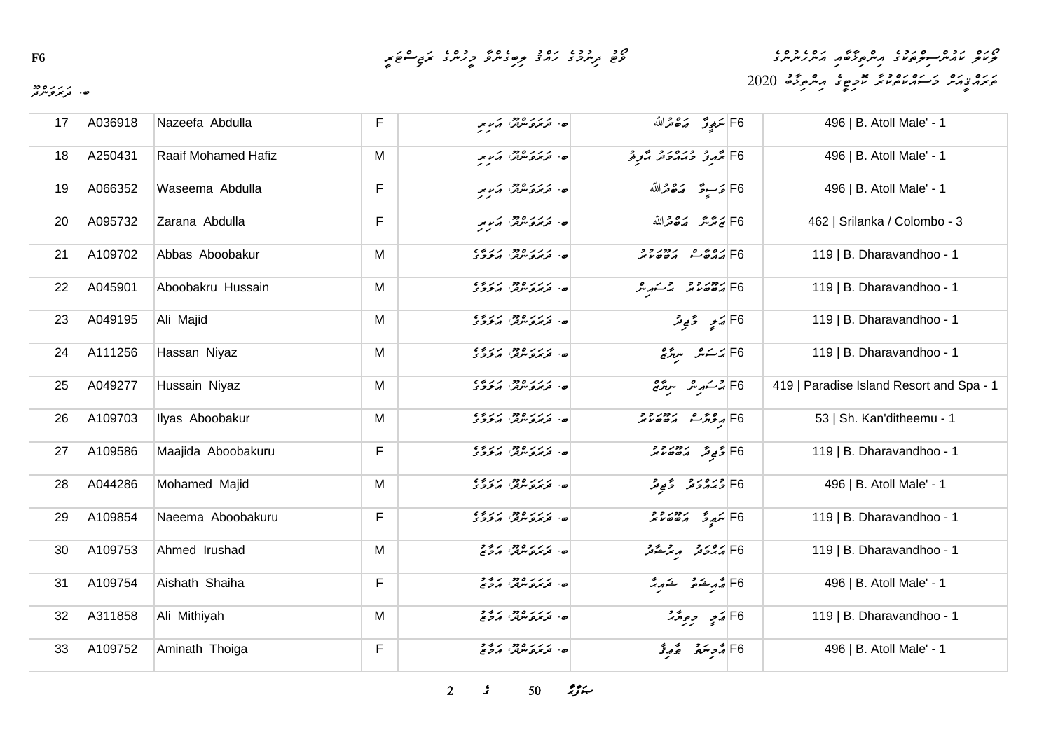*sCw7q7s5w7m< o<n9nOoAw7o< sCq;mAwBoEw7q<m; wBm;vB* م من المرة المرة المرة المرجع المرجع في المركبة 2020<br>مجم*د المريض المربوط المربع المرجع في المراجع المركبة* 

| 17              | A036918 | Nazeefa Abdulla     | F            | ھ · تریزوکلوژ کریا ہر                                         | F6 <i>سَنِمِوتَر ضَرَّاهَ مَدَ</i> اللَّه                                                           | 496   B. Atoll Male' - 1                 |
|-----------------|---------|---------------------|--------------|---------------------------------------------------------------|-----------------------------------------------------------------------------------------------------|------------------------------------------|
| 18              | A250431 | Raaif Mohamed Hafiz | M            | ه · تریزو مردم .<br>ه · تریزو مرتز المرکب بر                  | F6 بَرْرِدْ وَرَوْرُو بَرُوِدْ                                                                      | 496   B. Atoll Male' - 1                 |
| 19              | A066352 | Waseema Abdulla     | $\mathsf{F}$ | ه . تریره میل . تر با بر                                      | F6 كوسو <i>گر كەھەت</i> راللە                                                                       | 496   B. Atoll Male' - 1                 |
| 20              | A095732 | Zarana Abdulla      | $\mathsf{F}$ | ر در در دود.<br>۰۰ تریزو شهر از کمای                          | F6 يَحَمَّدُ صَصْحَراللَّه                                                                          | 462   Srilanka / Colombo - 3             |
| 21              | A109702 | Abbas Aboobakur     | M            | ه ۰ تربره در ۲۶ دره ۶<br>ه ۰ تربروسرتر ۰ تروپ                 | $22222$ $2625$ F6                                                                                   | 119   B. Dharavandhoo - 1                |
| 22              | A045901 | Aboobakru Hussain   | M            | ه به کرد وجه برگروه<br>ه برندوسهها مرکزد ک                    |                                                                                                     | 119   B. Dharavandhoo - 1                |
| 23              | A049195 | Ali Majid           | M            | ے - تربرہ سرچن - برگری -<br>ے - تربرہ سربر - برگرد ک          | F6 <i>ڇُجِ وُهومُ</i>                                                                               | 119   B. Dharavandhoo - 1                |
| 24              | A111256 | Hassan Niyaz        | M            | ر در دود.<br>ه۰ تربروسرتر، برنوری                             | F6 ئەستەش س <i>وقى</i> قى                                                                           | 119   B. Dharavandhoo - 1                |
| 25              | A049277 | Hussain Niyaz       | M            | ه به در وده به دره با<br>ه به ترتدی سربل از مروری             | F6 يُرْسَمَ مِيرَ مِيرَ حَمَدَ مِيرَ مِيرَ مِيرَ مِيرَ مِيرَ مِيرَ مِيرَ مِيرَ مِيزِ مِيزِ مِيزِ مِ | 419   Paradise Island Resort and Spa - 1 |
| 26              | A109703 | Ilyas Aboobakur     | M            | ر در ده ده در ده د<br>ه۰ تربروسرتر، برنور د                   | $52222$ $-222$                                                                                      | 53   Sh. Kan'ditheemu - 1                |
| 27              | A109586 | Maajida Aboobakuru  | F            | ه به دره ۲۵ دره و دره با<br>۲۵ درگروش برگرد و                 | F6 دُّمٍ مَرْ مُرْهُ مَدَّمَدَ مَرَّ                                                                | 119   B. Dharavandhoo - 1                |
| 28              | A044286 | Mohamed Majid       | M            | ه به زره دود.<br>ه به تریروسرتر از تروی                       | F6 <i>\$رو \$وقر \$ي</i> قر                                                                         | 496   B. Atoll Male' - 1                 |
| 29              | A109854 | Naeema Aboobakuru   | $\mathsf{F}$ | ه به در وده به دره با<br>ه به ترتدی سربل از مروری             | $22222$ $-242$ $-542$                                                                               | 119   B. Dharavandhoo - 1                |
| 30 <sup>°</sup> | A109753 | Ahmed Irushad       | M            | ם· " בליבור מידי מידי ביו".<br>יסי " בליבור ביוליטי מידי ביו" | F6 كەبرى قىر مەرگەنىگەنگە                                                                           | 119   B. Dharavandhoo - 1                |
| 31              | A109754 | Aishath Shaiha      | F            | ه ۰ تربره در ۶۶۰<br>ه ۰ تربرو سربر ۰ برو بح                   | F6 مُرمِّسَمَّ شَرَبَّہُ                                                                            | 496   B. Atoll Male' - 1                 |
| 32              | A311858 | Ali Mithiyah        | M            | ه به کربر وجع بر وجع<br>ه به تریمروسرتش از و مح               | F6 ڪچ <i>جو مڏن</i>                                                                                 | 119   B. Dharavandhoo - 1                |
| 33              | A109752 | Aminath Thoiga      | F            | ه برگروهی گروه<br>ه ترکروهون                                  | F6 مُجرِسَمَ مَجَمَّدٍ مَحَ                                                                         | 496   B. Atoll Male' - 1                 |

*2 sC 50 nNw?mS*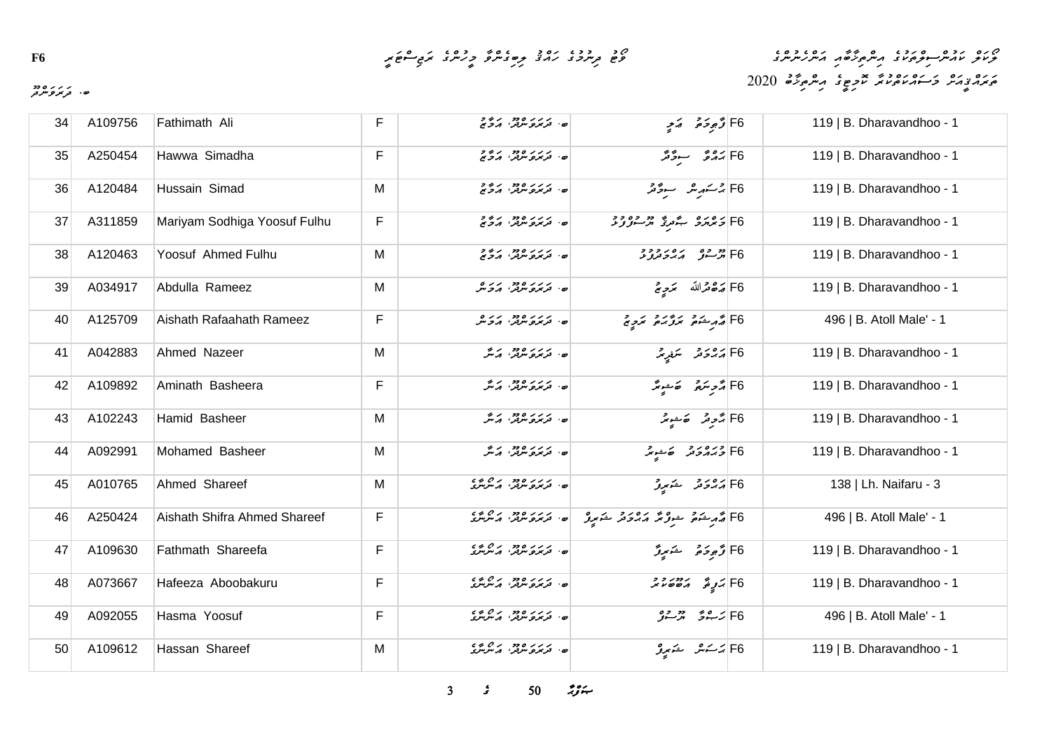*sCw7q7s5w7m< o<n9nOoAw7o< sCq;mAwBoEw7q<m; wBm;vB* م من المرة المرة المرة المرجع المرجع في المركبة 2020<br>مجم*د المريض المربوط المربع المرجع في المراجع المركبة* 

| 34 | A109756 | Fathimath Ali                | F           | ە بەر بەرە بەر<br>ھ ترىرى سرتى بەر ج                                                                                                                                                                                                           | F6 <i>وُجوحَہ مَ</i> جِ                                                                                          | 119   B. Dharavandhoo - 1 |
|----|---------|------------------------------|-------------|------------------------------------------------------------------------------------------------------------------------------------------------------------------------------------------------------------------------------------------------|------------------------------------------------------------------------------------------------------------------|---------------------------|
| 35 | A250454 | Hawwa Simadha                | $\mathsf F$ | ه به کربر وجود به در وج<br>ن کربرو سربر ابراز بر                                                                                                                                                                                               | F6 يَرْدُوُّ سِوَّتْرُ                                                                                           | 119   B. Dharavandhoo - 1 |
| 36 | A120484 | Hussain Simad                | M           | ے کر دے وہ<br>ن <i>ے گر مرکز کا دو</i> ج                                                                                                                                                                                                       | F6   جُسَمرِ شَرِ سَرْحَةَ مَرْ                                                                                  | 119   B. Dharavandhoo - 1 |
| 37 | A311859 | Mariyam Sodhiga Yoosuf Fulhu | $\mathsf F$ | ם· <sub>ב</sub> ל <i>בליק מידי</i> ביריק בין המודע בין המודע בין המודע בין המודע בין המודע בין המודע בין המודע בין המודע בין ה<br>מודע בין המודע בין המודע בין המודע בין המודע בין המודע בין המודע בין המודע בין המודע בין המודע בין המודע בין | F6 ئەمەرە بەر قارىق دەرە                                                                                         | 119   B. Dharavandhoo - 1 |
| 38 | A120463 | Yoosuf Ahmed Fulhu           | M           | נגנ פרדי גיב.<br>ישי <sub>בע</sub> ינק <i>ט יינ</i> דע ארכי                                                                                                                                                                                    | F6 پژے و پر دورو                                                                                                 | 119   B. Dharavandhoo - 1 |
| 39 | A034917 | Abdulla Rameez               | M           | ە · ئەترىرە دەر بەر ە                                                                                                                                                                                                                          | F6 كەھەراللە كىر <i>ونى</i>                                                                                      | 119   B. Dharavandhoo - 1 |
| 40 | A125709 | Aishath Rafaahath Rameez     | $\mathsf F$ | ە بەر بەرەدە بەر ە                                                                                                                                                                                                                             | F6 مُدِينَة مَرْزَبَة مَرَدٍ جَ                                                                                  | 496   B. Atoll Male' - 1  |
| 41 | A042883 | Ahmed Nazeer                 | M           | ھ پی تر تر میں بھی ایک میٹر ا                                                                                                                                                                                                                  |                                                                                                                  | 119   B. Dharavandhoo - 1 |
| 42 | A109892 | Aminath Basheera             | $\mathsf F$ | ه . تربره دو . بر ش                                                                                                                                                                                                                            | F6 مُرْحِسَةً صَشِيعٌ                                                                                            | 119   B. Dharavandhoo - 1 |
| 43 | A102243 | Hamid Basheer                | M           | ھ پر مرکز میں کر مگر                                                                                                                                                                                                                           | F6 يُرْحِ مُنْ صَحْبِهُمْ                                                                                        | 119   B. Dharavandhoo - 1 |
| 44 | A092991 | Mohamed Basheer              | M           | ە · ئەترىر ئەرەم بەر ئەنگر                                                                                                                                                                                                                     | F6 <i>جُهُمْ دَوْرٌ هَ</i> حْمِرُ                                                                                | 119   B. Dharavandhoo - 1 |
| 45 | A010765 | Ahmed Shareef                | M           | ے کربرہ وجہ کرے ہے                                                                                                                                                                                                                             | F6 كەندى ئىم ئىقدىنى قىلىنى ئى                                                                                   | 138   Lh. Naifaru - 3     |
| 46 | A250424 | Aishath Shifra Ahmed Shareef | F           |                                                                                                                                                                                                                                                | F6 محمد مشوقه عبوقه محمد محمد محمد محمد المحمد المحمد المحمد المحمد المحمد المحمد محمد محمد المحمد المحمد المحمد | 496   B. Atoll Male' - 1  |
| 47 | A109630 | Fathmath Shareefa            | $\mathsf F$ | ه به در در دور به دره در د                                                                                                                                                                                                                     | F6 زَّەپرَ مَ شَمَرِزٌ                                                                                           | 119   B. Dharavandhoo - 1 |
| 48 | A073667 | Hafeeza Aboobakuru           | F           | ه ۰ تربر و دوم بر ۵ و ۷<br>ه ۰ تربرو سربر اگر سرس                                                                                                                                                                                              | F6 بَرُوٍ هُم مُصْحَمَّةٌ ج                                                                                      | 119   B. Dharavandhoo - 1 |
| 49 | A092055 | Hasma Yoosuf                 | $\mathsf F$ |                                                                                                                                                                                                                                                | F6 كەبىر تەرىپى تۈرگىنى ئال                                                                                      | 496   B. Atoll Male' - 1  |
| 50 | A109612 | Hassan Shareef               | M           | ە بەر بەدە بەرەپى<br>ھ - تەيمرى سرتى، بەس سرسرى                                                                                                                                                                                                | F6 بَرَسَہْ شَہْرِوْ                                                                                             | 119   B. Dharavandhoo - 1 |

*3 sC 50 nNw?mS*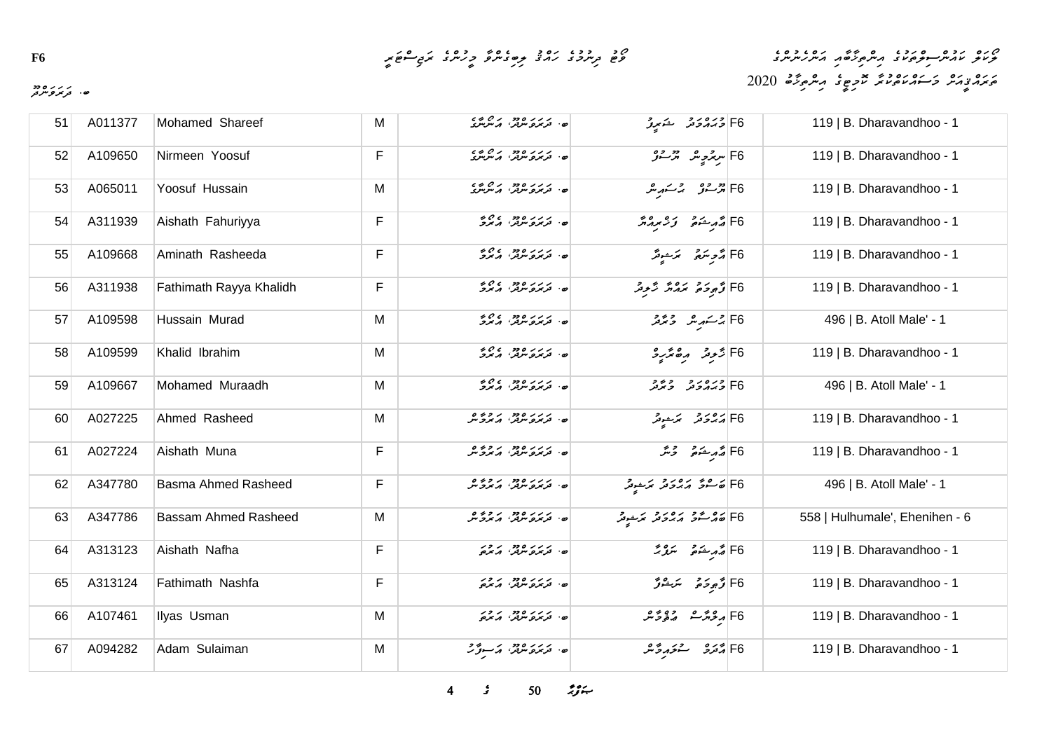*sCw7q7s5w7m< o<n9nOoAw7o< sCq;mAwBoEw7q<m; wBm;vB* م من المرة المرة المرة المرجع المرجع في المركبة 2020<br>مجم*د المريض المربوط المربع المرجع في المراجع المركبة* 

| 51 | A011377 | Mohamed Shareef             | M            | ے - تربرو سربر - براہ دے<br>ے - تربرو سربر - بر سرس                | F6 <i>3223 حُمَدِينٌ</i>                  | 119   B. Dharavandhoo - 1      |
|----|---------|-----------------------------|--------------|--------------------------------------------------------------------|-------------------------------------------|--------------------------------|
| 52 | A109650 | Nirmeen Yoosuf              | $\mathsf F$  | ه بر کرد وجود بر می در و                                           | F6 سربر موسط مرسور فرانسور<br>F6          | 119   B. Dharavandhoo - 1      |
| 53 | A065011 | Yoosuf Hussain              | M            | ە بەر بەدە بەرەپى<br>ھ - تەيمرى سرتى، بەس سرسرى                    | F6 پر قسمبر میں شہر میں ا                 | 119   B. Dharavandhoo - 1      |
| 54 | A311939 | Aishath Fahuriyya           | $\mathsf F$  | ه به کربره دو د په ۶۵ و.<br>ن <i>ه کربرو سر</i> بر از <i>بر</i> بر | F6 مەم ئىقسى ئىقرىدىگە                    | 119   B. Dharavandhoo - 1      |
| 55 | A109668 | Aminath Rasheeda            | F            | נגנג ספר בי היה בי<br>פי <sub>בנ</sub> גב יינג' הי <i>גב</i>       | F6 مُرْحِ مَرَمْ مَرْسُومُرٌ              | 119   B. Dharavandhoo - 1      |
| 56 | A311938 | Fathimath Rayya Khalidh     | $\mathsf{F}$ | נגנג סידי הקים.<br>ישי " בנגב יינגלי" ומינגב                       | F6 <i>وُّجِوَدَةُ</i> بَرَمَّةُ رُّجِنْرُ | 119   B. Dharavandhoo - 1      |
| 57 | A109598 | Hussain Murad               | M            | ر در ده ده ده ده د<br>ه۰ تربرو سربر از بر                          | F6 يُرسَمبِ عَنْ وَمُحَمَّدَ              | 496   B. Atoll Male' - 1       |
| 58 | A109599 | Khalid Ibrahim              | M            | ه . د د د ه دو . د ه ه<br>ه . تریزو سربر ، د برتر                  | F6 تَرْمِتْرَ مِنْ مَّرْرِدْ              | 119   B. Dharavandhoo - 1      |
| 59 | A109667 | Mohamed Muraadh             | M            |                                                                    | F6 وَيَرْدُونَرُ وَيَمْتَرُ               | 496   B. Atoll Male' - 1       |
| 60 | A027225 | Ahmed Rasheed               | M            | ر در در دود در دوره<br>۱۰ تربروس                                   | F6 كەنزى كىلى كىلىنى ئىشلىقى ئىس          | 119   B. Dharavandhoo - 1      |
| 61 | A027224 | Aishath Muna                | F            | ה גנגם כבר גבלים.<br>פי נקיבק ייקטי היבקלייק                       | F6 مُصِنْعُمُ وَسَمَّ                     | 119   B. Dharavandhoo - 1      |
| 62 | A347780 | <b>Basma Ahmed Rasheed</b>  | F            | ر در در دود در دوره<br>۱۰ تربروس                                   | F6 كەشىرى بەر بىر بىر بىر بىر             | 496   B. Atoll Male' - 1       |
| 63 | A347786 | <b>Bassam Ahmed Rasheed</b> | M            | ه بربر ودو برووه<br>ه نربروس                                       | F6 ھەكسىمى مەرەبىر مەش <sub>ب</sub> ىر    | 558   Hulhumale', Ehenihen - 6 |
| 64 | A313123 | Aishath Nafha               | $\mathsf{F}$ | ه به تربره دو بر ور<br>ه به تربرو سربر از بربر                     | F6 مەم ئىشقى ئىنى ئىگە                    | 119   B. Dharavandhoo - 1      |
| 65 | A313124 | Fathimath Nashfa            | $\mathsf F$  | ه به تربره دو بر ور<br>ه به تربرو سربر از بربر                     | F6 وَّجِرَة مَنْ سَرْشَوَّرَ              | 119   B. Dharavandhoo - 1      |
| 66 | A107461 | Ilyas Usman                 | M            | ه . تربره دو . د در<br>ه . تربرو تربر . م.بره                      | F6 مۇنزىقىش ھۇرىتىر                       | 119   B. Dharavandhoo - 1      |
| 67 | A094282 | Adam Sulaiman               | M            | ە ئەترىرەت كەسىرى                                                  | F6 مُترَد شَخِهِ وُسُرُ                   | 119   B. Dharavandhoo - 1      |

*4 50*  $\frac{1}{2}$  *50*  $\frac{1}{2}$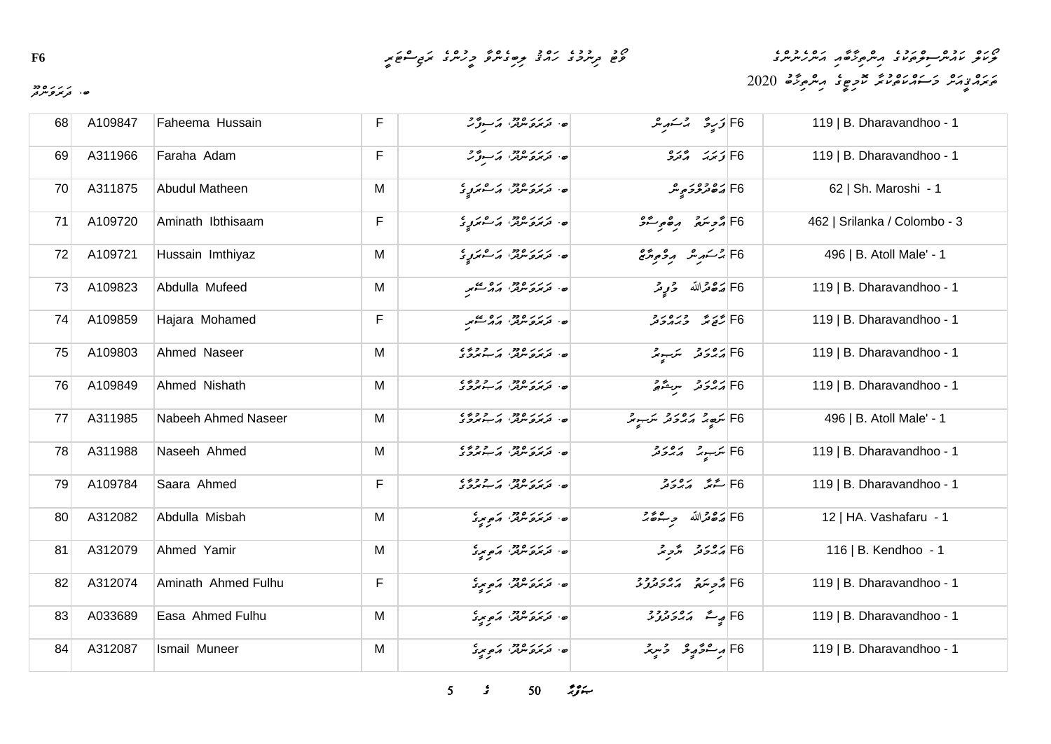*sCw7q7s5w7m< o<n9nOoAw7o< sCq;mAwBoEw7q<m; wBm;vB* م من المسجد المسجد المسجد المسجد المسجد العام 2020<br>مسجد المسجد المسجد المسجد المسجد المسجد المسجد المسجد المسجد ال

| 68 | A109847 | Faheema Hussain      | F            | ھ پر مرکز ووج کے سوگر                                                                                                                                   | F6 كۆرىچە مەشقىرىنىڭ <b>F6</b>             | 119   B. Dharavandhoo - 1    |
|----|---------|----------------------|--------------|---------------------------------------------------------------------------------------------------------------------------------------------------------|--------------------------------------------|------------------------------|
| 69 | A311966 | Faraha Adam          | F            | ە ئەيرە مەدەر كەسى <i>رۇ 2</i>                                                                                                                          | F6 وَتَرَرَ مُرْتَرَدُّ                    | 119   B. Dharavandhoo - 1    |
| 70 | A311875 | Abudul Matheen       | M            | ه به ترین مردم و بر در در این است بر در این است.<br>این انگریزی میتواند                                                                                 | F6 كەھەر <i>خەرى بىر</i>                   | 62   Sh. Maroshi - 1         |
| 71 | A109720 | Aminath Ibthisaam    | $\mathsf{F}$ | ه به ترین ورد و در دی.<br>ه به ترین ترین از سورته و د                                                                                                   | F6 مُحرِسَمُ مِصْمِرِ مُحَمَّد             | 462   Srilanka / Colombo - 3 |
| 72 | A109721 | Hussain Imthiyaz     | M            | ه به ترین میرود به شور در در این است.<br>برای میران میرود به سرگوری کرد و برای کرد که برای کرد و برای کرد و برای کرد و برای کرد و برای کرد و برای کرد ک | F6 يُرسَمه مل مردِّ مِردَّ مِنْ مِنْ       | 496   B. Atoll Male' - 1     |
| 73 | A109823 | Abdulla Mufeed       | M            | ه به ترس ودو به ده شوستوست به                                                                                                                           | F6 كەھەراللە ئ <i>ۇي</i> تر                | 119   B. Dharavandhoo - 1    |
| 74 | A109859 | Hajara Mohamed       | F            | ے - تریزو سربر - بروے<br>ے - تریزو سربر - برائر سکویر                                                                                                   | F6 رُبَع بِرُ وَبَرُودَ قَرْ               | 119   B. Dharavandhoo - 1    |
| 75 | A109803 | Ahmed Naseer         | M            | ه به دره دود به دوره و<br>به دربرو نتروز، بر سوبرو د                                                                                                    | F6 كەبروتىر - س <i>ىبدى</i> گە             | 119   B. Dharavandhoo - 1    |
| 76 | A109849 | Ahmed Nishath        | M            | د در در دود.<br>ه۰ تربروسرتر، پرسپوری                                                                                                                   | F6 كەبرى كىر سرىشى قىر                     | 119   B. Dharavandhoo - 1    |
| 77 | A311985 | Nabeeh Ahmed Naseer  | M            | ه به بربر ودو، بر و و د ،<br>ه به تریمره سربس بر سومرو ی                                                                                                | F6 سَهِيرٌ   مَدْدَوَمْر   سَرَسِوِيرٌ     | 496   B. Atoll Male' - 1     |
| 78 | A311988 | Naseeh Ahmed         | M            | د در د ود د د وده د<br>ه۰ تربرو نرتر، بر سوبرو د                                                                                                        | F6 يترسون - م <i>ترونتر</i>                | 119   B. Dharavandhoo - 1    |
| 79 | A109784 | Saara Ahmed          | F            | د در ده دود د و وه د<br>ه۰ تربرو نرتر، بر سوبرو د                                                                                                       | F6 سُنْتُرَ مَ <i>بُدْوَنْدُ</i>           | 119   B. Dharavandhoo - 1    |
| 80 | A312082 | Abdulla Misbah       | M            | ه · تریره شود. ترم برد                                                                                                                                  | $222 - 5$ مَحْمَدُاللّه و بِمُحَمَّد       | 12   HA. Vashafaru - 1       |
| 81 | A312079 | Ahmed Yamir          | M            | ه · تریرو سربی مره برد                                                                                                                                  | F6 <i>גُرْدُوَنْدْ مُزْدِيْر</i>           | 116   B. Kendhoo - 1         |
| 82 | A312074 | Aminath Ahmed Fulhu  | $\mathsf F$  | ه · تریره سرچر مرکز برای                                                                                                                                | F6 مُرْحِسَمَةَ مَدْوَمَرُوْمَ             | 119   B. Dharavandhoo - 1    |
| 83 | A033689 | Easa Ahmed Fulhu     | M            | ه · تریرو سربی مرد برد                                                                                                                                  |                                            | 119   B. Dharavandhoo - 1    |
| 84 | A312087 | <b>Ismail Muneer</b> | M            | ه · تریزو برود مرکز برد                                                                                                                                 | F6 م <i>وس<sup>و</sup>ڈ م</i> یٹر کی تر پر | 119   B. Dharavandhoo - 1    |

*5 sC 50 nNw?mS*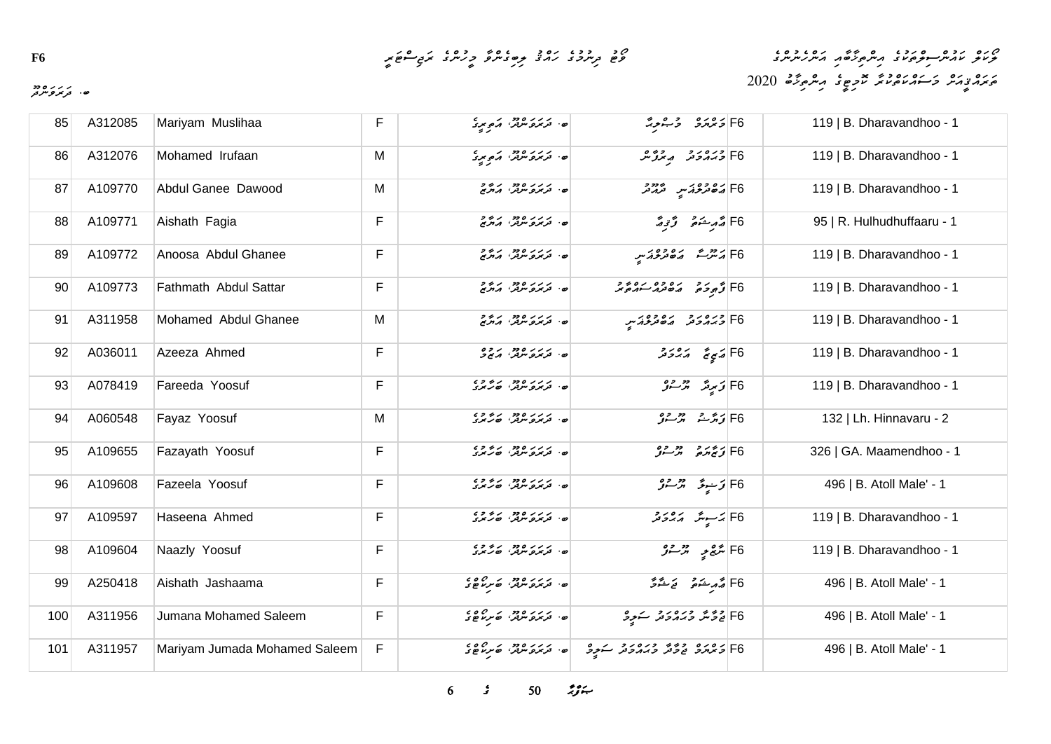*sCw7q7s5w7m< o<n9nOoAw7o< sCq;mAwBoEw7q<m; wBm;vB* م من المرة المرة المرة المرجع المرجع في المركبة 2020<br>مجم*د المريض المربوط المربع المرجع في المراجع المركبة* 

| 85  | A312085 | Mariyam Muslihaa              | F            | ھ تر پر پر دور کہ پر کا                               | F6 كەنگەنى ئەشەر بىر               | 119   B. Dharavandhoo - 1  |
|-----|---------|-------------------------------|--------------|-------------------------------------------------------|------------------------------------|----------------------------|
| 86  | A312076 | Mohamed Irufaan               | M            | ه · تریره سرچي کرم مرد                                | F6 ديره در در ميروگر               | 119   B. Dharavandhoo - 1  |
| 87  | A109770 | Abdul Ganee Dawood            | M            | ם· נקמק מיני מיני די<br>ס· נקמק מיניק ומיני מ         | F6 בֿיפּיבנבֿת ייַ גיביב           | 119   B. Dharavandhoo - 1  |
| 88  | A109771 | Aishath Fagia                 | F            | ه به کربر وجود به دیو و<br>ه به تریخرو سرتن از ایران  | F6 مەم شىم ئۇنى ئە                 | 95   R. Hulhudhuffaaru - 1 |
| 89  | A109772 | Anoosa Abdul Ghanee           | F            | ه به در ود.<br>ه به ترترو سرتر، بر درج                | F6 كەنترىشقە كەھ <i>قرىۋەت</i> ىير | 119   B. Dharavandhoo - 1  |
| 90  | A109773 | Fathmath Abdul Sattar         | F            | ے - درمرورد - دور<br>ے - درمروس                       | F6 زو ره ده ره دو                  | 119   B. Dharavandhoo - 1  |
| 91  | A311958 | Mohamed Abdul Ghanee          | M            | ם· " בקבר ביניק" ו ביניק<br>פי " בקבק פקבר י" ו ברביא | F6 ديرورو مەھىرى تەرە              | 119   B. Dharavandhoo - 1  |
| 92  | A036011 | Azeeza Ahmed                  | F            | ه به کرد وجود به وه<br>ه به ترترو سرتر از ایران       | F6 <i>ھَي ڇڻ مُندُوند</i> ُ        | 119   B. Dharavandhoo - 1  |
| 93  | A078419 | Fareeda Yoosuf                | F            | ه در در ۵۶۵ درود.<br>ه درمروسربر، ه رمرد              | F6 كۆمپەنگە ئەچرىشۇ                | 119   B. Dharavandhoo - 1  |
| 94  | A060548 | Fayaz Yoosuf                  | M            | ه در در ۵۶۵ دروه<br>۲۰ تربروسرتر، ۲۵۷ در              | F6 كَرْتَرْبْ تَرْتَّسْرُوْ        | 132   Lh. Hinnavaru - 2    |
| 95  | A109655 | Fazayath Yoosuf               | $\mathsf F$  | ه در در ۲۵ درود.<br>۲۵ تربروس                         | F6 كَرَيْرَ مِرْمَرِ مَرْسَرُ      | 326   GA. Maamendhoo - 1   |
| 96  | A109608 | Fazeela Yoosuf                | $\mathsf F$  | ے - در در دور<br>ے - تر در در در اس کر دی             | F6 كۆشىدى تەرقىدۇ                  | 496   B. Atoll Male' - 1   |
| 97  | A109597 | Haseena Ahmed                 | $\mathsf F$  | ه کربره دو رو د د د<br>ه کربروسرتر، ه ربرد            | F6 كەسپەنتىر كەبمەدىر              | 119   B. Dharavandhoo - 1  |
| 98  | A109604 | Naazly Yoosuf                 | F            | ے - در در دور<br>ے - تر در در در اس کر دی             | F6 ترچ پو چوٿو                     | 119   B. Dharavandhoo - 1  |
| 99  | A250418 | Aishath Jashaama              | $\mathsf F$  | ه کريمروسون ځمړين وه د                                | F6 مَّەمِ شَمَّ تَى شَمَّرَّ       | 496   B. Atoll Male' - 1   |
| 100 | A311956 | Jumana Mohamed Saleem         | $\mathsf F$  | ه تربره ود تهريبون<br>۱۰ تربروس                       | F6 يۇنگە <i>دېرونى سەبە</i> ۋ      | 496   B. Atoll Male' - 1   |
| 101 | A311957 | Mariyam Jumada Mohamed Saleem | $\mathsf{F}$ |                                                       |                                    | 496   B. Atoll Male' - 1   |

*6 sC 50 nNw?mS*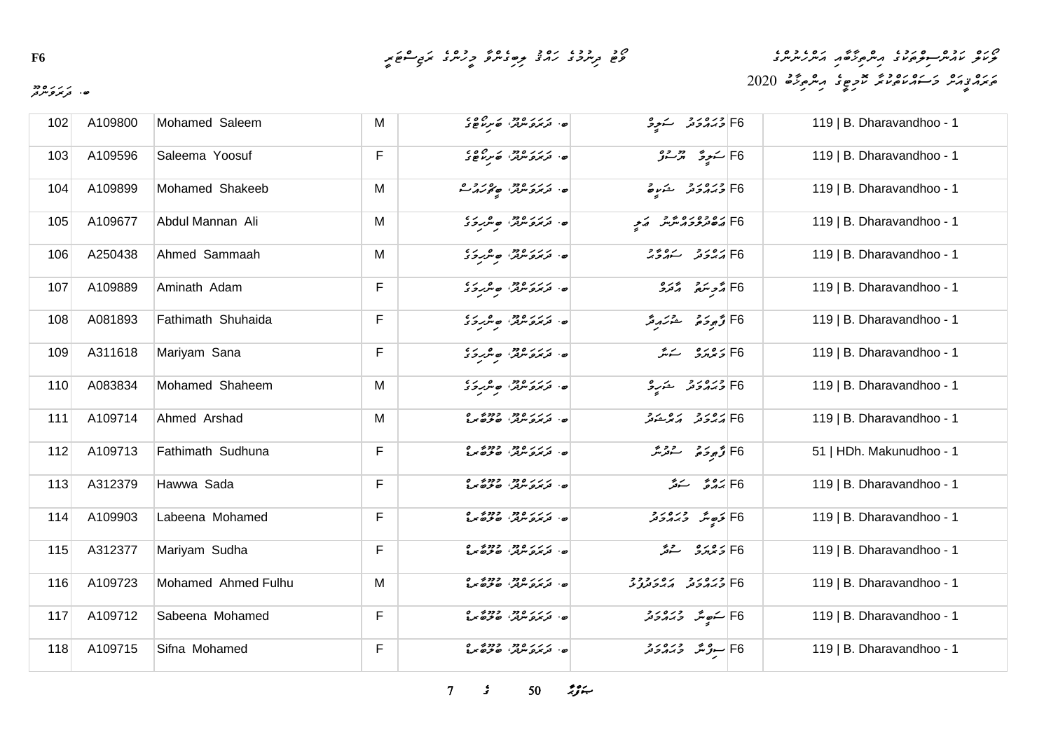*sCw7q7s5w7m< o<n9nOoAw7o< sCq;mAwBoEw7q<m; wBm;vB* م من المسجد المسجد المسجد المسجد المسجد العام 2020<br>مسجد المسجد المسجد المسجد المسجد المسجد المسجد المسجد المسجد ال

| 102 | A109800 | Mohamed Saleem      | M            | ه تریروسرتر، ځېرمانو د                                                 | F6 3323 سَمَوِدْ                            | 119   B. Dharavandhoo - 1 |
|-----|---------|---------------------|--------------|------------------------------------------------------------------------|---------------------------------------------|---------------------------|
| 103 | A109596 | Saleema Yoosuf      | F            | ם נגור פרד בינוס                                                       | F6 ڪوچ پڙيو                                 | 119   B. Dharavandhoo - 1 |
| 104 | A109899 | Mohamed Shakeeb     | M            | ه برگروموس ده در د ه                                                   |                                             | 119   B. Dharavandhoo - 1 |
| 105 | A109677 | Abdul Mannan Ali    | M            | ه تریزویزنی جنربرد و                                                   | F6 پەھىر <i>ومەمەمەرھەم</i>                 | 119   B. Dharavandhoo - 1 |
| 106 | A250438 | Ahmed Sammaah       | M            | ه تربره دود. چگردی                                                     | F6 كەبروتىر سەمب <sup>ور</sup>              | 119   B. Dharavandhoo - 1 |
| 107 | A109889 | Aminath Adam        | F            | ه تریزو مرد مهرد و در د                                                | F6 مُج <i>مِين مُ</i> تَرَدُّ               | 119   B. Dharavandhoo - 1 |
| 108 | A081893 | Fathimath Shuhaida  | F            | ه برنزو برود.<br>ه برنزو بربر و شریرو د                                | F6 <i>وَّجِوَدَة</i> شَ <i>مَرَم</i> ِيَّزَ | 119   B. Dharavandhoo - 1 |
| 109 | A311618 | Mariyam Sana        | F            | ه تریزو سربر وجود د و                                                  | F6 كەنگەر ئەسىسىسىسىسىسىسىسىسىسىسىسىسى      | 119   B. Dharavandhoo - 1 |
| 110 | A083834 | Mohamed Shaheem     | M            | ه تریزو سرفز، جا شرح د                                                 | F6 <i>\$222 مىتو</i> د                      | 119   B. Dharavandhoo - 1 |
| 111 | A109714 | Ahmed Arshad        | M            | ה גן סכר כדר שית.<br>פי נקו <i>ת פ</i> ייק <b>נקי פי</b> יק פורגו      | F6 كەبرى قىر كەنگەنلىر                      | 119   B. Dharavandhoo - 1 |
| 112 | A109713 | Fathimath Sudhuna   | F            | ה גנגם בכך כבר 2<br>פי בקיבקט מקום שיבים יבש                           | F6 ۇ <sub>جو</sub> رَمْ سىمتىگر             | 51   HDh. Makunudhoo - 1  |
| 113 | A312379 | Hawwa Sada          | F            | ה גן סכר כדר שית.<br>פי נקו <i>ת פ</i> ייק <b>נקי פי</b> יק פורגו      | F6 يَرْدُوْ سَقَرْ                          | 119   B. Dharavandhoo - 1 |
| 114 | A109903 | Labeena Mohamed     | F            | ת גן הם ברכבים<br>פי נקו <i>ת פ</i> יתנקי פיצים <i>א</i> ש             | F6 ك <i>ۆھ بىگ دېمبر دى</i> ر               | 119   B. Dharavandhoo - 1 |
| 115 | A312377 | Mariyam Sudha       | $\mathsf{F}$ | נ גנגס בד 1775<br>פי הנגפיתה ופרסיגי                                   | F6 كەبەد ھەر ئىقر                           | 119   B. Dharavandhoo - 1 |
| 116 | A109723 | Mohamed Ahmed Fulhu | M            | נגנג סדר 1725 כי סיבים<br>ים - تر <i>בנ</i> פייטנג' וסיבים בג <u>ו</u> | F6 دره د د مرود دود                         | 119   B. Dharavandhoo - 1 |
| 117 | A109712 | Sabeena Mohamed     | F            | ת גן הם בדור כל<br>פי נקו <i>ת פ</i> יתנקי פיציפ ו <i>י</i> ש          | F6 س <i>نمچنگ 3بره د</i> ر                  | 119   B. Dharavandhoo - 1 |
| 118 | A109715 | Sifna Mohamed       | F            | ת גן הם בדור כל<br>פי נקו <i>ת פ</i> יתנקי פיציפ ו <i>י</i> ש          | F6 – ژنگر م <i>حد م</i> حمد                 | 119   B. Dharavandhoo - 1 |

*7 sC 50 nNw?mS*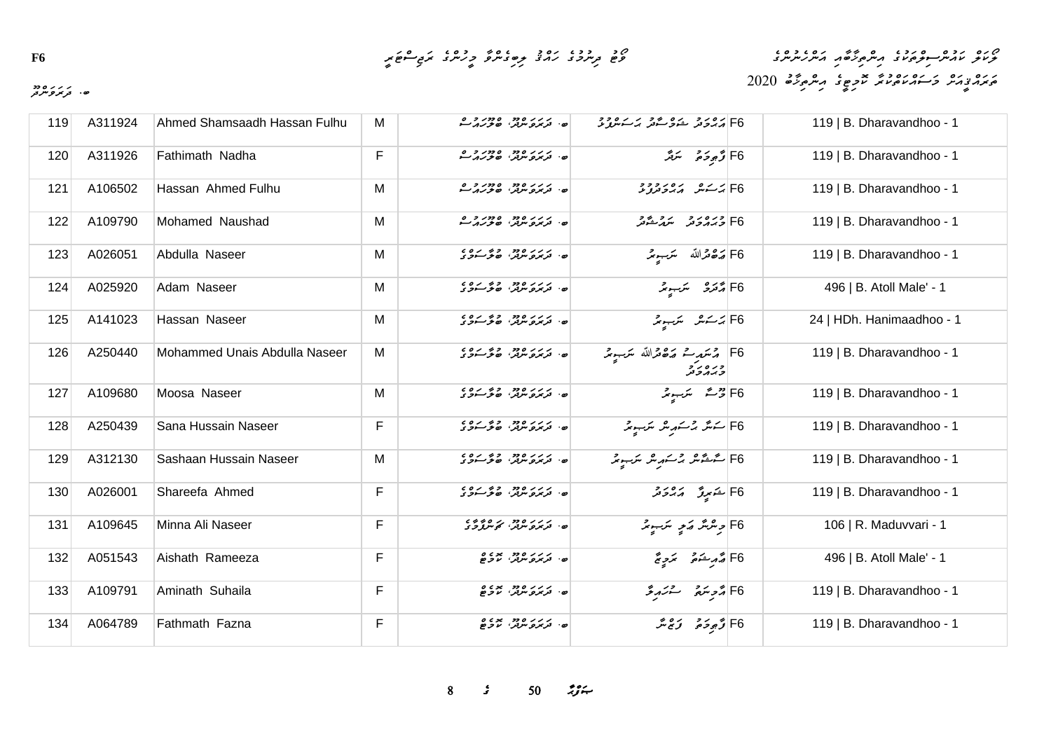*sCw7q7s5w7m< o<n9nOoAw7o< sCq;mAwBoEw7q<m; wBm;vB* م من المرة المرة المرة المرجع المرجع في المركبة 2020<br>مجم*د المريض المربوط المربع المرجع في المراجع المركبة* 

| 119 | A311924 | Ahmed Shamsaadh Hassan Fulhu  | M | נגנ סמינה ספגר ס"ר ברייר ברייר.<br>פי "בניבקים שקינה"        | F6 كەندى قىر ئەشقى ئەسكەنلەر ئا                                                           | 119   B. Dharavandhoo - 1 |
|-----|---------|-------------------------------|---|--------------------------------------------------------------|-------------------------------------------------------------------------------------------|---------------------------|
| 120 | A311926 | Fathimath Nadha               | F | ه دربره دو ۶۶۶۵ و.<br>ه دربره سربر ه دربر ک                  | F6 <i>وُّج<sup>و</sup>دَ ۾</i> سَرَمَّر                                                   | 119   B. Dharavandhoo - 1 |
| 121 | A106502 | Hassan Ahmed Fulhu            | M | י גיג סמי סמגר ס<br>כי נקו <i>ת פ</i> יתנקי פי <i>ב ה</i> רג | F6 پرسش پر پروترو د                                                                       | 119   B. Dharavandhoo - 1 |
| 122 | A109790 | Mohamed Naushad               | M | נגנ בר הריכה כ-2<br>ים - בנגב יינג' יים בינג'                | F6 دېرونر شمشتر                                                                           | 119   B. Dharavandhoo - 1 |
| 123 | A026051 | Abdulla Naseer                | M | ر در در دور وي ده د<br>ه۰ تر پروسرتر، حوک دو د               | F6 كەڭ قىراللە سىربىيە <i>م</i> ىر                                                        | 119   B. Dharavandhoo - 1 |
| 124 | A025920 | Adam Naseer                   | M | ر در در دور دور ده د<br>ه۰ تربرو سرتر، حرگ—دو د              | F6 مُحَمَّدٌ سَمَسِيمٌ                                                                    | 496   B. Atoll Male' - 1  |
| 125 | A141023 | Hassan Naseer                 | M | ر در در دور وي ده د<br>ه۰ تربرو سربر، هڅر سور                | F6   پرسکر مگرسومر                                                                        | 24   HDh. Hanimaadhoo - 1 |
| 126 | A250440 | Mohammed Unais Abdulla Naseer | M | ر در در دور وي ده د<br>ه۰ تر پروسرتر، حوک دو د               | F6 , مَتَرَمَّرٍ فَسَنَّةً مِنْ هُمْ اللَّهُ تَدَبَّبُومِيْتُ<br>و ر ه ر د<br>تر بر تر تر | 119   B. Dharavandhoo - 1 |
| 127 | A109680 | Moosa Naseer                  | M | ە بەر دەھەرە دەر.<br>ھەدىرىرى سرتىر، ھەۋىسىرى                | F6 فخر مع مكرسومتر                                                                        | 119   B. Dharavandhoo - 1 |
| 128 | A250439 | Sana Hussain Naseer           | F | ر در در دور دور ده د<br>ه۰ تربرو سرتر، حوکردی                | F6 سَتَمَّرُ بِرْسَمْ بِرْسِيْرِ بِرُ                                                     | 119   B. Dharavandhoo - 1 |
| 129 | A312130 | Sashaan Hussain Naseer        | M | ر در در ده وي ده د<br>ه۰ تربروسربر، صوگر در د                | F6 سەشەھر برسىمبەھر مىزىبولىر                                                             | 119   B. Dharavandhoo - 1 |
| 130 | A026001 | Shareefa Ahmed                | F | ە دىرە دەھەرە دە<br>ھەدىرىرى سرتى، ھەۋىسىرى                  | F6 شەمر <i>ۇ مەدى قى</i>                                                                  | 119   B. Dharavandhoo - 1 |
| 131 | A109645 | Minna Ali Naseer              | F | ر در رود.<br>ه۰ تربروسرتر، کم سروری                          | F6   وِ تَرْتَرُ <sub>مَك</sub> ْمٍ الْرَسِيْرُ                                           | 106   R. Maduvvari - 1    |
| 132 | A051543 | Aishath Rameeza               | F | ه کربره دور بره ه<br><i>ه تربرو بر</i> تر، نار م             | F6 مُصِحَمٌ مَر <sub>َ</sub> حٍ مُحَ                                                      | 496   B. Atoll Male' - 1  |
| 133 | A109791 | Aminath Suhaila               | F | ە كەرگە دەھ<br>ھ كەيگرى سركى ئالارىغ                         | F6 مُّحِبَّرَةٌ شَرَكَبَرَ                                                                | 119   B. Dharavandhoo - 1 |
| 134 | A064789 | Fathmath Fazna                | F | ە بەر رەدد بودە<br>ھ توپروسرتى بودىغ                         | F6 رَّج <i>وحَة دَيْ</i> شَ                                                               | 119   B. Dharavandhoo - 1 |

*r د د ه ود*<br>@ . تر *بر و س*ر تر

**8** *s* **50** *f***<sub>S</sub>** $\rightarrow$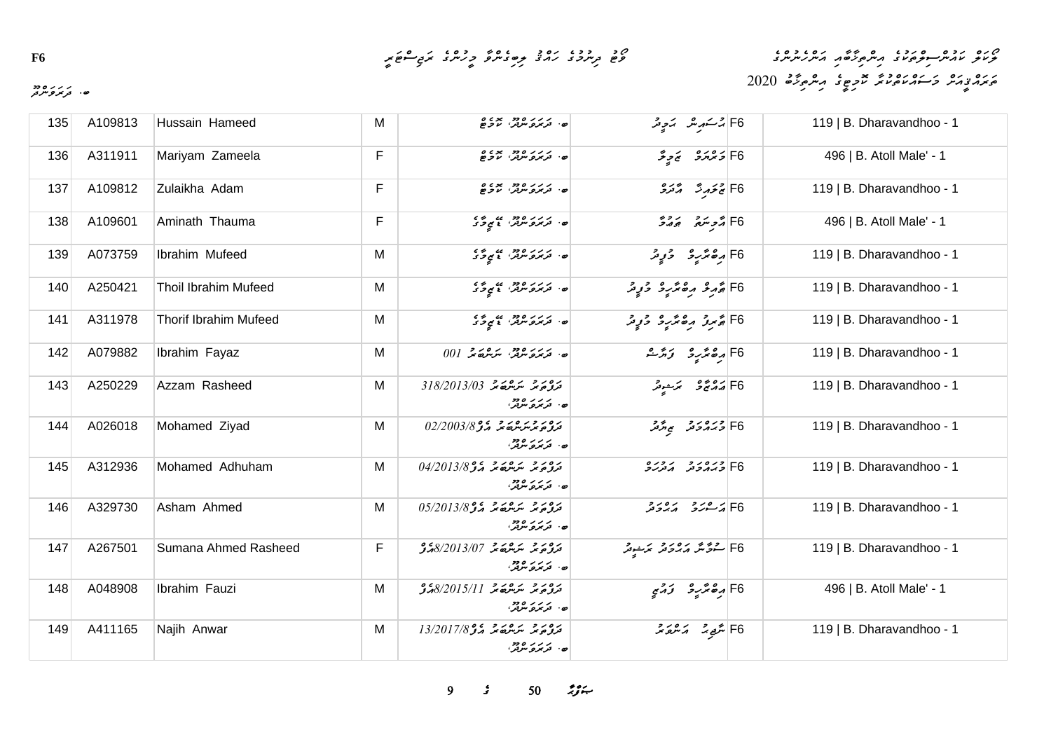*sCw7q7s5w7m< o<n9nOoAw7o< sCq;mAwBoEw7q<m; wBm;vB* م من المرة المرة المرة المرجع المرجع في المركبة 2020<br>مجم*د المريض المربوط المربع المرجع في المراجع المركبة* 

| 135 | A109813 | Hussain Hameed               | M            | ھ کر <i>پر و</i> رد ہونے ہے<br>ھ کر <i>پر و</i> سربر <i>، نا</i> و ھ                     | F6  پر شهر شر پر برد ته                                                   | 119   B. Dharavandhoo - 1 |
|-----|---------|------------------------------|--------------|------------------------------------------------------------------------------------------|---------------------------------------------------------------------------|---------------------------|
| 136 | A311911 | Mariyam Zameela              | $\mathsf{F}$ | ه کربره دو پره و<br>ه کربروسربر، نارج                                                    | F6 كانتر بم تركيب تم تركيب كليسيا تيم تركيب<br>المستوفر بن تصريح المستوفر | 496   B. Atoll Male' - 1  |
| 137 | A109812 | Zulaikha Adam                | $\mathsf{F}$ | ە بەربەرە بەرە<br>ھ ترىرولىرى ئارق                                                       | F6 يح <i>قرقر 15 م</i> حمد 15                                             | 119   B. Dharavandhoo - 1 |
| 138 | A109601 | Aminath Thauma               | $\mathsf{F}$ | ر در د ده ده .<br>ه۰ تریروسربر ؟ نی ژ د                                                  | F6 مُوسَعْدِ مَعْدَمُ                                                     | 496   B. Atoll Male' - 1  |
| 139 | A073759 | Ibrahim Mufeed               | M            | ر در در دود در دود.<br>۱۰۰۰ ترمروسرتر، عمج ژ د                                           | F6 <sub>م</sub> ەنگەپ <sup>و</sup> دې <sub>ي</sub> ىر                     | 119   B. Dharavandhoo - 1 |
| 140 | A250421 | <b>Thoil Ibrahim Mufeed</b>  | M            | ه ۰ تربره ود په ده د                                                                     | F6 ۾ً <i>مرقہ م</i> ِ هُ مَرِيدُ - 3 <i>وِ</i> مَر                        | 119   B. Dharavandhoo - 1 |
| 141 | A311978 | <b>Thorif Ibrahim Mufeed</b> | M            | ه بر در ود به د د .<br>ه نرمروسربر المجموع                                               | F6 ۾ <i>برڌ م</i> ِ هُريو گريگر                                           | 119   B. Dharavandhoo - 1 |
| 142 | A079882 | Ibrahim Fayaz                | M            | ھ قریمَ قریبٌ مَرْسُ صَدْ 100                                                            | F6 مەھمگەيىۋە ئەمگەشە                                                     | 119   B. Dharavandhoo - 1 |
| 143 | A250229 | Azzam Rasheed                | M            | <del>ئرۇم كى</del> ئىر <i>شىغ ئى 318/2013/03</i><br>ے - ترترو سربر ،<br>ے - ترترو سربر ، | F6 <i>مەمگ</i> ى كەنبە                                                    | 119   B. Dharavandhoo - 1 |
| 144 | A026018 | Mohamed Ziyad                | M            | $02/2003/8$ ى ئۇ ھ<br>ر بربر دود.<br>۰۰ تربرو سرتر                                       | F6 <i>\$رو \$و تو م</i> ور                                                | 119   B. Dharavandhoo - 1 |
| 145 | A312936 | Mohamed Adhuham              | M            | <del>نروم كى شەھەر كەنى 04</del> /2013<br>ے - تر <i>بر</i> و سربر -<br>ے - تر برو سربر - | F6 در در در بروره                                                         | 119   B. Dharavandhoo - 1 |
| 146 | A329730 | Asham Ahmed                  | M            | $05/2013/8$ ى تركى ئىس ئىرگە $\sim$<br>ے محر <i>مرکز م</i> وجود ا                        | F6 كەشەرىق كەندى تەرەپىيە                                                 | 119   B. Dharavandhoo - 1 |
| 147 | A267501 | Sumana Ahmed Rasheed         | F            | تروم تر سر سر 3/07/8/2013/07<br>ے مربرہ میں<br>ن مربرہ سربر                              | F6 كەنزىگە كەردى كەر ئىرىدىلىر                                            | 119   B. Dharavandhoo - 1 |
| 148 | A048908 | Ibrahim Fauzi                | M            | تروى ئەشقەتى 38/2015/11<br>ر بربر ه دو.<br>۰۰ تربرو سرتر                                 | F6 م <i>وڭ ئۇمۇم</i> قىلىم بىر                                            | 496   B. Atoll Male' - 1  |
| 149 | A411165 | Najih Anwar                  | M            | ترويج سكره محمد مؤ13/2017/8<br>ے - تر <i>بر</i> و سربر ،<br>ے - تر <i>برو</i> سربر ،     | F6 يترب <i>ي بر مرونز</i>                                                 | 119   B. Dharavandhoo - 1 |

*r د د ه ود*<br>@ . تر *بر و س*ر تر

*9 s* 50 *i*<sub>s</sub>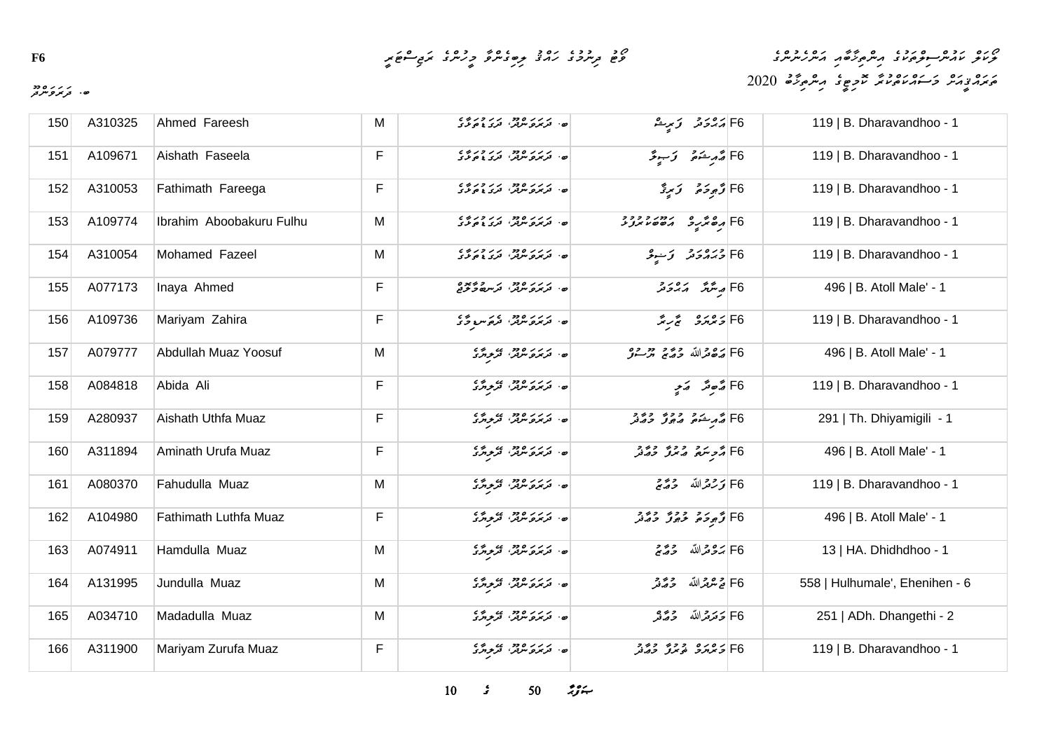*sCw7q7s5w7m< o<n9nOoAw7o< sCq;mAwBoEw7q<m; wBm;vB* م من المسجد المسجد المسجد المسجد المسجد العام 2020<br>مسجد المسجد المسجد المسجد المسجد المسجد المسجد المسجد المسجد ال

| 150 | A310325 | Ahmed Fareesh                | M           | ر در در دود.<br>۱۰۵۰۰ تر برو سرتر، تری و بر در                 | F6 كەبرى قى كى تەرىپ ئىشى F6                 | 119   B. Dharavandhoo - 1      |
|-----|---------|------------------------------|-------------|----------------------------------------------------------------|----------------------------------------------|--------------------------------|
| 151 | A109671 | Aishath Faseela              | F           | در در دود.<br>ده افزیرو مرتب <sup>4</sup> تری و در د           | F6 مُەمِسْتَمْ كَرَسِوَدٌ                    | 119   B. Dharavandhoo - 1      |
| 152 | A310053 | Fathimath Fareega            | F           | ر در در دود.<br>ن در تر تر تر در در در در                      | F6 وَّجِرَةَ حَمَّ وَسِرَّةً                 | 119   B. Dharavandhoo - 1      |
| 153 | A109774 | Ibrahim Aboobakuru Fulhu     | M           | ر در در دود.<br>ه۰ تر برو مرتز، ترد و و د د                    | F6 رەئمرى مەھەممىزى                          | 119   B. Dharavandhoo - 1      |
| 154 | A310054 | Mohamed Fazeel               | M           | ر در در دود.<br>ن در تر تر تر تر تا و با د                     | F6 ة <i>بَرْدْدَنْدْ</i> تَرْسِوْ            | 119   B. Dharavandhoo - 1      |
| 155 | A077173 | Inaya Ahmed                  | F           | ر در در دود.<br>ح۰ تریرو نژتر، ترس دو ژبې                      | F6 مەنتى <i>ر مەدە</i> م                     | 496   B. Atoll Male' - 1       |
| 156 | A109736 | Mariyam Zahira               | F           | ھ گريزو سربر اور ديا گري<br>ھ گريزو سربر گريز س                | F6 كالانجر مريخ من محرب محرب محرب            | 119   B. Dharavandhoo - 1      |
| 157 | A079777 | Abdullah Muaz Yoosuf         | M           | ه کريمروسون ترجيزي<br>ه تريمروسرتر ترجيزي                      | F6 كەھەراللە ئەمج مرىسو                      | 496   B. Atoll Male' - 1       |
| 158 | A084818 | Abida Ali                    | F           | ه کريمروسون ترجيزي<br>ه تريمروسرتر ترجيزي                      | F6 مُحصِّدٌ مَعٍ                             | 119   B. Dharavandhoo - 1      |
| 159 | A280937 | Aishath Uthfa Muaz           | F           | ے مقدم میں اس کا دور ہے۔<br>  جوابہ مقدم مقدم مقدم مقدم مقدم ک | F6 مەم شەھ مەھ <i>ۋە ھە</i> م                | 291   Th. Dhiyamigili - 1      |
| 160 | A311894 | Aminath Urufa Muaz           | $\mathsf F$ | ه به در ود به د د .<br>ه به تریمه سربل ترجهری                  | F6 مُجرِسَع مُتَمَرٌ حَمَّقَر                | 496   B. Atoll Male' - 1       |
| 161 | A080370 | Fahudulla Muaz               | M           | ه ۰ تر بر ۵۶۵ مرضی در ۲                                        | F6 وَرَقْرَاللّه وَثَرَج                     | 119   B. Dharavandhoo - 1      |
| 162 | A104980 | <b>Fathimath Luthfa Muaz</b> | $\mathsf F$ | ه ۰ تر بر ۵۶۵ مرضی در ۲                                        | F6 رُّجِ <i>حَمَّدُ وَجُمَّدُ حَمَّدُ</i> رُ | 496   B. Atoll Male' - 1       |
| 163 | A074911 | Hamdulla Muaz                | M           | ه· تریزه سرچر، ترج شرح<br>ه· تریزه سرچر، ترج شرح               | F6 كەۋىراللە ج <i>ەمى</i> ج                  | 13   HA. Dhidhdhoo - 1         |
| 164 | A131995 | Jundulla Muaz                | M           | ه به زره دو به در د                                            | F6 يُحْتَمِّعْرَاللَّهُ حَيَّقَرْ            | 558   Hulhumale', Ehenihen - 6 |
| 165 | A034710 | Madadulla Muaz               | M           | ه ۰ تر بر ۵۶۵ مرضی در ۲                                        | F6 كَتَرْمَرْاللَّهُ حَرَّضُوْر              | 251   ADh. Dhangethi - 2       |
| 166 | A311900 | Mariyam Zurufa Muaz          | F           | ه به زره دو به در د                                            | F6 كەبەرە بودۇ بولۇپر                        | 119   B. Dharavandhoo - 1      |

 $10$  *s* 50  $23$   $\div$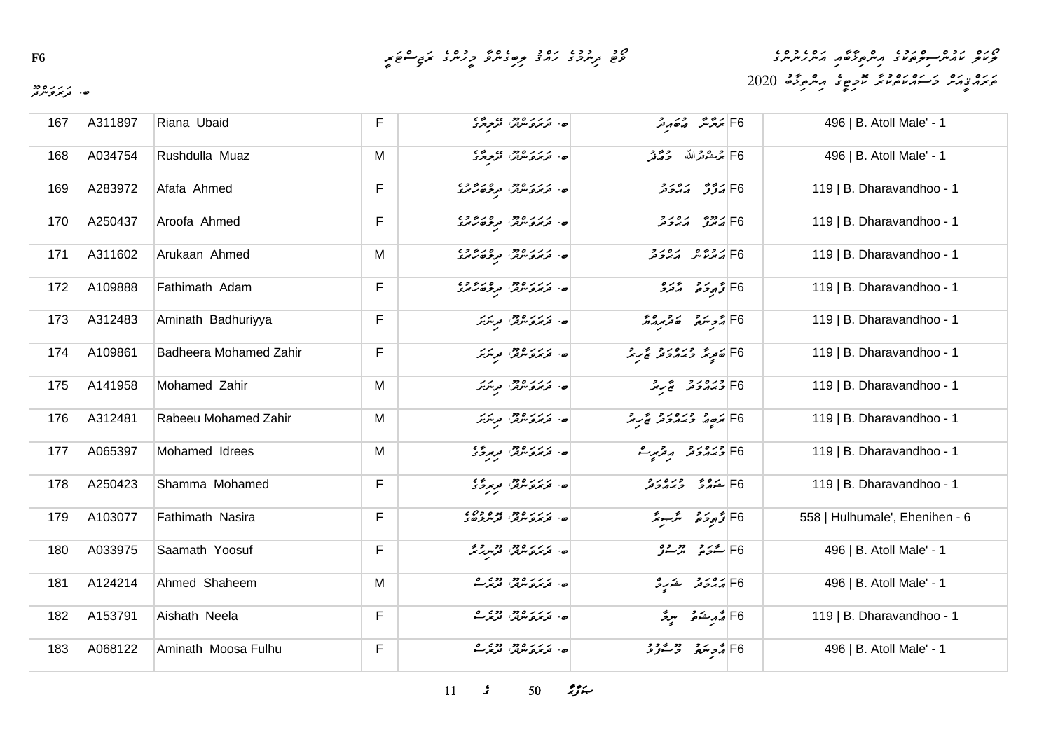*sCw7q7s5w7m< o<n9nOoAw7o< sCq;mAwBoEw7q<m; wBm;vB* م من المرة المرة المرة المرجع المرجع في المركبة 2020<br>مجم*د المريض المربوط المربع المرجع في المراجع المركبة* 

| 167 | A311897 | Riana Ubaid            | F            | ه ۰ تر تر ۶۶۵ و در ۶ تا بر بر در بر در بر در بر در بر در بر در بر در بر در بر در بر در بر در بر در بر در بر در<br>بر در بر در بر در بر در بر در بر در بر در بر در بر در بر در بر در بر در بر در بر در بر در بر در بر در بر در بر | F6 <i>بَدَمَّدَ مَنْ مُ</i> حَمَّد                                                                             | 496   B. Atoll Male' - 1       |
|-----|---------|------------------------|--------------|----------------------------------------------------------------------------------------------------------------------------------------------------------------------------------------------------------------------------------|----------------------------------------------------------------------------------------------------------------|--------------------------------|
| 168 | A034754 | Rushdulla Muaz         | M            | ه به زره دو به در د                                                                                                                                                                                                              | F6 بَرْشُوْتَرَاللَّهُ وَصَفَرَ                                                                                | 496   B. Atoll Male' - 1       |
| 169 | A283972 | Afafa Ahmed            | F            |                                                                                                                                                                                                                                  | F6 مۇتۇ مەردىر                                                                                                 | 119   B. Dharavandhoo - 1      |
| 170 | A250437 | Aroofa Ahmed           | $\mathsf F$  | ه به مرد وجود ده و و و و و و و<br>ه به مرد و سربو به مرد ه مرد و و                                                                                                                                                               | F6 كەتتىر كەردىسى                                                                                              | 119   B. Dharavandhoo - 1      |
| 171 | A311602 | Arukaan Ahmed          | M            | ه بر در ۲۶۵ دره و ۲<br>ه بربروس                                                                                                                                                                                                  | F6 <i>גُسِرْتُمْ بِهِ دُورُو</i> رُ                                                                            | 119   B. Dharavandhoo - 1      |
| 172 | A109888 | Fathimath Adam         | $\mathsf F$  |                                                                                                                                                                                                                                  | F6 وَّجِ حَمَّةَ مَحْمَدَةَ الْمُسَرِّرِينَ مِنْ الْمُسَرِّرِينَ مِنْ الْمُسَرِّرِينَ مِنْ الْمُسَرِّرِينَ مِن | 119   B. Dharavandhoo - 1      |
| 173 | A312483 | Aminath Badhuriyya     | $\mathsf F$  | ە · ئەترىرى تەرەپ ئىرسىرىكى بە                                                                                                                                                                                                   | F6 مُحرِسَمَةً صَفَرَ <i>مِعْهُمْ</i>                                                                          | 119   B. Dharavandhoo - 1      |
| 174 | A109861 | Badheera Mohamed Zahir | $\mathsf F$  | ه · تریزه سربر و تریتر                                                                                                                                                                                                           | F6 ڪَمِرِيَّز 5 پُرو تر پُريز                                                                                  | 119   B. Dharavandhoo - 1      |
| 175 | A141958 | Mohamed Zahir          | M            | ے - تریزہ سرتر، ترینز ک                                                                                                                                                                                                          | F6 <i>جنہ جو جي پڻ</i>                                                                                         | 119   B. Dharavandhoo - 1      |
| 176 | A312481 | Rabeeu Mohamed Zahir   | M            | ە · ئەترىرى قەرىرىگە بەر ئىرىكە                                                                                                                                                                                                  | F6 بَرَجِهِ مُحْرَمَ مِنْ مَحْرِ بِرَبِّرِ                                                                     | 119   B. Dharavandhoo - 1      |
| 177 | A065397 | Mohamed Idrees         | M            | ه . تربره ود.<br>ه . تربره سرتر . تربردگ                                                                                                                                                                                         | F6 <i>\$نەۋەقى مەقەب</i> رىش                                                                                   | 119   B. Dharavandhoo - 1      |
| 178 | A250423 | Shamma Mohamed         | F            | ه مر د وده مر د د د                                                                                                                                                                                                              | F6 خەرج <i>دېم</i> ەر                                                                                          | 119   B. Dharavandhoo - 1      |
| 179 | A103077 | Fathimath Nasira       | $\mathsf{F}$ | ه کربره دو.<br>ه تربروسربر ترسروه ی                                                                                                                                                                                              | F6 <i>وُّهِ دَهُ</i> مُ <i>مَّبِ مُ</i>                                                                        | 558   Hulhumale', Ehenihen - 6 |
| 180 | A033975 | Saamath Yoosuf         | F            | ه · تریروسربر و در دیگر                                                                                                                                                                                                          | F6 گەنى تەرىپى بۇ                                                                                              | 496   B. Atoll Male' - 1       |
| 181 | A124214 | Ahmed Shaheem          | M            | ر در دو دو ده و<br>ه۰ تربروسرتر، تربر ب                                                                                                                                                                                          | F6 كەنزى قىر ئىكەنب                                                                                            | 496   B. Atoll Male' - 1       |
| 182 | A153791 | Aishath Neela          | F            | ے کربرہ دور دور ہے<br>ن <i>ے کربرہ سربل کربر کے</i>                                                                                                                                                                              | F6 مُذہب مُحدِّد مَعرِ مَدَّ                                                                                   | 119   B. Dharavandhoo - 1      |
| 183 | A068122 | Aminath Moosa Fulhu    | F            | ر در دو دو ده و<br>ه۰ تربروسرتر، تربر ب                                                                                                                                                                                          | F6 گەچ ئىگە قەرىمىتى قەتلىرى ئى                                                                                | 496   B. Atoll Male' - 1       |

 $11$  *s* 50  $23$   $\div$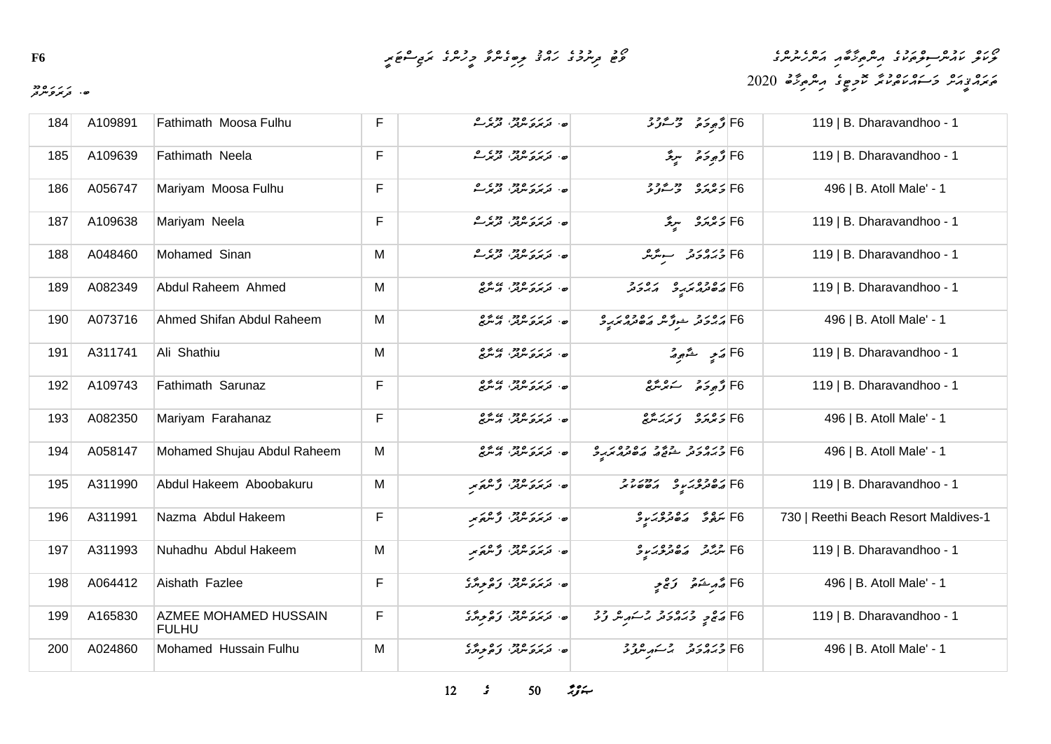*sCw7q7s5w7m< o<n9nOoAw7o< sCq;mAwBoEw7q<m; wBm;vB* م من المرة المرة المرة المرجع المرجع في المركبة 2020<br>مجم*د المريض المربوط المربع المرجع في المراجع المركبة* 

| 184 | A109891 | Fathimath Moosa Fulhu                 | F            | ے - تربرہ سربر، تربر ہے<br>ے - تربرہ سربر، تربر ہے                      | F6 <i>وُجِودَة وَ"گُونَ</i> دُ            | 119   B. Dharavandhoo - 1            |
|-----|---------|---------------------------------------|--------------|-------------------------------------------------------------------------|-------------------------------------------|--------------------------------------|
| 185 | A109639 | Fathimath Neela                       | $\mathsf{F}$ | ے کر برے وہ دورے ہے                                                     | F6 <i>وَّجِودَة</i> سِرْتَمْ              | 119   B. Dharavandhoo - 1            |
| 186 | A056747 | Mariyam Moosa Fulhu                   | $\mathsf F$  | ے - تربرو سربر، تربرے<br>ے - تربرو سربر، تربرے                          | F6 كەنگەر قەرىمىتە بولىدۇ ئا              | 496   B. Atoll Male' - 1             |
| 187 | A109638 | Mariyam Neela                         | $\mathsf F$  | ے کربرہ ووج ووی ہے<br>ن <i>ے کربری سربل کربر کے</i>                     | F6 كەنگەنىڭ سىگە                          | 119   B. Dharavandhoo - 1            |
| 188 | A048460 | Mohamed Sinan                         | M            | ر در دو دو ده و<br>ه۰ تربروسرتر، تربر ب                                 | F6 <i>ڈیزوڈو سینگر</i>                    | 119   B. Dharavandhoo - 1            |
| 189 | A082349 | Abdul Raheem Ahmed                    | M            | ے - تر <i>بر و دو ۔ عادہ</i><br>ے - تر <i>برو</i> سربر <i>، م</i> ر سرچ | F6 בטינגי הבינגיד האבינג                  | 119   B. Dharavandhoo - 1            |
| 190 | A073716 | Ahmed Shifan Abdul Raheem             | M            | ه . در رودو در ده<br>ه . در برو سربر ، در سرج                           | F6 <i>גיב בר جوگر م</i> ص <i>ور مرب</i> ح | 496   B. Atoll Male' - 1             |
| 191 | A311741 | Ali Shathiu                           | M            | ے - تر <i>بر و دو ۔ عادہ</i><br>ن <i>ے - تر برو سربر ، م</i> ر سریح     | F6 كەمچە سەھ بەرگە                        | 119   B. Dharavandhoo - 1            |
| 192 | A109743 | Fathimath Sarunaz                     | $\mathsf F$  | ه . کربره دو . ده ه<br>ه . کربرو سربر ، ارسرچ                           | F6 <i>وَّجِودَةْ</i> سَنَعْرَ يَنْدَى     | 119   B. Dharavandhoo - 1            |
| 193 | A082350 | Mariyam Farahanaz                     | F            | נ גנג סרב גו שים.<br>שי <sub>בנו</sub> <i>בניקר איינ</i> ה              | F6 كەبەر ئەيرىشى                          | 496   B. Atoll Male' - 1             |
| 194 | A058147 | Mohamed Shujau Abdul Raheem           | M            | נ גנג סרב גודם<br>שי <sub>בנו</sub> גע הענג'י הענג                      | F6 دره درو دروو دره ده در و               | 496   B. Atoll Male' - 1             |
| 195 | A311990 | Abdul Hakeem Aboobakuru               | M            | ه تریزوسرتی ژمی بر                                                      | F6 בסתל בין המסטית                        | 119   B. Dharavandhoo - 1            |
| 196 | A311991 | Nazma Abdul Hakeem                    | $\mathsf F$  | ھ تر <i>تر قرمانی و</i> مرد د                                           | F6 يت <sub>غو</sub> ر مەمە <i>روبەر</i> ۋ | 730   Reethi Beach Resort Maldives-1 |
| 197 | A311993 | Nuhadhu Abdul Hakeem                  | M            | ھ تریزو مربر اور محمد<br>مستقریب اور محمد                               | F6 يرتزنر مەھىر <i>وبەر</i> ۋ             | 119   B. Dharavandhoo - 1            |
| 198 | A064412 | Aishath Fazlee                        | $\mathsf F$  | ه . تربره دود . ره د د .<br>ه . تربره سرتر . تر موجرد                   | F6 مُصِيحَة وَيَجْعِ                      | 496   B. Atoll Male' - 1             |
| 199 | A165830 | AZMEE MOHAMED HUSSAIN<br><b>FULHU</b> | F            | ه کريزه دو ده ده.<br>ه تريزوسرتر ژهونرو                                 | F6 <i>ړې و درورو رئے مرسر و</i> و         | 119   B. Dharavandhoo - 1            |
| 200 | A024860 | Mohamed Hussain Fulhu                 | M            | ه کريمرو سرقر ده ده ده.<br>ه کريمرو سرقر توجو شرک                       | F6 درەرد جنسە مورد                        | 496   B. Atoll Male' - 1             |

*12 sC 50 nNw?mS*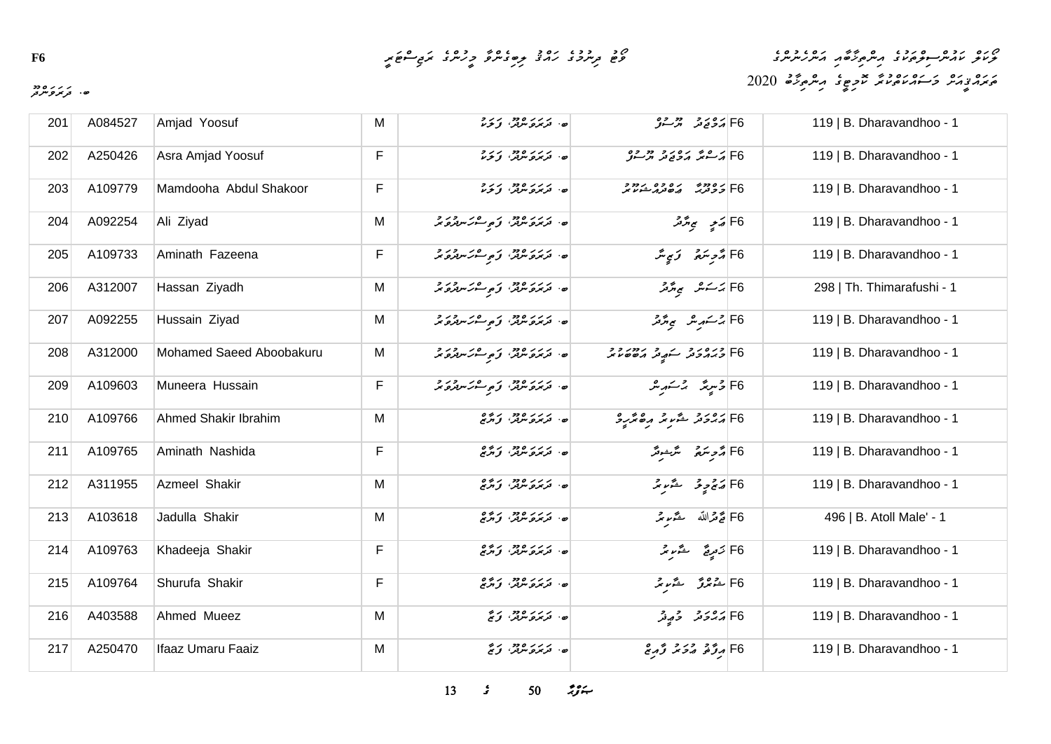*sCw7q7s5w7m< o<n9nOoAw7o< sCq;mAwBoEw7q<m; wBm;vB* م من المرة المرة المرة المرجع المرجع في المركبة 2020<br>مجم*د المريض المربوط المربع المرجع في المراجع المركبة* 

| 201 | A084527 | Amjad Yoosuf                | M            | ه· تریزویس و ترور                                                                                             | F6   ایرونو تر ایر فرانستر از ایران<br>منابه ایران | 119   B. Dharavandhoo - 1  |
|-----|---------|-----------------------------|--------------|---------------------------------------------------------------------------------------------------------------|----------------------------------------------------|----------------------------|
| 202 | A250426 | Asra Amjad Yoosuf           | $\mathsf{F}$ | ە ئەترىرە دەر دىر د                                                                                           | F6   پر هېڅه پر دې چې پر سرو                       | 119   B. Dharavandhoo - 1  |
| 203 | A109779 | Mamdooha Abdul Shakoor      | F            | ە ئەترىر ۋە ئەر دېرە<br>ھەر <i>ئەترى ئەرىر</i>                                                                | F6 دەددى ھەقەرە مەددە                              | 119   B. Dharavandhoo - 1  |
| 204 | A092254 | Ali Ziyad                   | M            | ه · مرمره معرفه و محرم العرب العرب العرب المحرم من                                                            | F6 کھ پی موگھر                                     | 119   B. Dharavandhoo - 1  |
| 205 | A109733 | Aminath Fazeena             | F            | ه به در در در در در در در در د                                                                                | F6 مَرْحِ مَعْهُ وَمِيمٌ                           | 119   B. Dharavandhoo - 1  |
| 206 | A312007 | Hassan Ziyadh               | M            | ه · ترمره سرچي کوم سور سرچرمر                                                                                 | F6   پرسکسٹر ہے ہ <i>ڑ</i> وتر                     | 298   Th. Thimarafushi - 1 |
| 207 | A092255 | Hussain Ziyad               | M            | ه · ترمره سرچي کوم سور سرچرمر                                                                                 | F6 بر سمبر مر سمبر مرد تر                          | 119   B. Dharavandhoo - 1  |
| 208 | A312000 | Mohamed Saeed Aboobakuru    | M            | ه به در در دود.<br>ه به تریزه سرتر که در سرتره بر                                                             | F6 בגם גם המיני בי המיני ב                         | 119   B. Dharavandhoo - 1  |
| 209 | A109603 | Muneera Hussain             | F            | ه · مرمره معرفر و محرم مسر مسر محمد المسر من                                                                  | F6 ڈسریمًا کے مشہد می                              | 119   B. Dharavandhoo - 1  |
| 210 | A109766 | <b>Ahmed Shakir Ibrahim</b> | M            | ه کربره دو بروه<br>ه کربرو نربر، زیرم                                                                         | F6 كەندىق شەرىخ مەھەردى                            | 119   B. Dharavandhoo - 1  |
| 211 | A109765 | Aminath Nashida             | $\mathsf F$  | ه بربر وده بروه<br>ه تربروسرتر، و درج                                                                         | F6 گەج سَرَمْ \$ سَرْسُومَّرْ                      | 119   B. Dharavandhoo - 1  |
| 212 | A311955 | Azmeel Shakir               | M            | ه کربره دو روه<br>ه کربرو نربر زمرج                                                                           | F6 <i>ھينج ج</i> گ ڪيونگر                          | 119   B. Dharavandhoo - 1  |
| 213 | A103618 | Jadulla Shakir              | M            | ر در رود.<br>ه۰ تربروسرتر، و در م                                                                             | F6 قَوْمَرْاللّه شَّمْ مِرْ                        | 496   B. Atoll Male' - 1   |
| 214 | A109763 | Khadeeja Shakir             | F            | ه کريزه در ور ده و                                                                                            | F6 كَتَمَتِيعٌ مُسْتَمَمِ مُرْ                     | 119   B. Dharavandhoo - 1  |
| 215 | A109764 | Shurufa Shakir              | $\mathsf{F}$ | ه کربره دو بره ه<br>ه کربرو سربر و درج                                                                        | F6 شەندۇ شەرىخە                                    | 119   B. Dharavandhoo - 1  |
| 216 | A403588 | Ahmed Mueez                 | M            | ھ ترىرى مەدىبە ئەتىم                                                                                          | F6 كەندى قەمەنگە                                   | 119   B. Dharavandhoo - 1  |
| 217 | A250470 | Ifaaz Umaru Faaiz           | M            | ە · ئەترىر قەدەر بەلەر ئەتتى / ئالىمى / ئالىما / ئالىما / ئالىما / ئالىما / ئالىما / ئالىما / ئالىما / ئالىما | F6 مِرْدَّةً. مُحَمَّدُ رُّمَّةً                   | 119   B. Dharavandhoo - 1  |

*13 sC 50 nNw?mS*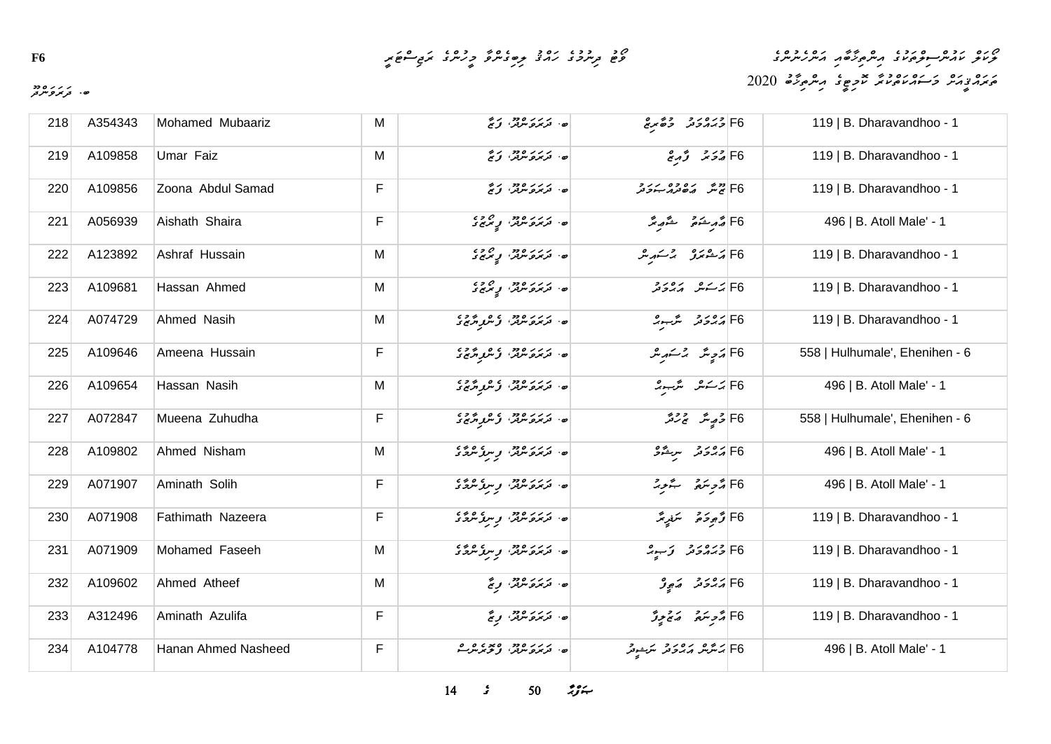*sCw7q7s5w7m< o<n9nOoAw7o< sCq;mAwBoEw7q<m; wBm;vB* م من المرة المرة المرة المرجع المرجع في المركبة 2020<br>مجم*د المريض المربوط المربع المرجع في المراجع المركبة* 

| 218 | A354343 | Mohamed Mubaariz    | м | ە ·   ترىزو تەرەپ   تونتج     ت                                                                                                                                                                                                 | F6 <i>وُبُرُودُو وُهُ</i> مِيْ    | 119   B. Dharavandhoo - 1      |
|-----|---------|---------------------|---|---------------------------------------------------------------------------------------------------------------------------------------------------------------------------------------------------------------------------------|-----------------------------------|--------------------------------|
| 219 | A109858 | Umar Faiz           | M | ر ر ر د د د د د د کار د کار د کار د کار د کار د کار د کار د کار د کار د کار د کار د کار د کار د کار د کار د کا                                                                                                                  | F6 ح <i>5 م گرم</i> مح            | 119   B. Dharavandhoo - 1      |
| 220 | A109856 | Zoona Abdul Samad   | F | ە · ئەترىر 20°، ئ                                                                                                                                                                                                               | F6 تج تر می محمد مرد و            | 119   B. Dharavandhoo - 1      |
| 221 | A056939 | Aishath Shaira      | F | ه بر در ود.<br>ه بر دیگر سربل و برج د                                                                                                                                                                                           | F6 مُرمِسَمَ صُمَّمِ مُّ          | 496   B. Atoll Male' - 1       |
| 222 | A123892 | Ashraf Hussain      | м | ه . در در دود.<br>ه . تر در مرتد . د ٍ در د د                                                                                                                                                                                   | F6 كەشىمىز بەسىھەشر               | 119   B. Dharavandhoo - 1      |
| 223 | A109681 | Hassan Ahmed        | M | ە بەرىرەدە<br>ھ تەيمەھەرىش ۋىمەنى ئ                                                                                                                                                                                             | F6 يَرْسَمْشْ مَدْرَوْمْر         | 119   B. Dharavandhoo - 1      |
| 224 | A074729 | Ahmed Nasih         | M | ه به مرس ود و عروف و د                                                                                                                                                                                                          | F6 كەنزى قىلىدىگە                 | 119   B. Dharavandhoo - 1      |
| 225 | A109646 | Ameena Hussain      | F | ے۔ دربر میں میں میں دیا<br>جو انگریزی مربر او مگرم مربع د                                                                                                                                                                       | F6 كەچ ئىر 2-ئىرىنلە              | 558   Hulhumale', Ehenihen - 6 |
| 226 | A109654 | Hassan Nasih        | M | ے گریزہ سربل کر سربر ہے ۔                                                                                                                                                                                                       | F6   يَرْسَدُ مُدَّرْ مِدْرُ      | 496   B. Atoll Male' - 1       |
| 227 | A072847 | Mueena Zuhudha      | F | ه به مرس ود و عروف و د                                                                                                                                                                                                          | F6 ج <i>ي مير ج</i> جي جو تقر     | 558   Hulhumale', Ehenihen - 6 |
| 228 | A109802 | Ahmed Nisham        | M | ه به تریزه در دوره و به در در در در در استرات در استرات در استرات در استرات در استرات در استرات در استرات در ا<br>در استرات در استرات در استرات در استرات در استرات در استرات در استرات در استرات در استرات در استرات در استرات | F6 كەيمى كىلى س <sub>ى</sub> شگى  | 496   B. Atoll Male' - 1       |
| 229 | A071907 | Aminath Solih       | F | ه برنز ود.<br>ه ترنزو ترتر، و پیرو ترد د                                                                                                                                                                                        | F6 مُّحِسَمُ مُّعَجِّدُ           | 496   B. Atoll Male' - 1       |
| 230 | A071908 | Fathimath Nazeera   | F | ه کربره دو.<br>ه تربره سربر و سرگرسرد د                                                                                                                                                                                         | F6 <i>وَّجِوَدَة</i> سَمْدٍ مَّرَ | 119   B. Dharavandhoo - 1      |
| 231 | A071909 | Mohamed Faseeh      | M | ه برگروه ده.<br>ه ترکروکرفرا و سرگرمرد د                                                                                                                                                                                        | F6 <i>\$222 قرىبور</i>            | 119   B. Dharavandhoo - 1      |
| 232 | A109602 | Ahmed Atheef        | M | ه · تریزویس ویچ                                                                                                                                                                                                                 | F6 كەندى قىر كەرگە بىر ئى         | 119   B. Dharavandhoo - 1      |
| 233 | A312496 | Aminath Azulifa     | F | ے - تریزو سربل، ویج                                                                                                                                                                                                             | F6 مُجِسَعَةٍ صَنْحَ مِوَّرٌ      | 119   B. Dharavandhoo - 1      |
| 234 | A104778 | Hanan Ahmed Nasheed | F | ر در دود. ورد ده و.<br>ه۰ تربره برتر، و و بربرگ                                                                                                                                                                                 | F6 كەنگەر <i>مەدى مەش</i> بىر     | 496   B. Atoll Male' - 1       |

*14 sC 50 nNw?mS*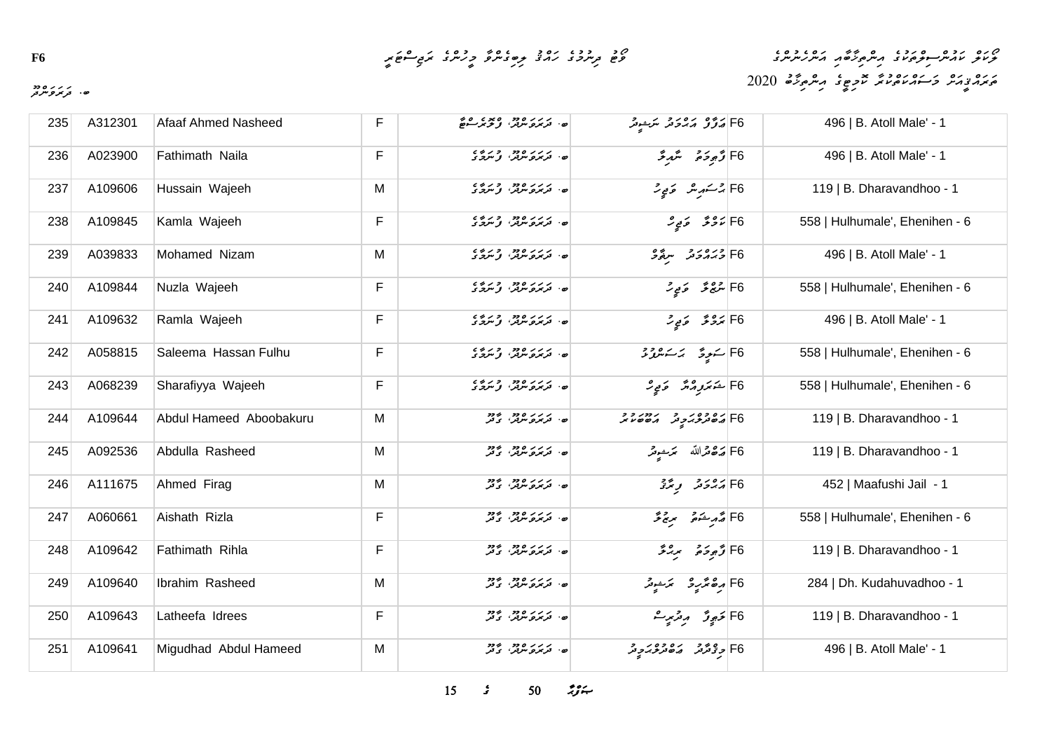*sCw7q7s5w7m< o<n9nOoAw7o< sCq;mAwBoEw7q<m; wBm;vB* م من المرة المرة المرة المرجع المرجع في المركبة 2020<br>مجم*د المريض المربوط المربع المرجع في المراجع المركبة* 

| 235 | A312301 | <b>Afaaf Ahmed Nasheed</b> | F           | ر در دود و ده ده و.<br>ه۰ تربروسرتر، و و بر سوځ             | F6 <i>בَرُدُّوْ   دَرْدُوَ</i> تْرَ   سَرَشِيشْ | 496   B. Atoll Male' - 1       |
|-----|---------|----------------------------|-------------|-------------------------------------------------------------|-------------------------------------------------|--------------------------------|
| 236 | A023900 | Fathimath Naila            | F           | ה הגנים כך הבנים<br>סי הני <i>ת</i> פיתה <sub>ב</sub> יתבצ  | F6 رَّجِ دَمَرَ مَسْرَدَّ                       | 496   B. Atoll Male' - 1       |
| 237 | A109606 | Hussain Wajeeh             | M           | ه در ده دو در ده د<br>ه در در در زمرد د                     | F6 پڑے پہلا کے <sub>مح</sub> افیے ح             | 119   B. Dharavandhoo - 1      |
| 238 | A109845 | Kamla Wajeeh               | F           | ه کربره دو وره و.<br>ه تربروسربر و سرو د                    | F6 ئەۋى <sup>ج</sup> مەي 2                      | 558   Hulhumale', Ehenihen - 6 |
| 239 | A039833 | Mohamed Nizam              | M           | ه کربره دو وره و<br>ه تربروسربر و سرچ                       | F6 3223 سِهَّرً                                 | 496   B. Atoll Male' - 1       |
| 240 | A109844 | Nuzla Wajeeh               | $\mathsf F$ | ه در در وده و د ده و<br>ه در تر تر تر در در                 | F6 ش& تھ تھے ت                                  | 558   Hulhumale', Ehenihen - 6 |
| 241 | A109632 | Ramla Wajeeh               | F           | ے - دریرہ - دریرہ<br>ے- تر دی سربر - تر سرچ د               | F6 يَرُوْنَى     مَيْ رَ                        | 496   B. Atoll Male' - 1       |
| 242 | A058815 | Saleema Hassan Fulhu       | $\mathsf F$ | ه کربره دو وره د<br>ه تربروسربر، وسرد د                     | F6 سَعِرةُ بَرَسَة مَدْيَوْتَرَ                 | 558   Hulhumale', Ehenihen - 6 |
| 243 | A068239 | Sharafiyya Wajeeh          | F           | ه کربره دو وره و<br>ه تربروسربر و سرچ                       | F6 خ <i>ەتزومەگە ق</i> ەيچ <sup>ى</sup>         | 558   Hulhumale', Ehenihen - 6 |
| 244 | A109644 | Abdul Hameed Aboobakuru    | M           | ے کر برے وہ موجود<br>نصف کر بھی موجود کا کافر               | F6 בטעל בי המיני ב                              | 119   B. Dharavandhoo - 1      |
| 245 | A092536 | Abdulla Rasheed            | M           | ے - تر <i>بر کر وہ میں</i><br>ن <i>ے - تر برق بر</i> تر - ک | F6 كەھەراللە كەخومىر                            | 119   B. Dharavandhoo - 1      |
| 246 | A111675 | Ahmed Firag                | M           | ر ر ر ر و دو.<br>ن - تر برو سرتر ، ک تر                     | F6 كەندى قىر بورىتى قى                          | 452   Maafushi Jail - 1        |
| 247 | A060661 | Aishath Rizla              | F           | ر ر ر ر ده دو.<br>ن تربره سربر، ک تر                        | F6 مُدمِسْمَة مِنْ مَحَمَّد                     | 558   Hulhumale', Ehenihen - 6 |
| 248 | A109642 | Fathimath Rihla            | F           | ے کرے ووج ہوو<br>ن <i>ے کر پری سر</i> تر' کے تر             | F6 <i>وَّجِوَدَة</i> بِرِيْدَ مِ                | 119   B. Dharavandhoo - 1      |
| 249 | A109640 | Ibrahim Rasheed            | M           | ے کرے وجود ہے۔<br>نصف کر <i>مرکز کی گر</i>                  | F6 مەھەرىپى تەرەپەر                             | 284   Dh. Kudahuvadhoo - 1     |
| 250 | A109643 | Latheefa Idrees            | F           | ے کر دے وہ ہو۔<br>نصف کر مرکزی کے کر                        | F6 كرَ <sub>جو</sub> ِرَ مرتزيبِ هو             | 119   B. Dharavandhoo - 1      |
| 251 | A109641 | Migudhad Abdul Hameed      | M           | ر در ر ه دو.<br>ن در تر تر تر تر تر                         | F6 <i>وِدْمَرْتْھ مُڑھوکوب</i> وٹر              | 496   B. Atoll Male' - 1       |

*15 sC 50 nNw?mS*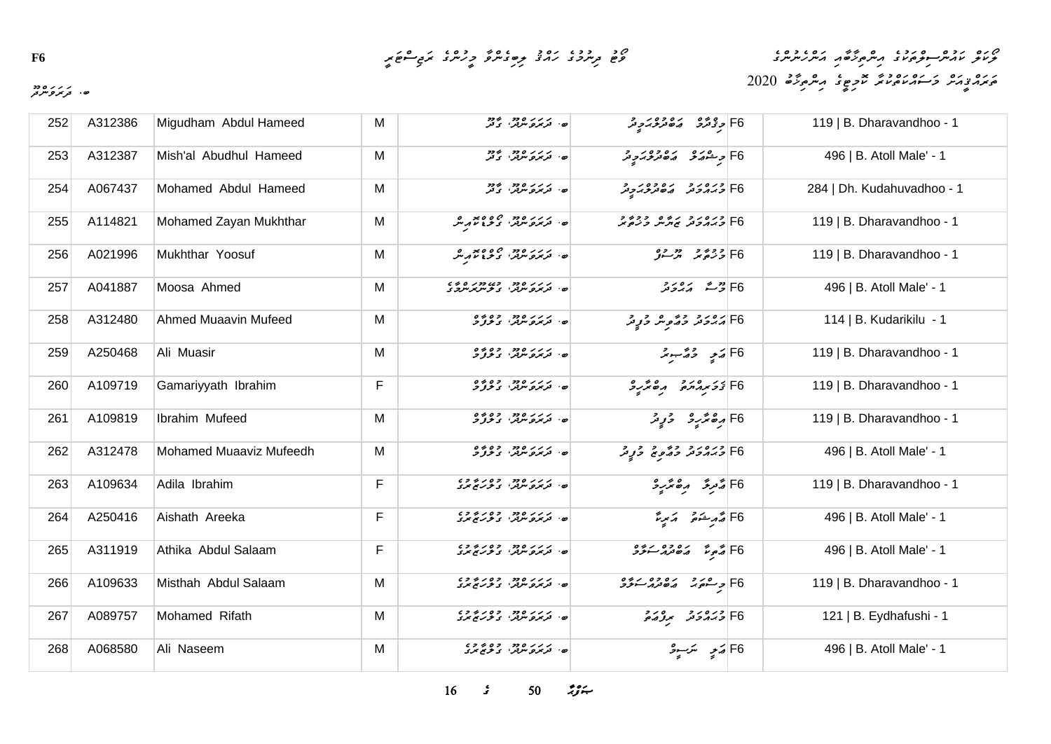*sCw7q7s5w7m< o<n9nOoAw7o< sCq;mAwBoEw7q<m; wBm;vB* م من المسجد المسجد المسجد المسجد المسجد العام 2020<br>مسجد المسجد المسجد المسجد المسجد المسجد المسجد المسجد المسجد ال

| 252 | A312386 | Migudham Abdul Hameed       | M           | ے - رے دوم موجود ہے۔<br>ن = تعری <i>مر</i> ی تعریف ک                 | F6 <i>وڏنگ</i> و <i>مڪنرونگ</i> ونگر  | 119   B. Dharavandhoo - 1  |
|-----|---------|-----------------------------|-------------|----------------------------------------------------------------------|---------------------------------------|----------------------------|
| 253 | A312387 | Mish'al Abudhul Hameed      | M           | ے کر برے وہ موجود<br>نصف کر بھی موجود کا کافر                        | F6 ج <i>ي شهر في مقابر فرند و ت</i> ر | 496   B. Atoll Male' - 1   |
| 254 | A067437 | Mohamed Abdul Hameed        | M           | ے کرے میں میں<br>ن تر <i>پری سر</i> تر کی                            | F6 دره در بره ده در د                 | 284   Dh. Kudahuvadhoo - 1 |
| 255 | A114821 | Mohamed Zayan Mukhthar      | M           | ر در ده دو ۵ ۵ ه ده ده<br>به ترس سربل کرم و سرس                      | F6   1970 من مرکش و دورو              | 119   B. Dharavandhoo - 1  |
| 256 | A021996 | Mukhthar Yoosuf             | M           | د در ده دو ۵ ۵ وه ده<br>۲۰۰۰ ترمزوسرتر، د مروسر                      | F6 كَرْمَوْمَرْ بِرْمِيْنِ            | 119   B. Dharavandhoo - 1  |
| 257 | A041887 | Moosa Ahmed                 | M           | נגנ ספר כמכר באשר בין האשר.<br>ישי " בניבע ביני בין ביני ביני ביו בי | F6 تخريم برندوتر                      | 496   B. Atoll Male' - 1   |
| 258 | A312480 | <b>Ahmed Muaavin Mufeed</b> | M           | ه کربره دو وه وه<br>ه تربروسرتر، ژنوژو                               | F6 كەبۇرى ئەھمەھەر ئۇيۇ               | 114   B. Kudarikilu - 1    |
| 259 | A250468 | Ali Muasir                  | M           | ر در در ده ده وه<br>ه۰ تربروسرتر، ژنوژو                              | F6 <i>ڇَجِ - جُهُ</i> جِيمُ           | 119   B. Dharavandhoo - 1  |
| 260 | A109719 | Gamariyyath Ibrahim         | $\mathsf F$ | ه کربره دو وه وه<br>ه تربره تربر د وژو                               | F6 تَوَسِّدِهُ مَنْ مِنْ مُرْسِرَةٌ   | 119   B. Dharavandhoo - 1  |
| 261 | A109819 | Ibrahim Mufeed              | M           | ه بربر ده دو وه وه<br>ه تربروسرتر، ژنوژو                             | F6 <sub>مر</sub> ھ تژر و تح و پار     | 119   B. Dharavandhoo - 1  |
| 262 | A312478 | Mohamed Muaaviz Mufeedh     | M           | ر در ده دو وه ده<br>ه۰ تربروسرتر، ژنوژو                              | F6 درورو ووژو و وړور                  | 496   B. Atoll Male' - 1   |
| 263 | A109634 | Adila Ibrahim               | F           | ر د د د ه وو د و د و و و و و و<br>ن د اندېرو سرتر او د مرسم سرو      | F6 مَّىرِمَّ مِـ مَحْرِرِ 3           | 119   B. Dharavandhoo - 1  |
| 264 | A250416 | Aishath Areeka              | $\mathsf F$ | ر ر ر ه دد<br>ن . تر بر و سرتر و بر بح بر ی                          | F6 مەم ھەمبەر كەنبەر ئىتىلگە          | 496   B. Atoll Male' - 1   |
| 265 | A311919 | Athika Abdul Salaam         | F           | ر ر ر ه دد<br>ن . تر برو سرتر ، و ب بر .                             | F6 مُحمِرَّ مُصْرَمُ مَحْرَدُ         | 496   B. Atoll Male' - 1   |
| 266 | A109633 | Misthah Abdul Salaam        | M           | ر ر ر د وو.<br>ن - تربرو سرتر - د و ر بح برو                         | F6 در ده ده دروه دو                   | 119   B. Dharavandhoo - 1  |
| 267 | A089757 | Mohamed Rifath              | M           | ر ر ر د وو.<br>ن - تربرو سرتر - د څر ر بح بری                        | F6 <i>32828 برؤمة.</i>                | 121   B. Eydhafushi - 1    |
| 268 | A068580 | Ali Naseem                  | M           | ر ر ر د ه ده د و ه د و د<br>ه۰ تر برو سرتر ٬ و و بح بری              | F6 <i>ڇُجِ سَرَ-ڀ</i> وُ              | 496   B. Atoll Male' - 1   |

 $16$  *s* 50  $29$   $\div$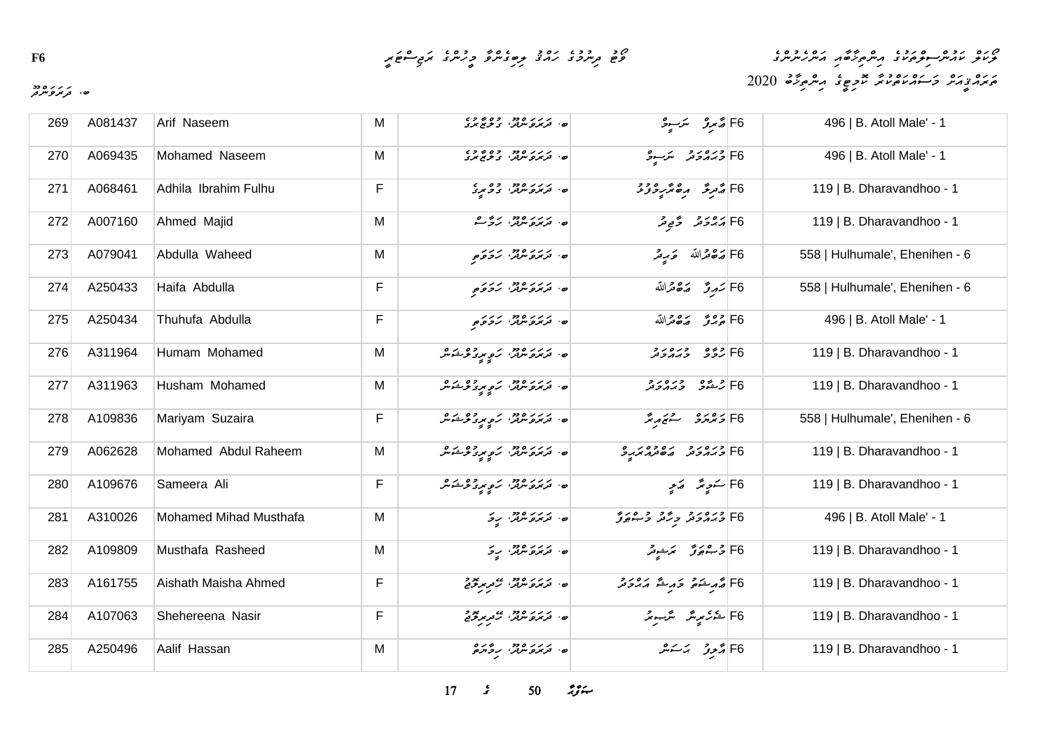*sCw7q7s5w7m< o<n9nOoAw7o< sCq;mAwBoEw7q<m; wBm;vB* م من المرة المرة المرة المرجع المرجع في المركبة 2020<br>مجم*د المريض المربوط المربع المرجع في المراجع المركبة* 

| 269 | A081437 | Arif Naseem                   | M           | ر ر ر د ده د د د د د د<br>ه۰ تربرو سربر ک ژبح بری              | F6 مجموع محرسوقر                         | 496   B. Atoll Male' - 1       |
|-----|---------|-------------------------------|-------------|----------------------------------------------------------------|------------------------------------------|--------------------------------|
| 270 | A069435 | Mohamed Naseem                | M           | ر در در ده د ده ده.<br>ه۰ تربروسرتر، د نرج برد                 | F6 <i>\$222 مگرسو</i> \$                 | 496   B. Atoll Male' - 1       |
| 271 | A068461 | Adhila Ibrahim Fulhu          | F           | ه . تربره و ده . وه<br>ه . تربره سربر . و و برو                | F6 مۇمرۇ ب <i>رھ ئۈرۈ ۋ</i> ۇ            | 119   B. Dharavandhoo - 1      |
| 272 | A007160 | Ahmed Majid                   | M           | ە · ئەترىرە « بەر بەر ب                                        | F6 كەندى قىلى قىلىنى ئىلگەندا ئىل        | 119   B. Dharavandhoo - 1      |
| 273 | A079041 | Abdulla Waheed                | м           | ه · تریروسه کرد کرد و                                          | F6 كەھەراللە   كەبوقر                    | 558   Hulhumale', Ehenihen - 6 |
| 274 | A250433 | Haifa Abdulla                 | $\mathsf F$ | ھ · ترىرى مەدەر كەركە بە                                       | F6 ك <i>تروق مك</i> اه كالله             | 558   Hulhumale', Ehenihen - 6 |
| 275 | A250434 | Thuhufa Abdulla               | F           |                                                                | F6 حرير كم صرح الله                      | 496   B. Atoll Male' - 1       |
| 276 | A311964 | Humam Mohamed                 | M           | ە ئەترىرى دەھ كەم دەھ شەش                                      | F6 رُوُو وَرَوْدُو                       | 119   B. Dharavandhoo - 1      |
| 277 | A311963 | Husham Mohamed                | M           | ے - تربرو میں - ترج بروکوشکر                                   | F6 رُسُوڤ ويرە دىر                       | 119   B. Dharavandhoo - 1      |
| 278 | A109836 | Mariyam Suzaira               | F           | ے - تربرو سربر - تربر برو و شہر                                | F6 كەنگەر قىيىم ئىگە بىر                 | 558   Hulhumale', Ehenihen - 6 |
| 279 | A062628 | Mohamed Abdul Raheem          | M           | ه به تربر در دور در دوستانگر<br>به تربره نیزان کرم برد و شونگر | F6 32022 2022 F6                         | 119   B. Dharavandhoo - 1      |
| 280 | A109676 | Sameera Ali                   | F           | ە · ترىرى مەدە بەر مەدىرى بولىدىش                              | F6 ڪوپٽر گھيو                            | 119   B. Dharavandhoo - 1      |
| 281 | A310026 | <b>Mohamed Mihad Musthafa</b> | M           | ے مریرہ میں رکھ                                                | F6 درورور <sub>م</sub> رتد دمبور         | 496   B. Atoll Male' - 1       |
| 282 | A109809 | Musthafa Rasheed              | M           | ه به ترتره ودو.<br>ه به ترتره سرتر از پرتر                     | F6 كۈسك <sub>ى</sub> تى ئۆزگە ئىرىئىيەتر | 119   B. Dharavandhoo - 1      |
| 283 | A161755 | Aishath Maisha Ahmed          | F           | ه · تریزو برود محمد برود                                       | F6 مُصِنْعَمْ وَمِثْ مَدْوَمْر           | 119   B. Dharavandhoo - 1      |
| 284 | A107063 | Shehereena Nasir              | F           | ه · تریزو برود بخ مریز و مح                                    | F6 ڪر <i>گريونگر</i> گرجونگر             | 119   B. Dharavandhoo - 1      |
| 285 | A250496 | Aalif Hassan                  | M           | ه · تریرو سرچر، روبرو                                          | F6 م <i>گون</i> گ ترکنگر                 | 119   B. Dharavandhoo - 1      |

*17 sC 50 nNw?mS*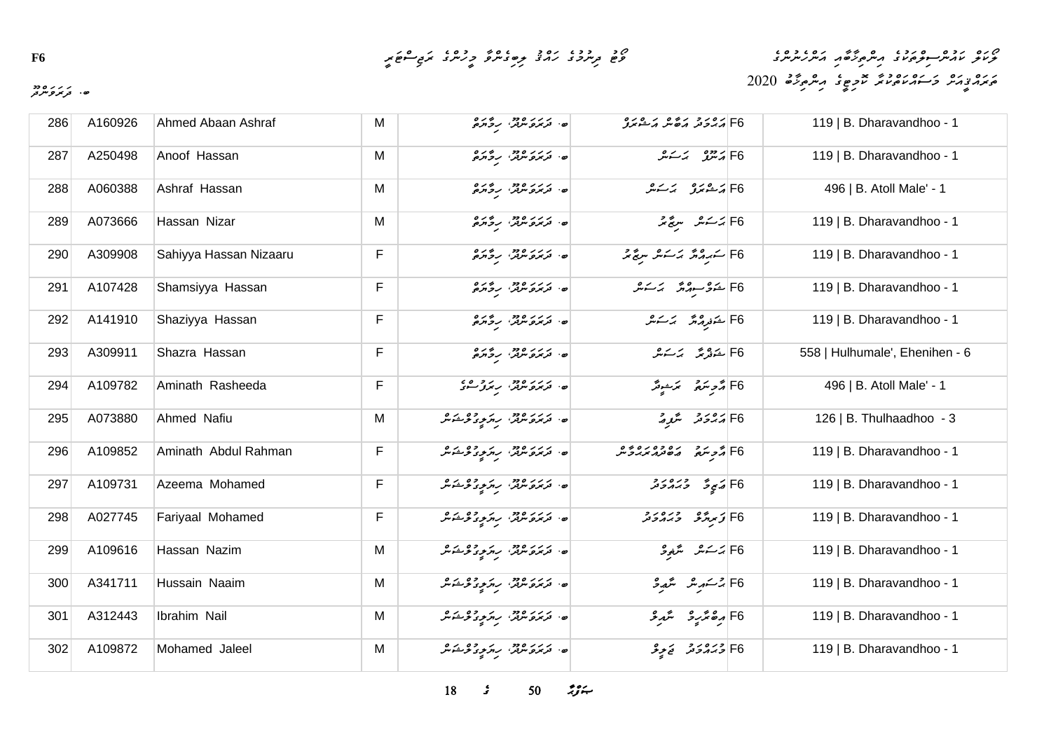*sCw7q7s5w7m< o<n9nOoAw7o< sCq;mAwBoEw7q<m; wBm;vB* م من المرة المرة المرة المرجع المرجع في المركبة 2020<br>مجم*د المريض المربوط المربع المرجع في المراجع المركبة* 

| <b>33 0 1 1 1</b>     |  |
|-----------------------|--|
| د <i>مربر و س</i> ر م |  |

| 286 | A160926 | Ahmed Abaan Ashraf     | M            | ه · تریروسه بروسرو                                      | F6 גיבני, גەپر גىشەر ۋ             | 119   B. Dharavandhoo - 1      |
|-----|---------|------------------------|--------------|---------------------------------------------------------|------------------------------------|--------------------------------|
| 287 | A250498 | Anoof Hassan           | M            | ه . تربره ود.<br>۴- تربره سرتر، برو بره                 | F6 كەنترىق ئەسكەنگر                | 119   B. Dharavandhoo - 1      |
| 288 | A060388 | Ashraf Hassan          | M            | ه ورد ود.<br>ه ترنده سربر در وره                        | F6 كەش <i>ەترۇ بى</i> كەش          | 496   B. Atoll Male' - 1       |
| 289 | A073666 | Hassan Nizar           | M            | ه کريمه دين روبره<br>ه کريمه سرگر روبره                 | F6 يَرْسَدُ مِنْ مِنْ مِنْ         | 119   B. Dharavandhoo - 1      |
| 290 | A309908 | Sahiyya Hassan Nizaaru | $\mathsf{F}$ | ه . تربره ود .<br>ه . تربره سرتر . رو بره               | F6 س <i>تهره، بۇ برسكىر</i> سرچ بر | 119   B. Dharavandhoo - 1      |
| 291 | A107428 | Shamsiyya Hassan       | $\mathsf{F}$ | ه . تربره ود .<br>ه . تربره سربر . بر د در .            | F6 خۇچ سو <i>مەمگە بەسكى</i> گە    | 119   B. Dharavandhoo - 1      |
| 292 | A141910 | Shaziyya Hassan        | F            | ه . تربره ود .<br>ه . تربروسرتر . رو برو                | F6 شَغْرِهُ جُمْ بَرْسَة مَسْ      | 119   B. Dharavandhoo - 1      |
| 293 | A309911 | Shazra Hassan          | $\mathsf{F}$ | ه . تر بر وجه . د . د .<br>ه . تر برو شهر . بر د در و   | F6 شۇرنى ئەس <i>تەنل</i>           | 558   Hulhumale', Ehenihen - 6 |
| 294 | A109782 | Aminath Rasheeda       | F            | ە بەر رەپىي بەترومى<br>ھەمەترىترە بىرى بەترىسى          | F6 مُجِسَمَ سَنِيمٌ مَنْ مَسْرِمُ  | 496   B. Atoll Male' - 1       |
| 295 | A073880 | Ahmed Nafiu            | M            | ە ئىرىمە مەدەبەر مەرجى ئەسىر ھە                         | F6 كەندى ئىگە ئىگە ئىگە            | 126   B. Thulhaadhoo - 3       |
| 296 | A109852 | Aminath Abdul Rahman   | $\mathsf F$  | ے - تریزہ سرقر، بارکروی کی شکار                         |                                    | 119   B. Dharavandhoo - 1      |
| 297 | A109731 | Azeema Mohamed         | F            | ە بەر دەپ بەر دەپ ھ                                     | F6 كەيپى قەممىقىلىرى بىر           | 119   B. Dharavandhoo - 1      |
| 298 | A027745 | Fariyaal Mohamed       | F            | ە ئەيرەكلەر مەرىپە دەپ                                  | F6 كۆمپەترى ئەممەدىر               | 119   B. Dharavandhoo - 1      |
| 299 | A109616 | Hassan Nazim           | M            | ە بەر بەدە بەر دەھ.<br>ھ بەرە ئىرى بەر بەر ئەس          | F6 ئەسەنىش ش <sub>ەھ</sub> ۋ       | 119   B. Dharavandhoo - 1      |
| 300 | A341711 | Hussain Naaim          | M            | ه برنزه دو برگرده و در شد.<br>به برنزو مرکز برگرد و شد. | F6 يُرْسَمْ مِنْ سُمْهِ وَ         | 119   B. Dharavandhoo - 1      |
| 301 | A312443 | Ibrahim Nail           | M            | ە بەر ئەدەبە بەرگە ئەھەتكە                              | F6 رەئزى <sub>ر</sub> و ئىرو       | 119   B. Dharavandhoo - 1      |
| 302 | A109872 | Mohamed Jaleel         | M            | ە بەر بەدە بەر دەھ.<br>ھ بەرە ئىرى بەر بەر ئەس          | F6 كەيرى 3 كىم يىچە تىل بىر ئىل    | 119   B. Dharavandhoo - 1      |

*18 sC 50 nNw?mS*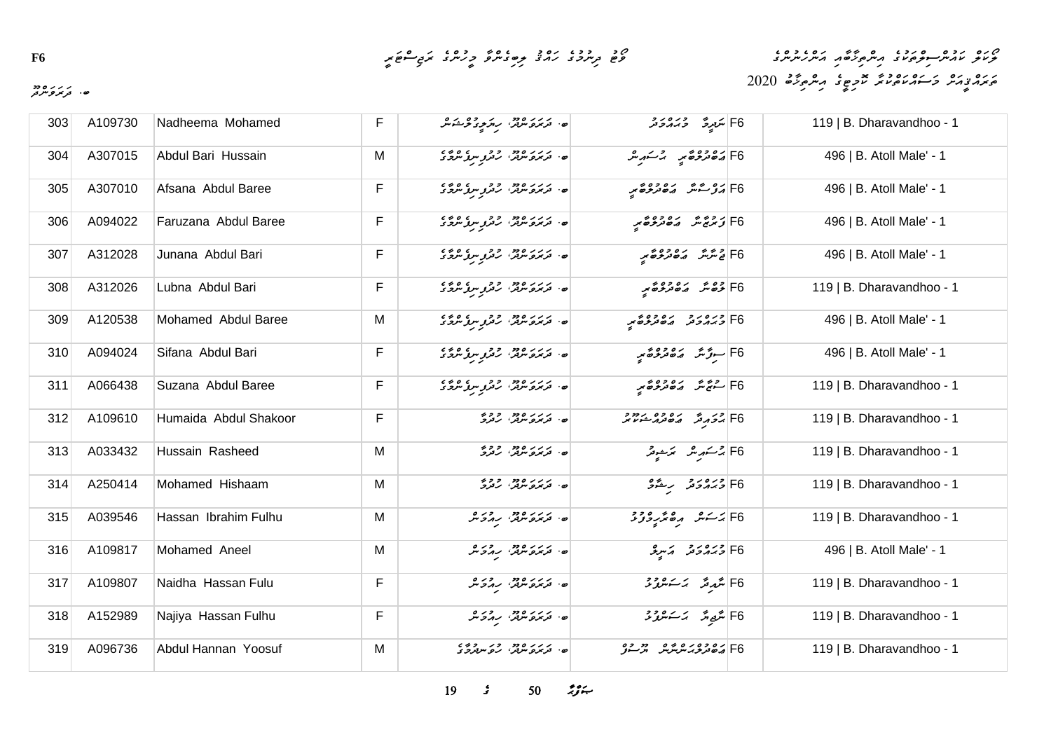*sCw7q7s5w7m< o<n9nOoAw7o< sCq;mAwBoEw7q<m; wBm;vB* م من المسجد المسجد المسجد المسجد المسجد العام 2020<br>مسجد المسجد المسجد المسجد المسجد المسجد المسجد المسجد المسجد ال

| 303 | A109730 | Nadheema Mohamed      | F            | ە بەر ئەرەپى بەر بەر ئەھمىد                                          | F6  سَرَمَرِدَّ 3ْرَكْرُدُورْ                                                                        | 119   B. Dharavandhoo - 1 |
|-----|---------|-----------------------|--------------|----------------------------------------------------------------------|------------------------------------------------------------------------------------------------------|---------------------------|
| 304 | A307015 | Abdul Bari Hussain    | M            | ے - دریر ووجہ - ووٹر میں مردی<br>ص- ترین مرتبر - رفرني میں مردی      | F6 مَەھىردە مېر ب <sub>ە</sub> ر سەمبەر                                                              | 496   B. Atoll Male' - 1  |
| 305 | A307010 | Afsana Abdul Baree    | F            | ه ۱۷۷۰ وو. د و د د ده و د و د<br>ه ا تربره سرتر ارتزو سرو سرد د      | F6 كەرمىسىگە كەھەر <i>ۋەتتىر</i>                                                                     | 496   B. Atoll Male' - 1  |
| 306 | A094022 | Faruzana Abdul Baree  | F            | ر در دود. دو در ده ده د<br>ه۰ تریزوسهل کنروسوژسوژ                    | F6 <i>ۇنرىئى شەھەر ۋە</i> ئىر                                                                        | 496   B. Atoll Male' - 1  |
| 307 | A312028 | Junana Abdul Bari     | F            | ر در دود. دور دوره دوه<br>مستوجره سرفر، گنترنو سرفرندی               | F6 في مَرْمَدٌ مَصْعَرَفَرَ <i>هُ بِ</i>                                                             | 496   B. Atoll Male' - 1  |
| 308 | A312026 | Lubna Abdul Bari      | $\mathsf{F}$ | د در دود. دور<br>ه۰ تربره سرتر، رترو سرو سرو د                       | F6 تُرْهَ شُرِّ مُهْ مُعْرَفَهُ مِرِ                                                                 | 119   B. Dharavandhoo - 1 |
| 309 | A120538 | Mohamed Abdul Baree   | M            | ه ۱۷۷۰ وو. د و د د ده و د و د<br>ه ا تربره سرتر ارتزو سرو سرد د      | F6 3 2005 مركز محمد المحمد المحمد المحمد المحمد المحمد المحمد المحمد المحمد المحمد المحمد المحمد الم | 496   B. Atoll Male' - 1  |
| 310 | A094024 | Sifana Abdul Bari     | F            | ه ۱۷۷۰ وو. د و د د ده و د و د<br>ه ا تربره سرتر ارتزو سرو سرد د      | F6 سوژىتر مەھ <i>ىردە</i> بىر                                                                        | 496   B. Atoll Male' - 1  |
| 311 | A066438 | Suzana Abdul Baree    | $\mathsf{F}$ | د در دود. وو<br>ه۰ تربره سرتر، رترتو سرتر سر <del>د</del> د          | F6 جۇنئر مەھ <i>تر ۋەتىر</i>                                                                         | 119   B. Dharavandhoo - 1 |
| 312 | A109610 | Humaida Abdul Shakoor | F            | ر در ده ده و ده<br>ه۰ تربرو سربر، رترد                               | F6 جۇمۇر ھەممەدە دەر                                                                                 | 119   B. Dharavandhoo - 1 |
| 313 | A033432 | Hussain Rasheed       | M            | ے کربرہ دو ووٹر<br>ے کربروکریں رکز                                   | F6 پُرڪمبرنگر - مَرَڪومُرُ-                                                                          | 119   B. Dharavandhoo - 1 |
| 314 | A250414 | Mohamed Hishaam       | M            | ے کربرہ دو ووٹا<br>ے تربروسرتر، رترو                                 | F6 <i>وُبَهُ وَمَدْ بِ</i> حَدُّوْ                                                                   | 119   B. Dharavandhoo - 1 |
| 315 | A039546 | Hassan Ibrahim Fulhu  | M            | ه کريزه دو.<br>ه گريزه سرگر، پاړو س                                  | F6 يَرْسَسْ بِرِهْتَرْبِرْوَتْرْ                                                                     | 119   B. Dharavandhoo - 1 |
| 316 | A109817 | Mohamed Aneel         | M            | ه ۰ تربره ود .<br>« تربروسرتر ، رمرد س                               | F6 352,25 كەبىرى                                                                                     | 496   B. Atoll Male' - 1  |
| 317 | A109807 | Naidha Hassan Fulu    | F            | ه برنده دود.<br>برنده سرفر برمرد ش                                   | F6 مُدِيَّز بُرَسَسْ وَفَرْقَ                                                                        | 119   B. Dharavandhoo - 1 |
| 318 | A152989 | Najiya Hassan Fulhu   | F            | ه بر کرد وجود در در در این کرد کرد.<br>در افزایر کاربرای کرد کرد کرد | F6 يترب <sub>ع م</sub> تر بركت متركز                                                                 | 119   B. Dharavandhoo - 1 |
| 319 | A096736 | Abdul Hannan Yoosuf   | M            | ر در ده دو.<br>ه۰ تربرو سربر، رو سربرو د                             |                                                                                                      | 119   B. Dharavandhoo - 1 |

*19 s* 50 *if*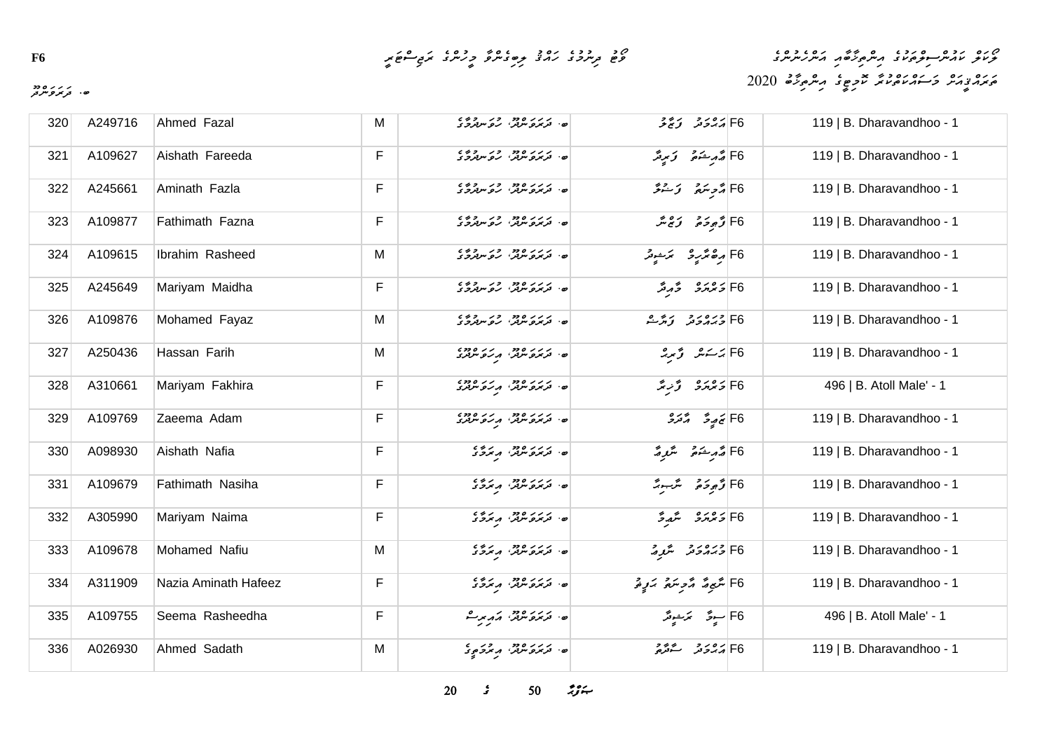*sCw7q7s5w7m< o<n9nOoAw7o< sCq;mAwBoEw7q<m; wBm;vB* م من المرة المرة المرة المرجع المرجع المرجع في 2020<br>مجم*د المريض المرجع المرجع المرجع المرجع المراجع المراجع الم*رجع

| 320 | A249716 | Ahmed Fazal          | M           | ے - تر <i>بر</i> ے مربی - تر <i>ہے موبرو</i> ی<br>ے - تر <i>بری موبی</i> - <i>تر فرموبر</i> وی | F6 <i>ټرونو وگ</i> و                | 119   B. Dharavandhoo - 1 |  |
|-----|---------|----------------------|-------------|------------------------------------------------------------------------------------------------|-------------------------------------|---------------------------|--|
| 321 | A109627 | Aishath Fareeda      | $\mathsf F$ | د در ده دو.<br>ه۰ ترنده نترتن کره نترتری                                                       | F6 مُگهرِ حَکم وَمَوِتَر            | 119   B. Dharavandhoo - 1 |  |
| 322 | A245661 | Aminath Fazla        | F           | ر در ده دو.<br>ه۰ تربره سرتر، ره سرترو د                                                       | F6 مُرْمِسَمْ وَسْتَوْ              | 119   B. Dharavandhoo - 1 |  |
| 323 | A109877 | Fathimath Fazna      | F           | ر در ده وو.<br>ه۰ تربره مرتز، ره مرتزوی                                                        | F6 زَّجِ دَحَمَّةَ وَجَنَّدَ        | 119   B. Dharavandhoo - 1 |  |
| 324 | A109615 | Ibrahim Rasheed      | M           | ر در ده وو.<br>ه۰ تربره مرتز، ره مرتزوری                                                       | F6 مەھەرىپ كىمىسى F6                | 119   B. Dharavandhoo - 1 |  |
| 325 | A245649 | Mariyam Maidha       | $\mathsf F$ | د در ده وو.<br>ه۰ تربرو نترتر، رو نترتری                                                       | F6 دَيْرْيَرْ دَّبْرَ دَّ           | 119   B. Dharavandhoo - 1 |  |
| 326 | A109876 | Mohamed Fayaz        | M           | ے - تربرو میں بھی موقوع ہے<br>ن = توبیرو سرقر - مرکز میں مرکز میں ا                            | F6 <i>5222 ذَمَّرْتْ</i>            | 119   B. Dharavandhoo - 1 |  |
| 327 | A250436 | Hassan Farih         | M           | ه به مرد ره دو .<br>به مرد و سرفر ا بر کر کرد و د                                              | F6   پرسکس قریر پر                  | 119   B. Dharavandhoo - 1 |  |
| 328 | A310661 | Mariyam Fakhira      | F           | ه به مرد ۱۵ ده به مرکز ۲۶۵ و.<br>به انگریزه سرفر اورکزه سرفری                                  | F6 كانترنىڭ قى ئەرىتىگە             | 496   B. Atoll Male' - 1  |  |
| 329 | A109769 | Zaeema Adam          | F           | ه به برره دو.<br>به تریزه سربر ایر کره سربرد                                                   | F6 يَهِ وَ " " " " " " " " " " F6   | 119   B. Dharavandhoo - 1 |  |
| 330 | A098930 | Aishath Nafia        | $\mathsf F$ | ه . ترتره بيره بر برو .<br>ه . ترتره سرتر . بر ترو د                                           | F6 مُصِيَّعَةٍ سَمَّدِمُّ           | 119   B. Dharavandhoo - 1 |  |
| 331 | A109679 | Fathimath Nasiha     | F           | ه · تریزو سرچی بربروی                                                                          | F6 زَّەپرىق سَرَجەنَّە              | 119   B. Dharavandhoo - 1 |  |
| 332 | A305990 | Mariyam Naima        | F           | ه . تریزو برو.<br>ه . تریزو برو. از برو د                                                      | F6 كابر بركر محمد محمد محمد         | 119   B. Dharavandhoo - 1 |  |
| 333 | A109678 | Mohamed Nafiu        | M           | ه ۰ تربر و در ۶۶ در و ۶<br>ه ۰ تربرو سرتر ۲ د برو د                                            | F6 <i>3223 مگون</i> گ               | 119   B. Dharavandhoo - 1 |  |
| 334 | A311909 | Nazia Aminath Hafeez | F           | ه· تریزوین پربروی                                                                              | F6 سَّمِيرَ مَّ مِرْسَمَ بَرَرٍ مِّ | 119   B. Dharavandhoo - 1 |  |
| 335 | A109755 | Seema Rasheedha      | F           | ھ تریزو مریز کہریں۔                                                                            | F6 سوءً - مَرْشومَّر                | 496   B. Atoll Male' - 1  |  |
| 336 | A026930 | Ahmed Sadath         | M           | ه بر در دود.<br>ه بر دی سرفر از مرد مرد                                                        | F6 كەبروتر شۇتر <i>ە</i>            | 119   B. Dharavandhoo - 1 |  |

 $20$  *s* 50  $29$   $\div$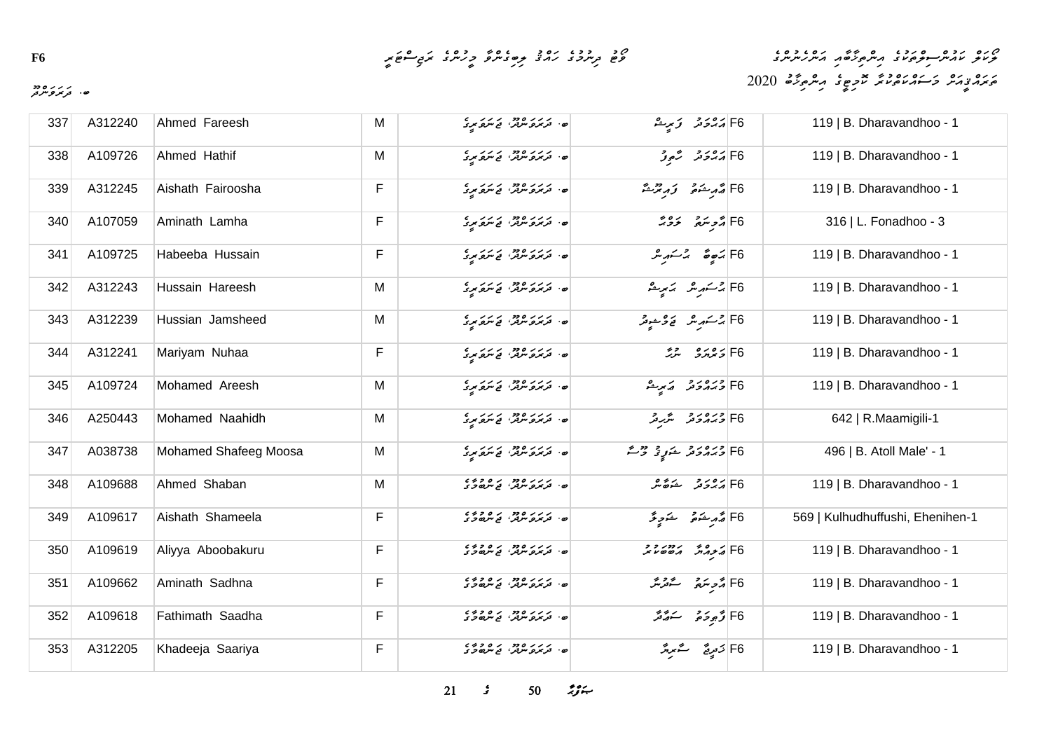*sCw7q7s5w7m< o<n9nOoAw7o< sCq;mAwBoEw7q<m; wBm;vB* م من المسجد المسجد المسجد المسجد المسجد العام 2020<br>مسجد المسجد المسجد المسجد المسجد المسجد المسجد المسجد المسجد ال

| 337 | A312240 | Ahmed Fareesh         | M           | ے مریر والی تم شرح مری                                                | F6  كەبۇقۇ كۆمچەشى                                         | 119   B. Dharavandhoo - 1        |
|-----|---------|-----------------------|-------------|-----------------------------------------------------------------------|------------------------------------------------------------|----------------------------------|
| 338 | A109726 | Ahmed Hathif          | M           | ه . تریزه «در میکرد »                                                 | F6 كەندى قىر ئىمبى قىلىپ قىلىپ قىلىپ قىلىپ قىلىپ قىلىپ قىل | 119   B. Dharavandhoo - 1        |
| 339 | A312245 | Aishath Fairoosha     | F           | ے پی کرے وہ کے سکھا ہوتا ہے                                           | F6 مُدمِسْدَة وَدِيْرَ مُشَ                                | 119   B. Dharavandhoo - 1        |
| 340 | A107059 | Aminath Lamha         | F           | ے - تریزی مربور - تریز تریزی<br>جا - تریزی مربور - تح مربی مربی       | F6 مُجِسَعَةٍ وَقَرْبٌةٍ                                   | 316   L. Fonadhoo - 3            |
| 341 | A109725 | Habeeba Hussain       | F           | ے پی کرے وہ کے سکھا ہوتا ہے                                           | F6 يَهِمُّ بُرْسَهِ بِرْ                                   | 119   B. Dharavandhoo - 1        |
| 342 | A312243 | Hussain Hareesh       | M           | ے - تریزی سربل - تا سری مور<br>ے - تریزی سربل - تے سری مور            | F6  يُرْسَمَ مِرْسُمْ = كَبَرِيْشْ =                       | 119   B. Dharavandhoo - 1        |
| 343 | A312239 | Hussian Jamsheed      | M           | ے پی کرے وہ کے سکھا ہوتا ہے                                           | F6 يُرْسَمبِ هُل مَحْرَ مُسِيقَر                           | 119   B. Dharavandhoo - 1        |
| 344 | A312241 | Mariyam Nuhaa         | F           | ے ۔ تریز ویدو بھی تریز ہے<br>جے تریز و سربل کے سرو تری                | F6 كَيْتَرْتَزَّ مِّرْتَّ                                  | 119   B. Dharavandhoo - 1        |
| 345 | A109724 | Mohamed Areesh        | M           | ے میں مرین اس کے سرچ میں تاریخ<br>اس میں میں مرین اس کے سرچ میں تاریخ | F6 <i>\$222 \$يو</i> يش                                    | 119   B. Dharavandhoo - 1        |
| 346 | A250443 | Mohamed Naahidh       | M           | ے میں مرین اس کے سرچ میں تاریخ<br>اس میں میں مرین اس کے سرچ میں تاریخ | F6 كەندۇرى مەرىتى                                          | 642   R.Maamigili-1              |
| 347 | A038738 | Mohamed Shafeeg Moosa | M           | ه · تریزه سربر ، تم سره مرد                                           | F6 كەيركە ئىر ئىر ئەسىگە F6.                               | 496   B. Atoll Male' - 1         |
| 348 | A109688 | Ahmed Shaban          | M           | ر در در ود.<br>ه۰ تر برو سرتر، نے سرچ تر د                            | F6 كەبرى ئىر ئىش ئىش                                       | 119   B. Dharavandhoo - 1        |
| 349 | A109617 | Aishath Shameela      | F           | ر در در دود.<br>ه۰ تربره سرتر، نے سره تر د                            | F6 مُرمِسَمُ صَوِيَّ                                       | 569   Kulhudhuffushi, Ehenihen-1 |
| 350 | A109619 | Aliyya Aboobakuru     | F           | ر ر ر ده ده .<br>ه۰ تر برو سرتر ، تح سره تر ی                         | $72222$ $722$ $822$                                        | 119   B. Dharavandhoo - 1        |
| 351 | A109662 | Aminath Sadhna        | $\mathsf F$ | ر در در دود.<br>ح۰ تریروسرتر، نے سرچ ژ                                | F6 گەج ئىكرە مەمەتىگە                                      | 119   B. Dharavandhoo - 1        |
| 352 | A109618 | Fathimath Saadha      | F           | ر در در دود.<br>ن در برو سربر او شری و د                              | F6 <i>وَّجِوَدَة</i> سَهَقَّ                               | 119   B. Dharavandhoo - 1        |
| 353 | A312205 | Khadeeja Saariya      | F           | ر ر ر ده ده .<br>ه۰ تر برو سرتر ، تح سره تر ی                         | F6 كَتَعِيقٌ مُستَّعِي <i>دةٌ</i>                          | 119   B. Dharavandhoo - 1        |

 $21$  *s* 50  $23$   $\div$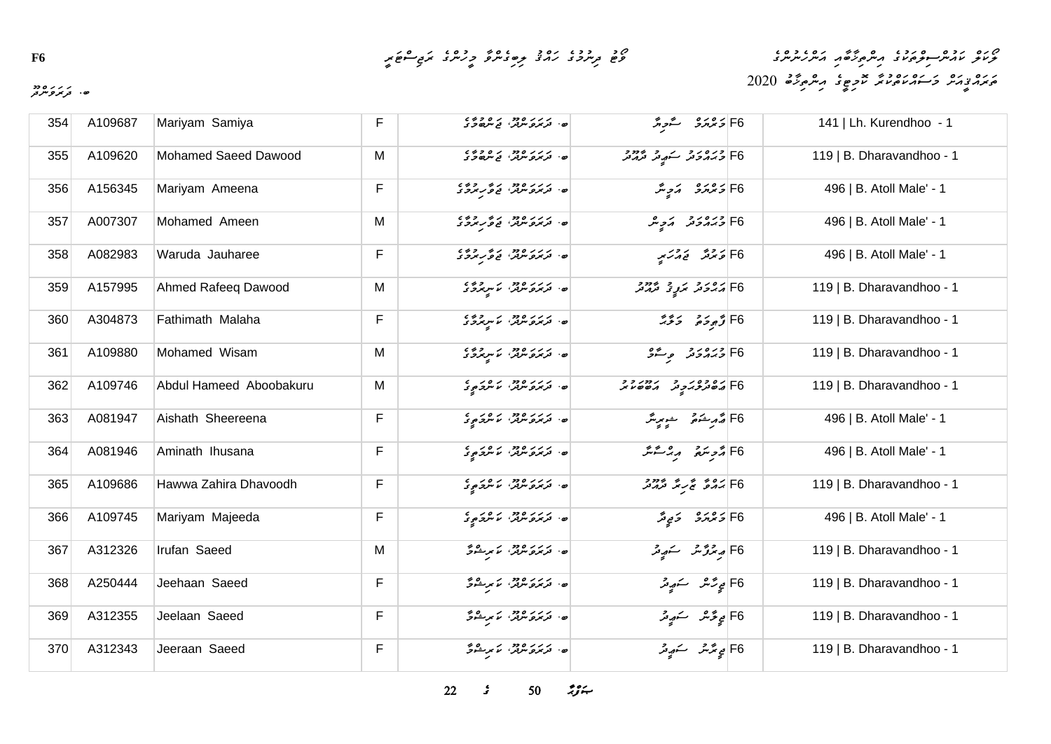*sCw7q7s5w7m< o<n9nOoAw7o< sCq;mAwBoEw7q<m; wBm;vB* م من المرة المرة المرة المرجع المرجع المرجع في 2020<br>مجم*د المريض المرجع المرجع المرجع المرجع المراجع المراجع الم*رجع

| 354 | A109687 | Mariyam Samiya              | F           | ر در دود.<br>ه۰ تربروسربر، نے سرچ و د                   | F6 كەنگەر ئەرەم بىرىدىكە                | 141   Lh. Kurendhoo - 1   |
|-----|---------|-----------------------------|-------------|---------------------------------------------------------|-----------------------------------------|---------------------------|
| 355 | A109620 | <b>Mohamed Saeed Dawood</b> | M           | ر در در دود.<br>ح۰ تریرو سربر، نے سرچ تر ی              | F6 כְּגלב'ב הומביר ישמי                 | 119   B. Dharavandhoo - 1 |
| 356 | A156345 | Mariyam Ameena              | F           | ے مرمرہ میں اس وہ ہے<br>نظر مرمرہ مرمرہ کے حرم مرحز ک   | F6 كەنگە <i>نگە مەجەنگ</i> ە            | 496   B. Atoll Male' - 1  |
| 357 | A007307 | Mohamed Ameen               | M           | ر در ده دو در ده و ده د<br>ه۰ تریمروسرتر کانگرچری       | F6 <i>\$222 مۇچىل</i>                   | 496   B. Atoll Male' - 1  |
| 358 | A082983 | Waruda Jauharee             | F           | ن کرد را وجود کری دی د<br>ن تریزی کربل کے فرگرمرو ک     | F6 كاترترنتر التجارجر ترتيبو            | 496   B. Atoll Male' - 1  |
| 359 | A157995 | Ahmed Rafeeq Dawood         | M           | ه به زر دود.<br>ه به تریزو سربل که سربرد د              | F6 <i>גُرُوڻَ بَرُوِيِّ تَرَمُ</i> مَرَ | 119   B. Dharavandhoo - 1 |
| 360 | A304873 | Fathimath Malaha            | F           | ھ تریزو مربی کامرچوی                                    | F6 <i>وَّجِ حَقَّ حَقَّدٌ</i>           | 119   B. Dharavandhoo - 1 |
| 361 | A109880 | Mohamed Wisam               | M           | ه به مرد وده به مسرحرون<br>ه به مرد وسرفر اسکان مسرحرون | F6 <i>3222 وسگر</i>                     | 119   B. Dharavandhoo - 1 |
| 362 | A109746 | Abdul Hameed Aboobakuru     | M           | ه به زره دو برور با<br>ه بر ترین سربل با سرچ می         | F6 בטינגוקים משטעים                     | 119   B. Dharavandhoo - 1 |
| 363 | A081947 | Aishath Sheereena           | F           | ه بر بر دود. بر در بر ع<br>ه بر بر و سربر اسرچ م        | F6 مُرْمِسْمَةٌ مُسْمِيةٌ               | 496   B. Atoll Male' - 1  |
| 364 | A081946 | Aminath Ihusana             | $\mathsf F$ | ه بربره دو بره بر با<br>ه تریموس                        | F6 مُ <i>وِ سَهْءُ مِي مُ</i> سُمَسَّر  | 496   B. Atoll Male' - 1  |
| 365 | A109686 | Hawwa Zahira Dhavoodh       | F           | ه به کرد وجود به در در د<br>ه به ترجره سربر استروپور    | F6 يَرْدُوْ بِجُرِبُّہِ مُرْدَمْر       | 119   B. Dharavandhoo - 1 |
| 366 | A109745 | Mariyam Majeeda             | F           | ه بر دره دو.<br>ه بر در مرد بر مردم د                   | F6 <i>وَجُهْرُوْ وَف</i> ِيَّرُ         | 496   B. Atoll Male' - 1  |
| 367 | A312326 | Irufan Saeed                | M           | ھ گريزو سرگر، گامرڪو گ                                  | F6 م <i>ينگرنگر ڪوپ</i> ئر              | 119   B. Dharavandhoo - 1 |
| 368 | A250444 | Jeehaan Saeed               | F           | ھ گريزو سرگر، گامرڪو گ                                  | F6 <sub>مج</sub> رشر س <i>تہون</i> ر    | 119   B. Dharavandhoo - 1 |
| 369 | A312355 | Jeelaan Saeed               | F           | ھ کريمرہ ميں کا يوسفات                                  | F6 <sub>مج</sub> وَّش سَم <i>ہِ</i> تر  | 119   B. Dharavandhoo - 1 |
| 370 | A312343 | Jeeraan Saeed               | F           | ە بەرىرەدە ئەيرىشى                                      | F6 پ <i>وپٽر سکوپ</i> ٽر                | 119   B. Dharavandhoo - 1 |

*22 sC 50 nNw?mS*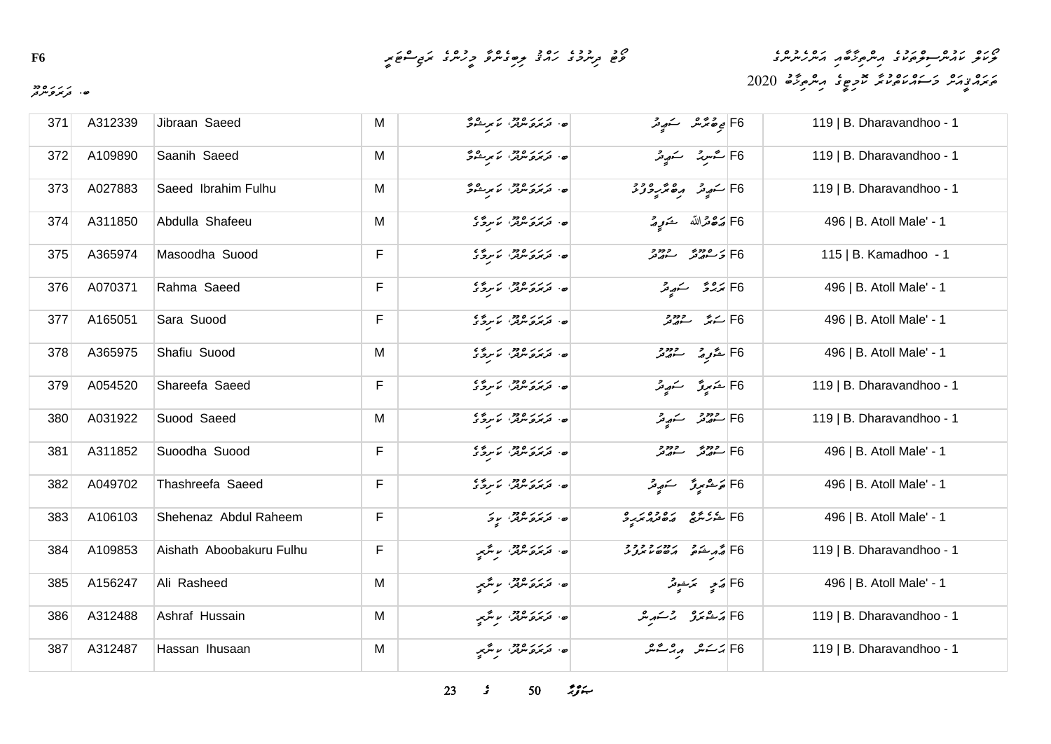*sCw7q7s5w7m< o<n9nOoAw7o< sCq;mAwBoEw7q<m; wBm;vB* م من المرة المرة المرة المرجع المرجع المرجع في 2020<br>مجم*د المريض المرجع المرجع المرجع المرجع المراجع المراجع الم*رجع

| 371 | A312339 | Jibraan Saeed            | M           | ە· ترىرە شرىر، ئايرىشەدى                | F6   ی <sub>ے</sub> <i>صحر شہر سکھی</i> قر | 119   B. Dharavandhoo - 1 |
|-----|---------|--------------------------|-------------|-----------------------------------------|--------------------------------------------|---------------------------|
| 372 | A109890 | Saanih Saeed             | M           | ے کریرہ ووج کا یوسٹوگر                  | F6 گسبر2 کوپوټر                            | 119   B. Dharavandhoo - 1 |
| 373 | A027883 | Saeed Ibrahim Fulhu      | M           | ے کر مرکز ووج کا مرشوش                  | F6 سَهِيمٌ مِنْ مُحَمَّدٍ وَوَدْ           | 119   B. Dharavandhoo - 1 |
| 374 | A311850 | Abdulla Shafeeu          | M           | ه . تریره میره . تا بردگان              | F6 مَەھْتَراللە شَو <i>رِ م</i> ُ          | 496   B. Atoll Male' - 1  |
| 375 | A365974 | Masoodha Suood           | F           | ه · تریره سروی که بردگان                | F6 كەشقەر مەدەرە                           | 115   B. Kamadhoo - 1     |
| 376 | A070371 | Rahma Saeed              | F           | ه · تریره سرچ، تریروی                   | F6 يَرْدُدُّ سَمَ <i>دِ</i> نْدُ           | 496   B. Atoll Male' - 1  |
| 377 | A165051 | Sara Suood               | F           | ه پر در ود کمبرد د                      | F6 سەنئە سىقبەتىر                          | 496   B. Atoll Male' - 1  |
| 378 | A365975 | Shafiu Suood             | M           | ه · تربره ود از داد و ا                 | F6 ڪروچ سوچيو ج                            | 496   B. Atoll Male' - 1  |
| 379 | A054520 | Shareefa Saeed           | F           | ه برنده ود کرده                         | F6 ڪمپر <i>ڙ ڪوپ</i> ٽر                    | 119   B. Dharavandhoo - 1 |
| 380 | A031922 | Suood Saeed              | м           | ه به تربره ود.<br>۴- تربره سربر الابروك | F6 سىھەتىر سى <i>ھەم</i> قىر               | 119   B. Dharavandhoo - 1 |
| 381 | A311852 | Suoodha Suood            | $\mathsf F$ | ه به زره دود.<br>ه برنده سربر کا برد د  | F6 سهر محمد محمد محمد محمد محمد الس        | 496   B. Atoll Male' - 1  |
| 382 | A049702 | Thashreefa Saeed         | F           | ه · تریره سروی که بردگان                | F6 كۈشكىرى <i>گە سكوپى</i> گە              | 496   B. Atoll Male' - 1  |
| 383 | A106103 | Shehenaz Abdul Raheem    | F           | ے مریرہ وہ ہوتی ہے                      | F6 څرگړي مص <i>رم وه برمړن</i> و           | 496   B. Atoll Male' - 1  |
| 384 | A109853 | Aishath Aboobakuru Fulhu | F           | ے مریرہ وو                              | F6 مەم شەھ مەھەم بىرو د                    | 119   B. Dharavandhoo - 1 |
| 385 | A156247 | Ali Rasheed              | M           | ه نر مرکزه ده باشیر                     | F6 كەمچە كەشىرەگە                          | 496   B. Atoll Male' - 1  |
| 386 | A312488 | Ashraf Hussain           | M           | ے مریرہ وو                              | F6 كەشقەتتىر بەيجە سەمبەتلە                | 119   B. Dharavandhoo - 1 |
| 387 | A312487 | Hassan Ihusaan           | M           | ے - تربروسرتر، ب بگرمر                  | F6   يَرْسَعْرُ مِدْرَسْتَعْسُ             | 119   B. Dharavandhoo - 1 |

*23 sC 50 nNw?mS*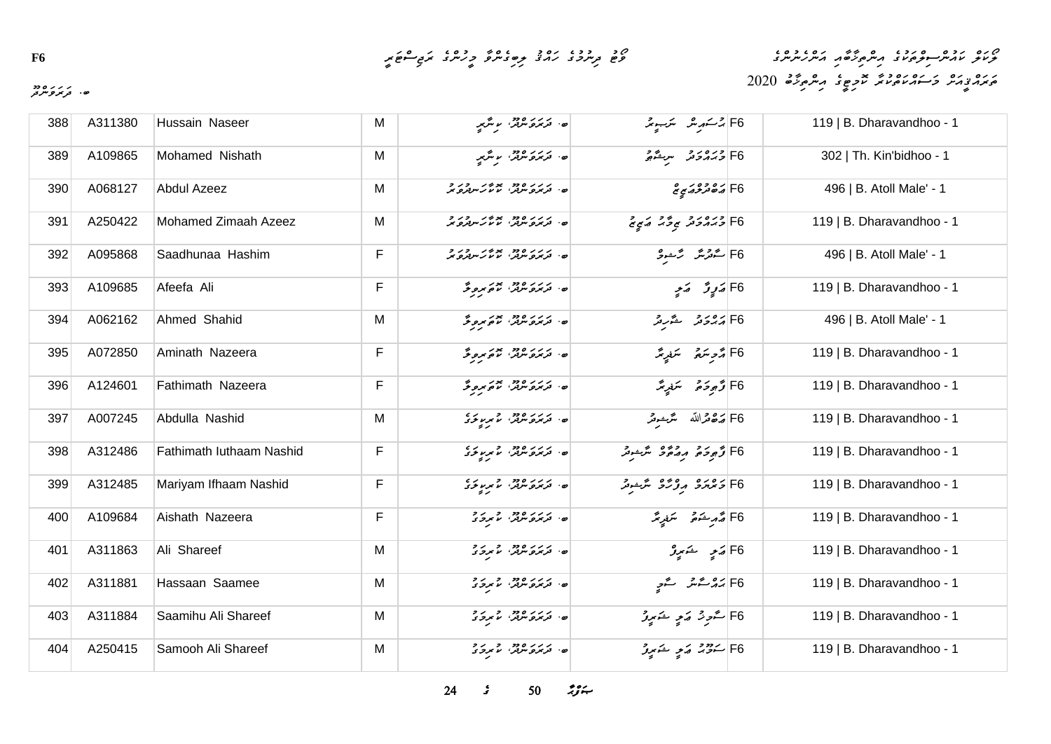*sCw7q7s5w7m< o<n9nOoAw7o< sCq;mAwBoEw7q<m; wBm;vB* م من المسجد المسجد المسجد المسجد المسجد العام 2020<br>مسجد المسجد المسجد المسجد المسجد المسجد المسجد المسجد المسجد ال

| 388 | A311380 | Hussain Naseer           | M           | ھ <i>تر پر کا</i> مریز، پاسگاپر                                            | F6 پُرکوپٹر کربے گر                    | 119   B. Dharavandhoo - 1 |
|-----|---------|--------------------------|-------------|----------------------------------------------------------------------------|----------------------------------------|---------------------------|
| 389 | A109865 | Mohamed Nishath          | M           | ە· ئەيمەھەرىقى، بەنىگىر                                                    | F6 <i>وُبَهُ وَبَدْ</i> مِنْ مِشْهِ وَ | 302   Th. Kin'bidhoo - 1  |
| 390 | A068127 | <b>Abdul Azeez</b>       | M           | ه · تربره دو موند برور و .<br>ه · تربره سربر الاثر سربره بر                | F6 كەھەترى <i>گە يى</i> تە             | 496   B. Atoll Male' - 1  |
| 391 | A250422 | Mohamed Zimaah Azeez     | M           | נגנ ספר הבליג בנבר.<br>סי בנהנס ייטבני ע ע"ג ייטבנס הנ                     | F6 دېزورو پوځه کمې ته                  | 119   B. Dharavandhoo - 1 |
| 392 | A095868 | Saadhunaa Hashim         | F           | ه ۰ تر بر ر ۵ دوسته د بر د بر د د و<br>ه ۰ تر بر و سربر ۱۰ تر تر شربر و بر | F6 گىترى <i>گە</i> گەنىدۇ              | 496   B. Atoll Male' - 1  |
| 393 | A109685 | Afeefa Ali               | $\mathsf F$ | ه بربر ودو بدبر<br>ه بربروس دبر المتوجر و تخ                               | F6 <i>ړُوِدٌ پ</i> َءِ                 | 119   B. Dharavandhoo - 1 |
| 394 | A062162 | Ahmed Shahid             | M           | ھ تر بر دود بود بودگی                                                      | F6 كەبۇر قىر شەرىتى بىر                | 496   B. Atoll Male' - 1  |
| 395 | A072850 | Aminath Nazeera          | F           | ھ تریزوس دوسر دیگر دیگر                                                    | F6 مُجِسَمٌ سَمْدِيَّر                 | 119   B. Dharavandhoo - 1 |
| 396 | A124601 | Fathimath Nazeera        | F           | ه بربره دو بور<br>ه تربره سربر المتوجره م                                  | F6 رَّج <i>وحَة</i> سَمْدِيَّر         | 119   B. Dharavandhoo - 1 |
| 397 | A007245 | Abdulla Nashid           | M           | ھ گريزو سرگرا گا بريا تري                                                  | F6 كَدَهْ قَرْاللَّهُ مُتَرَسُوتَرُ    | 119   B. Dharavandhoo - 1 |
| 398 | A312486 | Fathimath luthaam Nashid | F           | ھ گريزو سرگرا گا بريا تري                                                  | F6 زُّەپ ئە ئەرمەم ئاھىي ئىشرىد        | 119   B. Dharavandhoo - 1 |
| 399 | A312485 | Mariyam Ifhaam Nashid    | F           | ه · تریزو مربر ، دیربر تری                                                 | F6 كەبەر ئەرگە ئەسىر ئىر               | 119   B. Dharavandhoo - 1 |
| 400 | A109684 | Aishath Nazeera          | F           | ه . تربره دو . د . د .<br>ه . تربره سربر . ما برو د                        | F6 مُەم شەھ سىنى <sub>ر</sub> ىگە      | 119   B. Dharavandhoo - 1 |
| 401 | A311863 | Ali Shareef              | M           | ه · تریزو سربر از دیرو د                                                   | F6 <i>ڇُجِ</i> ڪَمِرِڙُ                | 119   B. Dharavandhoo - 1 |
| 402 | A311881 | Hassaan Saamee           | M           | ه · تریروسرتی الم بروی                                                     | F6 بَرُوْ شَهْرِ مُسَّعْرِ             | 119   B. Dharavandhoo - 1 |
| 403 | A311884 | Saamihu Ali Shareef      | M           | ه · تریره سره از این در د                                                  | F6 گوٽ کرم شمرو                        | 119   B. Dharavandhoo - 1 |
| 404 | A250415 | Samooh Ali Shareef       | M           | ه · تریروسرتی الم بروی                                                     | F6 سُتَرَيْرُ كَمَعٍ حَمَدٍ مَ         | 119   B. Dharavandhoo - 1 |

*24 sC 50 nNw?mS*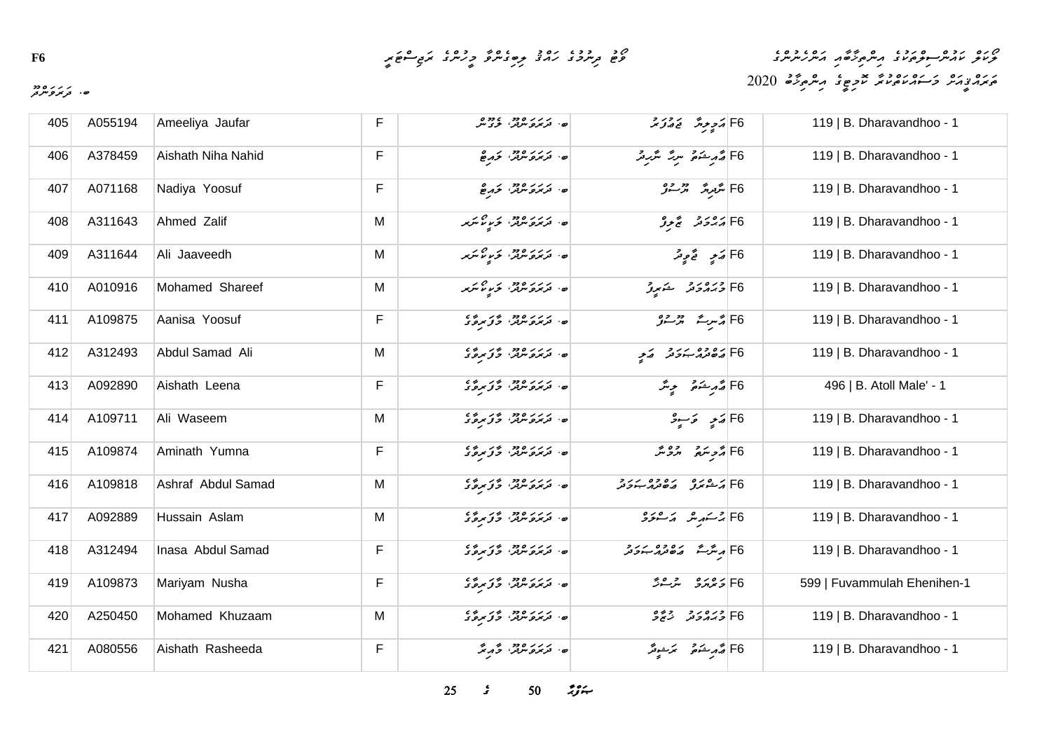*sCw7q7s5w7m< o<n9nOoAw7o< sCq;mAwBoEw7q<m; wBm;vB* م من المسجد المسجد المسجد المسجد المسجد العام 2020<br>مسجد المسجد المسجد المسجد المسجد المسجد المسجد المسجد المسجد ال

| 405 | A055194 | Ameeliya Jaufar    | F           | ے کربرہ ووج وہ وہ<br>ے کربرہ سربر کرد س                                              | F6 كەچ <i>جەڭ قەڭ تى</i> ر      | 119   B. Dharavandhoo - 1   |
|-----|---------|--------------------|-------------|--------------------------------------------------------------------------------------|---------------------------------|-----------------------------|
| 406 | A378459 | Aishath Niha Nahid | F           | ر در دود.<br>۰۰ تربره مرتز، نوم ه                                                    | F6 مُەم شەمۇ   سرىگ   مگرىيەتر  | 119   B. Dharavandhoo - 1   |
| 407 | A071168 | Nadiya Yoosuf      | F           | ھ · تریزی ترور تحمد ج                                                                | F6 مُرْمِدِهُ \$رَّ-ثَوْرُ      | 119   B. Dharavandhoo - 1   |
| 408 | A311643 | Ahmed Zalif        | M           |                                                                                      | F6 كەندى قىم ئىچ ئورى           | 119   B. Dharavandhoo - 1   |
| 409 | A311644 | Ali Jaaveedh       | M           | ھ گريزو سربي کور ماڻگريز                                                             | F6 <i>ڇُجِ ڇُوِمُرُ</i>         | 119   B. Dharavandhoo - 1   |
| 410 | A010916 | Mohamed Shareef    | M           | ھ گريزو سربي کريا مگريز ک                                                            | F6 <i>وُبَرُوْدَ وَ</i> شَمِيرُ | 119   B. Dharavandhoo - 1   |
| 411 | A109875 | Aanisa Yoosuf      | F           | ه به مرکز در دور در در در در این باشد.<br>به افزایر تر مرکز باشد و کاربر تر کرد که ا | F6 أُمَّ سِرْتُمْ تَرْتَّسُوْ   | 119   B. Dharavandhoo - 1   |
| 412 | A312493 | Abdul Samad Ali    | M           | ە بەر بەدە ئەس ئەس<br>ھەر مەمرى ئىس ئەس ئەس                                          | F6 كەھەرمەدە كەب                | 119   B. Dharavandhoo - 1   |
| 413 | A092890 | Aishath Leena      | F           | ه برگرده دو محمد در در در این باشد.<br>به مرکزه سرفر، محمد کرد کرد                   | F6 مُەمشەھ م <sub>و</sub> سَر   | 496   B. Atoll Male' - 1    |
| 414 | A109711 | Ali Waseem         | M           | ه کريمره سرفر کو مره د د                                                             | F6 كەيچە - كەسپ <sup>ى</sup> تە | 119   B. Dharavandhoo - 1   |
| 415 | A109874 | Aminath Yumna      | $\mathsf F$ | ە بەر بەدە ئەس ئەس<br>ھەر مەمرى ئىس ئەس ئەس                                          | F6 مُجِسَعَةِ مُتَحَسَّر        | 119   B. Dharavandhoo - 1   |
| 416 | A109818 | Ashraf Abdul Samad | M           | ه برگرده دو محمد در در در این باشد.<br>به مرکزه سرفر، محمد کرد کرد                   | F6 كەشىر ئەھەر بەر د            | 119   B. Dharavandhoo - 1   |
| 417 | A092889 | Hussain Aslam      | M           | ه کربره دو در در در<br>ه کربره سربر کرکربردگ                                         | F6 يُرتبه مُنْ مَرْجُودُ )      | 119   B. Dharavandhoo - 1   |
| 418 | A312494 | Inasa Abdul Samad  | F           | ه برنده دود محمود د د                                                                | F6 مېشت مەھىرم بىر د            | 119   B. Dharavandhoo - 1   |
| 419 | A109873 | Mariyam Nusha      | F           | ە كەررەدە ئەس ئەتە<br>ھەركىرى سرچى كەكەنىدە ك                                        | F6 كەنگەنى ئەربىرى F6           | 599   Fuvammulah Ehenihen-1 |
| 420 | A250450 | Mohamed Khuzaam    | M           | ە كەررەدە ئەس ئەتە<br>ھەركىرى سرچى كەكەنىدە ك                                        | $55.255$ F6                     | 119   B. Dharavandhoo - 1   |
| 421 | A080556 | Aishath Rasheeda   | F           | ە · ئەيمەھ سۆر مەم ئە                                                                | F6 مُذہبِ حَمَدَ مَن مَشْرِشَ   | 119   B. Dharavandhoo - 1   |

*25 sC 50 nNw?mS*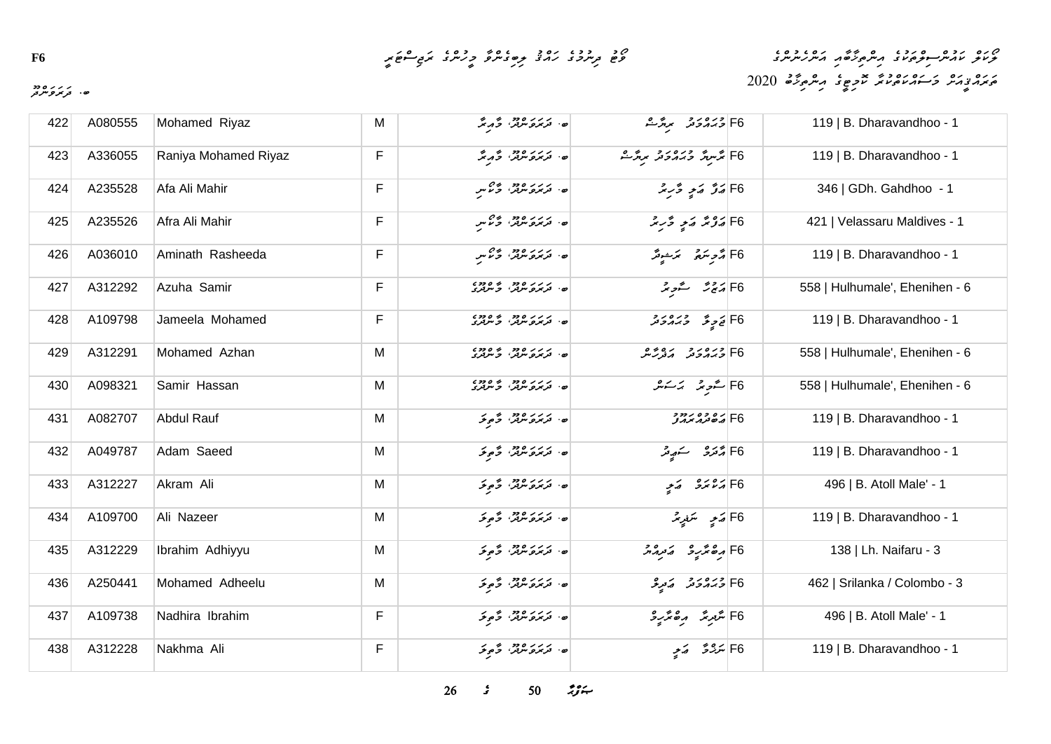*sCw7q7s5w7m< o<n9nOoAw7o< sCq;mAwBoEw7q<m; wBm;vB* م من المرة المرة المرة المرجع المرجع المرجع في 2020<br>مجم*د المريض المرجع المرجع المرجع المرجع المراجع المراجع الم*رجع

| 220 / 11                 |  |
|--------------------------|--|
| د» تر <i>بر و س</i> ر در |  |

| 422 | A080555 | Mohamed Riyaz        | M           | ە . ئەيرە مەدەر مەيرىگە                | F6 <i>ڈیزو ڈی بروگ</i>                              | 119   B. Dharavandhoo - 1      |
|-----|---------|----------------------|-------------|----------------------------------------|-----------------------------------------------------|--------------------------------|
| 423 | A336055 | Raniya Mohamed Riyaz | $\mathsf F$ | ە . ئەرىرە دەر.<br>ھ . ئىرىروسى گەرگە  | F6 بَرْسِرَدُ وَبَرْمُ وَبَرْ مِرْمَرْ ـْهِ         | 119   B. Dharavandhoo - 1      |
| 424 | A235528 | Afa Ali Mahir        | F           | ھ تریزوس کی گرمبر                      | F6 <i>ڇَڙَ ڇَيِ وُرِيمُ</i>                         | 346   GDh. Gahdhoo - 1         |
| 425 | A235526 | Afra Ali Mahir       | $\mathsf F$ | ە بەر رەۋە بەھ<br>ھەقەممەن كەنگە       | F6 ړُوند ټرو ڈرنر                                   | 421   Velassaru Maldives - 1   |
| 426 | A036010 | Aminath Rasheeda     | F           | ە . ئەيروسى .<br>ھ . ئەيروسى . ئ       | F6 مُرْحِبَهُمْ مَرْشِيقُرْ                         | 119   B. Dharavandhoo - 1      |
| 427 | A312292 | Azuha Samir          | $\mathsf F$ | د در دود. دوده<br>ه۰ تربروسرتر، ژسرتری | F6 پر پر گرم کر                                     | 558   Hulhumale', Ehenihen - 6 |
| 428 | A109798 | Jameela Mohamed      | $\mathsf F$ | ر در دره دو.<br>ه۰ تر پروسرتر، و سرتری | F6 ف <sub>َ</sub> حِرَّدَ كَ <sup>2</sup> بِرُونَزُ | 119   B. Dharavandhoo - 1      |
| 429 | A312291 | Mohamed Azhan        | M           | د در دود. دوده<br>ه۰ تربروسرتر، ژسرتری | F6 دېرورو په دومور                                  | 558   Hulhumale', Ehenihen - 6 |
| 430 | A098321 | Samir Hassan         | M           | ر در دود.<br>ه۰ تربروسرتر، وسرتری      | F6 گے۔ پر برک میں س                                 | 558   Hulhumale', Ehenihen - 6 |
| 431 | A082707 | <b>Abdul Rauf</b>    | M           | ە · ئەيمەھ سۆتى گەنجى ئى               | F6 كەھەر <i>مەدد د</i>                              | 119   B. Dharavandhoo - 1      |
| 432 | A049787 | Adam Saeed           | M           | ە· ئەيرەسىرى ئەم ئى                    | F6 مُرْمَرْد سَم <i>وِ</i> مْر                      | 119   B. Dharavandhoo - 1      |
| 433 | A312227 | Akram Ali            | M           | ە· ئەيرەسىرى ئەم ئى                    | F6 <i>ټرنډن</i> و ټرمي                              | 496   B. Atoll Male' - 1       |
| 434 | A109700 | Ali Nazeer           | M           | ە · ئەيرەھ سرقر، ئۇم ئى                |                                                     | 119   B. Dharavandhoo - 1      |
| 435 | A312229 | Ibrahim Adhiyyu      | M           | ە · ئەيرەھ سرقر، ئۇم ئى                | F6 مەھم <i>گرى</i> مەمەم                            | 138   Lh. Naifaru - 3          |
| 436 | A250441 | Mohamed Adheelu      | M           | ە· ئەيرى ھەدەرە ئەھمى ئى               | F6 3223 كەب <i>ر</i> ۇ                              | 462   Srilanka / Colombo - 3   |
| 437 | A109738 | Nadhira Ibrahim      | F           | ە · ئەيرەھ سرقر، ئۇم ئى                | F6 ب <i>ُرْمَرِيرٌ و هُنَّرُرٍ وَ</i>               | 496   B. Atoll Male' - 1       |
| 438 | A312228 | Nakhma Ali           | F           | ە · ئەيرەھ سرقر، ئۇم ئى                | F6 بترب <sup>و</sup> دٌ – <sub>مک</sub> رٍ          | 119   B. Dharavandhoo - 1      |

 $26$  *s* 50  $25$   $\div$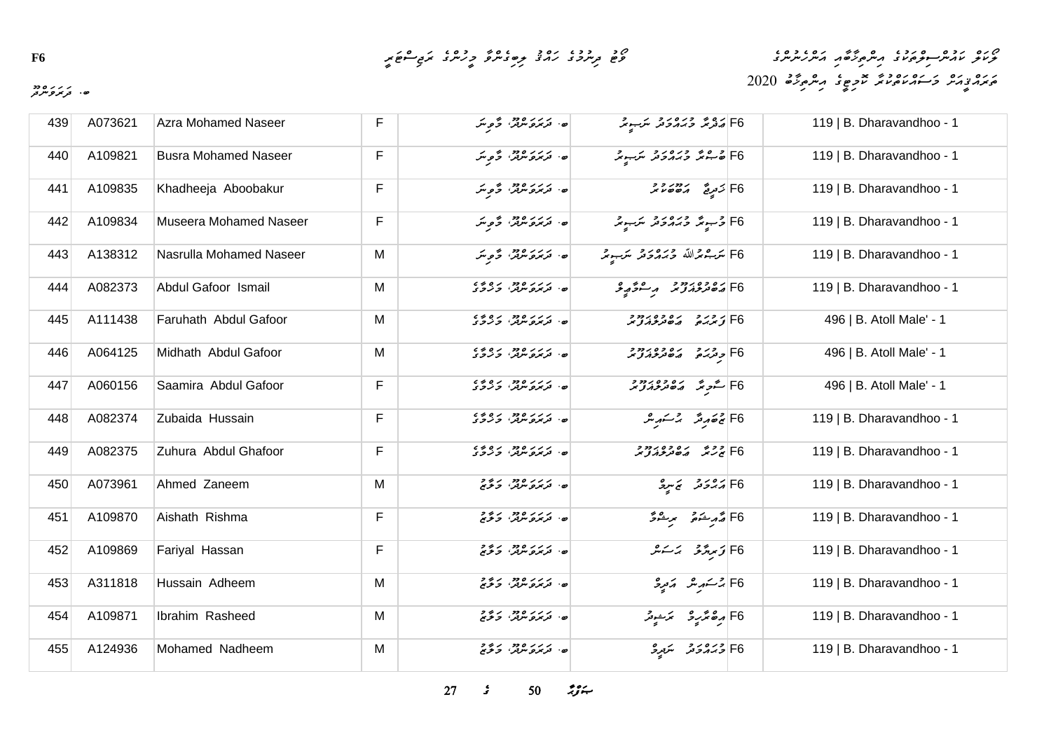*sCw7q7s5w7m< o<n9nOoAw7o< sCq;mAwBoEw7q<m; wBm;vB* م من المرة المرة المرة المرجع المرجع المرجع في 2020<br>مجم*د المريض المرجع المرجع المرجع المرجع المراجع المراجع الم*رجع

| 439 | A073621 | <b>Azra Mohamed Naseer</b>  | F           | ە· ئەيزەكلىرى ئۇم ئىر                                     | F6   رومز حرم دومر مترسومر                                   | 119   B. Dharavandhoo - 1 |
|-----|---------|-----------------------------|-------------|-----------------------------------------------------------|--------------------------------------------------------------|---------------------------|
| 440 | A109821 | <b>Busra Mohamed Naseer</b> | F           | ە· ئەيمەھەسچە ئەھ بىكە                                    | F6   صباغة المرورة المراجعة المراجعة                         | 119   B. Dharavandhoo - 1 |
| 441 | A109835 | Khadheeja Aboobakur         | F           | ە· ئەيمەھەسچى ئەرىئىك                                     | F6 كَتْرِيعٌ مُتَّصَّمَةٌ جَمَّ                              | 119   B. Dharavandhoo - 1 |
| 442 | A109834 | Museera Mohamed Naseer      | $\mathsf F$ | ە · ئەترىر قەرەر بەر ئەھ بىر                              | F6 وُسِيِّرٌ وَيَرْدُونَهُ سَسِيْرٌ                          | 119   B. Dharavandhoo - 1 |
| 443 | A138312 | Nasrulla Mohamed Naseer     | M           | ے مریرہ وہ محمد کر                                        | F6 مَرْبَّدْ مَّرْاللَّهُ   وَبَرْهُ دَوْرٌ   مَرْسِدٍ مِّرْ | 119   B. Dharavandhoo - 1 |
| 444 | A082373 | Abdul Gafoor Ismail         | M           | ه برگرده دو کرده و د                                      | F6 رەمەدەم مەش <i>ۇر</i> ۇ                                   | 119   B. Dharavandhoo - 1 |
| 445 | A111438 | Faruhath Abdul Gafoor       | M           | ر در دود.<br>ن تربروسربر، ترتری                           | F6 زيربرج په په <i>ووبردو د</i>                              | 496   B. Atoll Male' - 1  |
| 446 | A064125 | Midhath Abdul Gafoor        | M           | ر در دود.<br>ن تربروسربر، ترتری                           | F6 <i>ج</i> ېزمو مەھىر <i>جەدە</i> ر                         | 496   B. Atoll Male' - 1  |
| 447 | A060156 | Saamira Abdul Gafoor        | $\mathsf F$ | ه . تربره دو . ره و .<br>ه . تربرو سربر . تر تر د         | F6 شوپژ مەھىر <i>دە دى</i> ر                                 | 496   B. Atoll Male' - 1  |
| 448 | A082374 | Zubaida Hussain             | F           | ه برگرده دو ده ده<br>ه ترکروسهل کردی                      | F6 ىن ھەرىگە كەسىمبوسىر                                      | 119   B. Dharavandhoo - 1 |
| 449 | A082375 | Zuhura Abdul Ghafoor        | $\mathsf F$ | ە بەر دەدە بەھ دە                                         | F6 يحرثه مەھەردىن دەرە                                       | 119   B. Dharavandhoo - 1 |
| 450 | A073961 | Ahmed Zaneem                | M           | ە بەر دەپىر دەپر<br>ھ توپرۇسرىي كەنزى                     | F6 <i>גُرْدُوَ پَ</i> سِرْدُ                                 | 119   B. Dharavandhoo - 1 |
| 451 | A109870 | Aishath Rishma              | F           | ە بەر دەپىر دەپر<br>ھ توپرۇسرىي كەنزى                     | F6 مُرمِشَمُ مِشْرَدٌ                                        | 119   B. Dharavandhoo - 1 |
| 452 | A109869 | Fariyal Hassan              | F           | ه به کرد وجود بروج<br>ه به تریمرو سرتر از ترمی            | F6 ۇىرى <i>گۇ - ئەسكىل</i>                                   | 119   B. Dharavandhoo - 1 |
| 453 | A311818 | Hussain Adheem              | M           | ه به کرد وجود بروج<br>ه به تریمرو سرتر از ترمی            | F6 پڑے پر بڑ کھیے کہ ہیں ک                                   | 119   B. Dharavandhoo - 1 |
| 454 | A109871 | Ibrahim Rasheed             | M           | ه ۰ تربره در ۲۶۰<br>ه ۰ تربرو سربر ۰ <del>ر</del> ر       | F6 مەھەرىپ كىمىسى F6                                         | 119   B. Dharavandhoo - 1 |
| 455 | A124936 | Mohamed Nadheem             | M           | ه . تربره در برو .<br>ه . تربرو بربر . <del>و و ب</del> ع | F6  <i>322,352 سَرْمُور</i> د                                | 119   B. Dharavandhoo - 1 |

*27 sC 50 nNw?mS*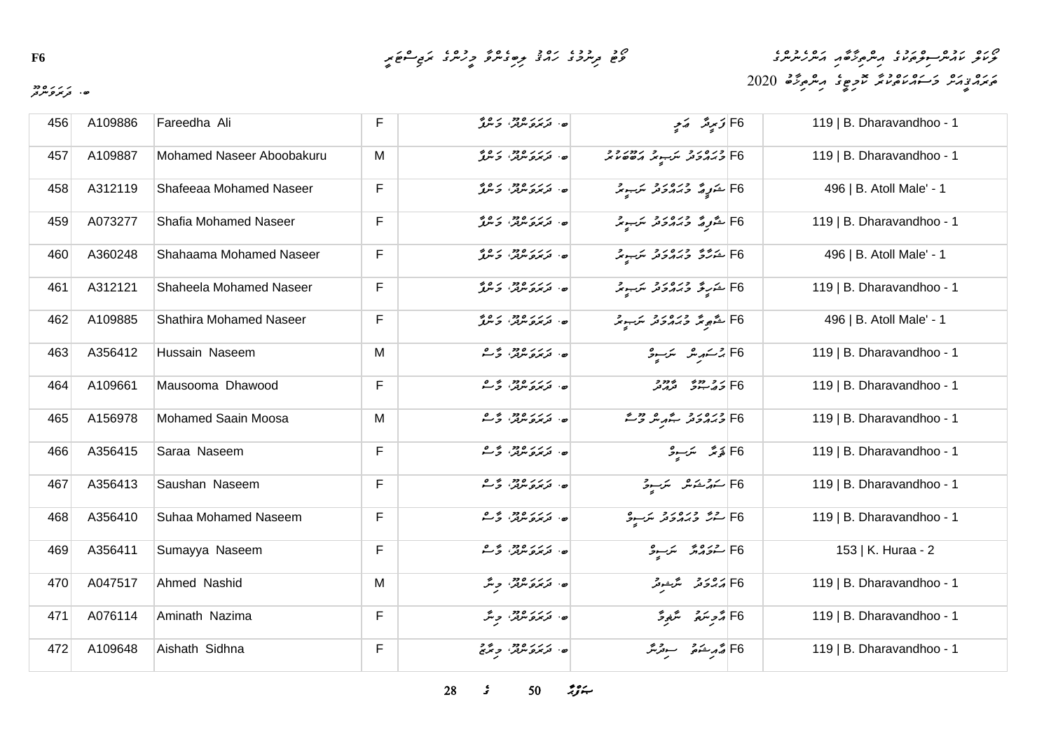*sCw7q7s5w7m< o<n9nOoAw7o< sCq;mAwBoEw7q<m; wBm;vB* م من المرة المرة المرة المرجع المرجع المرجع في 2020<br>مجم*د المريض المرجع المرجع المرجع المرجع المراجع المراجع الم*رجع

| 456 | A109886 | Fareedha Ali                   | F | ے - ترتری سربل - ترتر<br>ے - ترتری سربل - ترتر              | F6 تزیرنڈ کرم پ                       | 119   B. Dharavandhoo - 1 |
|-----|---------|--------------------------------|---|-------------------------------------------------------------|---------------------------------------|---------------------------|
| 457 | A109887 | Mohamed Naseer Aboobakuru      | M | ے کربروی کروڑ                                               | F6 כנסגב ת- כנדי ב                    | 119   B. Dharavandhoo - 1 |
| 458 | A312119 | Shafeeaa Mohamed Naseer        | F | ے - تربرہ میں - مرد عربی<br>ح - تربرہ سربر - ترس            | F6 حَرَرٍ مُنْ دَيْرُودَ مَرْسِرِيْرَ | 496   B. Atoll Male' - 1  |
| 459 | A073277 | Shafia Mohamed Naseer          | F | ە بەر رەپىس بەرە بە                                         | F6 حَرَوة ويَادُونْ سَرَجة لِمَ       | 119   B. Dharavandhoo - 1 |
| 460 | A360248 | Shahaama Mohamed Naseer        | F | ە بەر دەپىر دەپر<br>ھ تەيرۈشۈش كەنلا                        | F6 خەرج <i>دىرەدى مەيدى</i> ر         | 496   B. Atoll Male' - 1  |
| 461 | A312121 | Shaheela Mohamed Naseer        | F | ے - تربرہ میں میں میں<br>ص - تربرہ سربر، - تر س             | F6 خرىد ئۇيەدە ئەربىرىم               | 119   B. Dharavandhoo - 1 |
| 462 | A109885 | <b>Shathira Mohamed Naseer</b> | F | ے - تربرہ میں - مرد عربی<br>ح - تربرہ سربر - ترس            | F6 حُقومٌ وَيَرْدُونَرْ سَ بِهِ يَرْ  | 496   B. Atoll Male' - 1  |
| 463 | A356412 | Hussain Naseem                 | M | ە· ئەترىرە ئەھرە ئ <sup>ە</sup> ر ئە                        | F6 يُرْسَمَ مِيْرَ مَرْسِوڤِ          | 119   B. Dharavandhoo - 1 |
| 464 | A109661 | Mausooma Dhawood               | F | ە· ئەيمەھ بەرە بەر بەر بەر                                  | F6 كەرمەيىتى ئىقرىتىلىر               | 119   B. Dharavandhoo - 1 |
| 465 | A156978 | <b>Mohamed Saain Moosa</b>     | M | ە· ئەترىرە ئەس ئۇ ھ                                         | F6 در دورو بەمبەر شەھقىسە             | 119   B. Dharavandhoo - 1 |
| 466 | A356415 | Saraa Naseem                   | F | ە بەر رەپىرى ئەھ                                            | F6 أَوْمَدَ - سَرَسِوتَر              | 119   B. Dharavandhoo - 1 |
| 467 | A356413 | Saushan Naseem                 | F | ر در رودو می ه<br>ه۰ تر برو سرتر <i>،</i> تر ک              | F6 سەرمىقەش مىزسوق                    | 119   B. Dharavandhoo - 1 |
| 468 | A356410 | Suhaa Mohamed Naseem           | F | ە . ئەرىرە دەرە . ئەت<br>ھ . ئىرىمرى سرتىر ، كەسە           | F6 يُدْبُرُ وَبُرُودُو تَرَسُودُ      | 119   B. Dharavandhoo - 1 |
| 469 | A356411 | Sumayya Naseem                 | F | ە· ئەترىرى مەدەب ئ <sup>ە</sup> ر م                         | F6 كىن <i>دە بىر مەسب</i> ۇ           | 153   K. Huraa - 2        |
| 470 | A047517 | Ahmed Nashid                   | M | ے مریرہ دوسر جاتگر<br>جس مریرہ سرفری جاتگر                  | F6 كەبرى قىر سىردىسى قىلىنىدىكى بىر   | 119   B. Dharavandhoo - 1 |
| 471 | A076114 | Aminath Nazima                 | F | ے مربرہ سرور ہے۔<br>حسن مربوعہ سرفر کو سر                   | F6 مُتَّحِسَّعَ مُتَّفَوَ             | 119   B. Dharavandhoo - 1 |
| 472 | A109648 | Aishath Sidhna                 | F | ے - تر <i>بر</i> ہ میں میں میں<br>ے - تر برہ سربر ، ح بر بر | F6 مُدمِسْدَمُ سِعْرَمَّرَ            | 119   B. Dharavandhoo - 1 |

*28 sC 50 nNw?mS*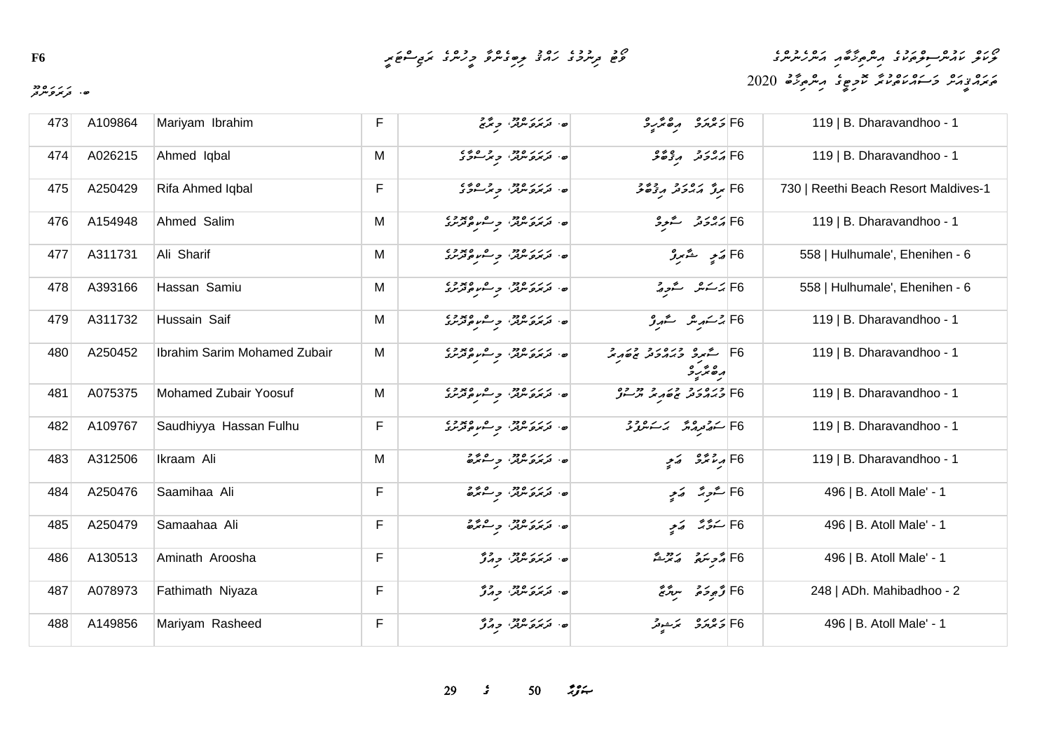*sCw7q7s5w7m< o<n9nOoAw7o< sCq;mAwBoEw7q<m; wBm;vB* م من المرة المرة المرة المرجع المرجع المرجع في 2020<br>مجم*د المريض المرجع المرجع المرجع المرجع المراجع المراجع الم*رجع

| 473 | A109864 | Mariyam Ibrahim              | F           | ه· تر پروکرده. د پر چ                                                                                          | F6 كاندىرى مەھەر ي                       | 119   B. Dharavandhoo - 1            |
|-----|---------|------------------------------|-------------|----------------------------------------------------------------------------------------------------------------|------------------------------------------|--------------------------------------|
| 474 | A026215 | Ahmed Iqbal                  | M           | ه برنر ود.<br>ه تریزوس و پرسوی                                                                                 | F6 كەبرىق مۇھۇ                           | 119   B. Dharavandhoo - 1            |
| 475 | A250429 | Rifa Ahmed Iqbal             | $\mathsf F$ | ه دربره دو در و دره<br>ه دربروس                                                                                | F6 بروٌ <i>مَدْوَنْدِ مِقْ</i> حَوْ      | 730   Reethi Beach Resort Maldives-1 |
| 476 | A154948 | Ahmed Salim                  | M           | ه به مرد ودو به عدد و د                                                                                        | F6 كەنزى قىر ئىقىدى ئىل                  | 119   B. Dharavandhoo - 1            |
| 477 | A311731 | Ali Sharif                   | M           | ه به در دود.<br>ه به ترترو سرتر، به شوم توسری                                                                  | F6 كەير شەيرۇ                            | 558   Hulhumale', Ehenihen - 6       |
| 478 | A393166 | Hassan Samiu                 | M           | ه ۱ مرد ۱۵ دو.<br>ه انگریزه سرفر از سام و ترس                                                                  | F6 پرسٹر گ <sub>ی</sub> ور               | 558   Hulhumale', Ehenihen - 6       |
| 479 | A311732 | Hussain Saif                 | M           | ه ۱ مرد ۱۵ دو.<br>ه انگریزه سرفر از سام و ترس                                                                  | F6 يُرْسَمُ مِنْ مُسْتَمْدِيْرِ          | 119   B. Dharavandhoo - 1            |
| 480 | A250452 | Ibrahim Sarim Mohamed Zubair | M           | ه به در دره دو به عدد دارد و با                                                                                | F6 كمبرد وبهددته بمقدم<br>مەمۇرۇ         | 119   B. Dharavandhoo - 1            |
| 481 | A075375 | <b>Mohamed Zubair Yoosuf</b> | M           | ه به مردره دو به صورت ده و در استان به در استان به این در استان به این محمد استان به این کار در استان به این ک | F6 כנסגב בנגב בי ה                       | 119   B. Dharavandhoo - 1            |
| 482 | A109767 | Saudhiyya Hassan Fulhu       | F           |                                                                                                                | F6 سۇمەرەش ئەسەمىرى                      | 119   B. Dharavandhoo - 1            |
| 483 | A312506 | Ikraam Ali                   | M           | ے کریمرو سرچر کے دورہ                                                                                          | F6 مِرْمُمَّدَّ مَعٍ                     | 119   B. Dharavandhoo - 1            |
| 484 | A250476 | Saamihaa Ali                 | $\mathsf F$ | ه . تربروسرتر، و در و د                                                                                        | F6 گردیڈ ک <i>ے پ</i>                    | 496   B. Atoll Male' - 1             |
| 485 | A250479 | Samaahaa Ali                 | $\mathsf F$ | ے کریروس کر وجہ دو                                                                                             | F6 شرقه ته <sub>م</sub>                  | 496   B. Atoll Male' - 1             |
| 486 | A130513 | Aminath Aroosha              | F           | ے مریرہ دورہ جاتی                                                                                              | F6 مُتَّحِبَّتَهُ مَثَّرَّحَةُ           | 496   B. Atoll Male' - 1             |
| 487 | A078973 | Fathimath Niyaza             | F           | ے مریرہ میں جاتی                                                                                               | F6 رَّج <i>ودَهُ</i> سِر <i>َدٌ جَ</i> ّ | 248   ADh. Mahibadhoo - 2            |
| 488 | A149856 | Mariyam Rasheed              | F           | ے مریرہ میں جاتی                                                                                               | F6 كالا يمريز كالمحافظة المحمد المحدوث   | 496   B. Atoll Male' - 1             |

*29 sC 50 nNw?mS*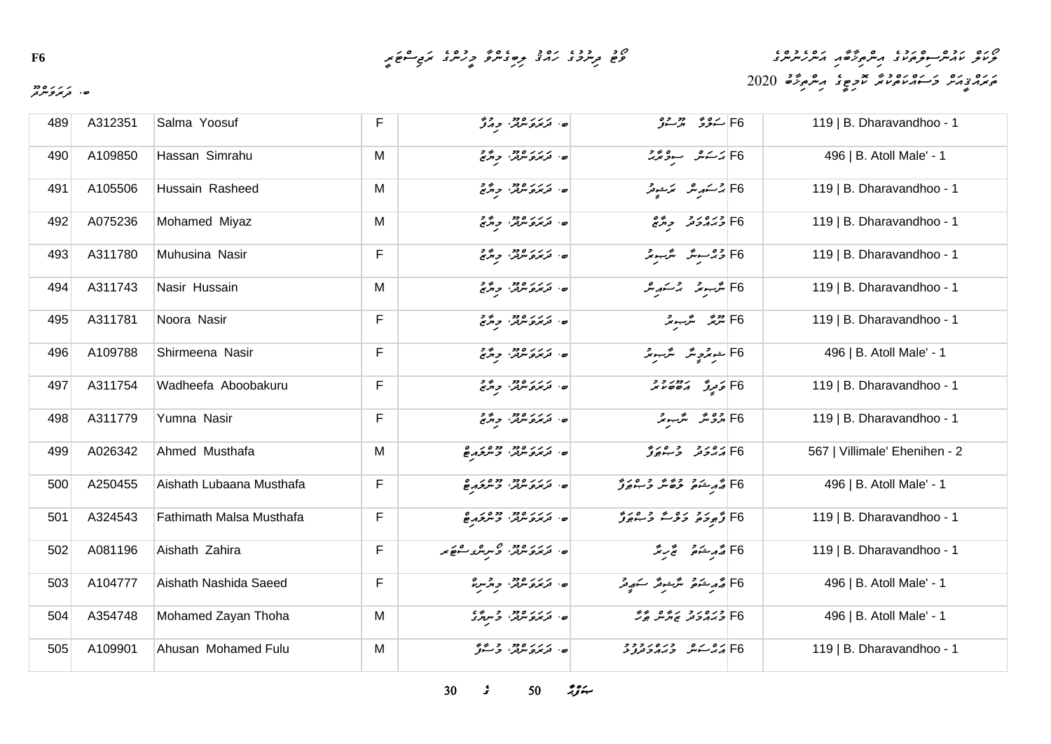*sCw7q7s5w7m< o<n9nOoAw7o< sCq;mAwBoEw7q<m; wBm;vB* م من المرة المرة المرة المرجع المرجع المرجع في 2020<br>مجم*د المريض المرجع المرجع المرجع المرجع المراجع المراجع الم*رجع

| 489 | A312351 | Salma Yoosuf             | F | ر در در ود.<br>ه۰ تربره سرتر، چهر                    | F6 كەنزى تەرىپى بۇ                 | 119   B. Dharavandhoo - 1     |
|-----|---------|--------------------------|---|------------------------------------------------------|------------------------------------|-------------------------------|
| 490 | A109850 | Hassan Simrahu           | M | ה גן הם כדי היי בית.<br>ישי הנוגים יינה היי היי בית. | F6   يَرْسَسُ سِوْمَدْيُرْ         | 496   B. Atoll Male' - 1      |
| 491 | A105506 | Hussain Rasheed          | M | ے - تریرو سربر - یو و<br>ے - تریرو سربر - و سریح     | F6 پرستہریش پر <sub>ھیو</sub> ر    | 119   B. Dharavandhoo - 1     |
| 492 | A075236 | Mohamed Miyaz            | M | י ג'ג' פרדי ביתים                                    | F6. ويروى و مرتبع                  | 119   B. Dharavandhoo - 1     |
| 493 | A311780 | Muhusina Nasir           | F | ה גן הם כדי היי ביתו.<br>כי " המקום ייקורי היי קורני | F6 كۇيۇسونى <i>گە مەنگى</i> بونى   | 119   B. Dharavandhoo - 1     |
| 494 | A311743 | Nasir Hussain            | M |                                                      | F6 بٹرجو پر پر شہر بلر             | 119   B. Dharavandhoo - 1     |
| 495 | A311781 | Noora Nasir              | F | ر در دود.<br>ه۰ تربره سرتر، و برم                    | F6 تُتَرَبَّرُ مُتَرْسِعَةً        | 119   B. Dharavandhoo - 1     |
| 496 | A109788 | Shirmeena Nasir          | F | ه ۰ تر بره در بر در بر<br>« تر برو سرتر ٬ د ش        | F6 جو <i>مڑو بنگ مگرجو مگ</i>      | 496   B. Atoll Male' - 1      |
| 497 | A311754 | Wadheefa Aboobakuru      | F | ے - تر <i>بر</i> ے مربع<br>ے - تر برے سربگر - ج مربع | F6 كورگر مەھەم مىر                 | 119   B. Dharavandhoo - 1     |
| 498 | A311779 | Yumna Nasir              | F | ه· تریزوکلرتر، دیگرم                                 | F6 برویژ بر برد                    | 119   B. Dharavandhoo - 1     |
| 499 | A026342 | Ahmed Musthafa           | M | ه کربره دو دوه ده و                                  | F6 كەندى قەسىمى ق                  | 567   Villimale' Ehenihen - 2 |
| 500 | A250455 | Aishath Lubaana Musthafa | F | ر د ر ه دو . دوه د ه<br>ه۰ تربرو سربر، و سربز د ه    | F6 مەم شەم كەنگە ئەس <i>بو</i> ر   | 496   B. Atoll Male' - 1      |
| 501 | A324543 | Fathimath Malsa Musthafa | F | ر در در دو دور ده د                                  | F6 ر <i>وم</i> و <i>دو</i> ٽ وينور | 119   B. Dharavandhoo - 1     |
| 502 | A081196 | Aishath Zahira           | F | ه بربره دو مه سر در ده در سر در سر با                | F6 مەمرىشقو ئىچ <i>رىتى</i>        | 119   B. Dharavandhoo - 1     |
| 503 | A104777 | Aishath Nashida Saeed    | F | ه م <i>رکز و دو به برنا</i>                          | F6 مُرمِشَمُ سُرْسِينَ سَهِيمٌ     | 496   B. Atoll Male' - 1      |
| 504 | A354748 | Mohamed Zayan Thoha      | M | ه . تر بر ده د .<br>ه . تر برو سربل . و سربر د       | F6 دېرورو په پره وي.               | 496   B. Atoll Male' - 1      |
| 505 | A109901 | Ahusan Mohamed Fulu      | M | ە بەررەدە دېگۇ                                       | F6 كەيرىكى ئەرگە ئەرەبىرى          | 119   B. Dharavandhoo - 1     |

*30 sC 50 nNw?mS*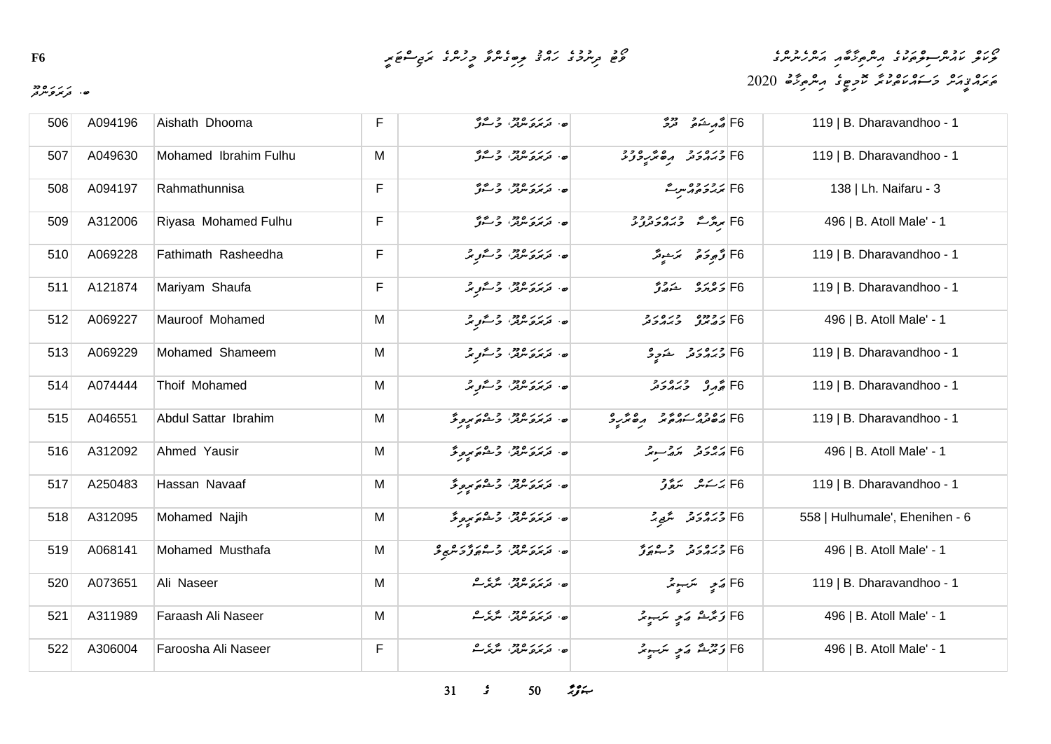*sCw7q7s5w7m< o<n9nOoAw7o< sCq;mAwBoEw7q<m; wBm;vB* م من المسجد المسجد المسجد المسجد المسجد العام 2020<br>مسجد المسجد المسجد المسجد المسجد المسجد المسجد المسجد المسجد ال

| 506 | A094196 | Aishath Dhooma        | F           | ە · تەيرەتىش ئەسەر                          | F6 مُدمِسْمَة فَرْدَّ               | 119   B. Dharavandhoo - 1      |
|-----|---------|-----------------------|-------------|---------------------------------------------|-------------------------------------|--------------------------------|
| 507 | A049630 | Mohamed Ibrahim Fulhu | M           | ه تربره دو و دو                             | F6 ديرورو مگر دور                   | 119   B. Dharavandhoo - 1      |
| 508 | A094197 | Rahmathunnisa         | F           | ە بەر بەرە دەر ئەتەر<br>ھەندىرى سرتىر كەستۇ | F6 ئۈيردە ھەربىرىگە                 | 138   Lh. Naifaru - 3          |
| 509 | A312006 | Riyasa Mohamed Fulhu  | F           | ه کريزه سره و شو                            | F6 برېژگ د <i>جرېږدو ترو</i> ر      | 496   B. Atoll Male' - 1       |
| 510 | A069228 | Fathimath Rasheedha   | F           | ے گریمروس و گرو تھو بڑ                      | F6 <i>وَّجوحَ</i> هُمْ سَمَسُومَّرَ | 119   B. Dharavandhoo - 1      |
| 511 | A121874 | Mariyam Shaufa        | $\mathsf F$ | ه پرېره دو. د عربه                          | F6 كالانترنز مشهرتو في 1            | 119   B. Dharavandhoo - 1      |
| 512 | A069227 | Mauroof Mohamed       | M           | ے گریزہ وہ وگرگویز                          | F6 <i>خەملى قەدەر د</i>             | 496   B. Atoll Male' - 1       |
| 513 | A069229 | Mohamed Shameem       | M           | ے - تریزو سربل - و کے تریز                  | F6 <i>\$222 محكو</i> قر             | 119   B. Dharavandhoo - 1      |
| 514 | A074444 | Thoif Mohamed         | M           | ه تریزه میل و گریز                          | F6 جُمِيرٌ حَمَدُومٌ                | 119   B. Dharavandhoo - 1      |
| 515 | A046551 | Abdul Sattar Ibrahim  | M           | ۰۰ تریزو سربر، وحشو مروت                    | 0 000 0000000000000000              | 119   B. Dharavandhoo - 1      |
| 516 | A312092 | Ahmed Yausir          | M           | ه بربر ودو و و در بروگر                     | F6 كەبرى قىر مەكەب ئىر              | 496   B. Atoll Male' - 1       |
| 517 | A250483 | Hassan Navaaf         | M           | ه بربر ودو و و د بروتر<br>ه بربروس د        | F6 پرسەش ئىر <i>ۇ</i> ز             | 119   B. Dharavandhoo - 1      |
| 518 | A312095 | Mohamed Najih         | M           | ه بربره دود و دوبر و گ                      | F6 <i>\$222 مگه ب</i>               | 558   Hulhumale', Ehenihen - 6 |
| 519 | A068141 | Mohamed Musthafa      | M           | ه درره دو و ۲۵ در م                         | F6 دېرونو وېږي                      | 496   B. Atoll Male' - 1       |
| 520 | A073651 | Ali Naseer            | M           | ھ تربروسوتر، بگربرگ                         | F6 <i>ھي متبويز</i>                 | 119   B. Dharavandhoo - 1      |
| 521 | A311989 | Faraash Ali Naseer    | M           | ھ ترىرەسى شەت                               | F6 كَرَمَّدْهُ كَرَمٍ سَرَسِرِيْرٌ  | 496   B. Atoll Male' - 1       |
| 522 | A306004 | Faroosha Ali Naseer   | F           | ھ تربروسوتر، بگربرگ                         | F6 كَرْجَرْحَةً كَيَامٍ الرَّسِيْرَ | 496   B. Atoll Male' - 1       |

*31 <i>s*<sub>3</sub> *s*<sub>3</sub> *s*<sub>3</sub> *s*<sub>3</sub> *s*<sub>3</sub> *s*<sub>3</sub> *s*<sub>3</sub> *s*<sub>3</sub> *s*<sub>3</sub> *s*<sub>3</sub> *s*<sub>3</sub> *s*<sub>3</sub> *s*<sub>3</sub> *s*<sub>3</sub> *s*<sub>3</sub> *s*<sub>3</sub> *s*<sub>3</sub> *s*<sub>3</sub> *s*<sub>3</sub> *s*<sub>3</sub> *s*<sub>3</sub> *s*<sub>3</sub> *s*<sub>3</sub> *s*<sub>3</sub> *s*<sub>3</sub> *s*<sub>3</sub> *s*<sub>3</sub> *s*<sub>3</sub> *s*<sub>3</sub> *s*<sub>3</sub> *s*<sub>3</sub>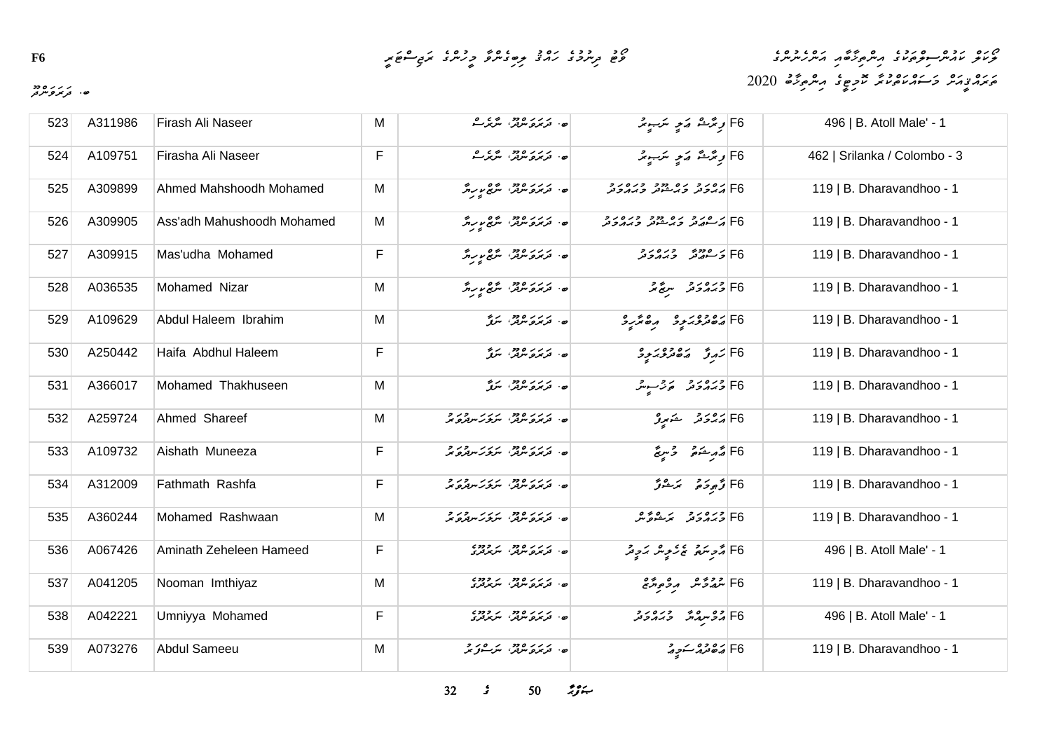*sCw7q7s5w7m< o<n9nOoAw7o< sCq;mAwBoEw7q<m; wBm;vB* م من المرة المرة المرة المرجع المرجع المرجع في 2020<br>مجم*د المريض المرجع المرجع المرجع المرجع المراجع المراجع الم*رجع

| 523 | A311986 | Firash Ali Naseer          | M | ە · ئەرىرە « « » » » »                                          | F6 وِ مَرْثَہُ کَے مِ سَرَجِہُ                                                                                 | 496   B. Atoll Male' - 1     |
|-----|---------|----------------------------|---|-----------------------------------------------------------------|----------------------------------------------------------------------------------------------------------------|------------------------------|
| 524 | A109751 | Firasha Ali Naseer         | F | ھ ترىرەسى شەت                                                   | F6 وِيَرْتُ كَرَمٍ سَرَجِيْرَ                                                                                  | 462   Srilanka / Colombo - 3 |
| 525 | A309899 | Ahmed Mahshoodh Mohamed    | M | ه · مرمره دو مسجد مرمر                                          | F6 كەرجەد مەدەبەر دىرەرد                                                                                       | 119   B. Dharavandhoo - 1    |
| 526 | A309905 | Ass'adh Mahushoodh Mohamed | M | ه بربر ودو محمد بردگر<br>ه تریمه سربل مرتج بر برگر              | F6 كەسىھەتە بەر مەدرە دەرد                                                                                     | 119   B. Dharavandhoo - 1    |
| 527 | A309915 | Mas'udha Mohamed           | F | ه به مرد وجود به موجود برگر<br>به ترجره سرفران سرچ موسر         | F6 كەشھەر مەردىرى<br>F6                                                                                        | 119   B. Dharavandhoo - 1    |
| 528 | A036535 | Mohamed Nizar              | M | ھ تر <i>تر تر و</i> جو شرچ پر برگر                              | F6 <i>وُبَهُ دُوَ</i> تَرَ سِيَّ يَرُ                                                                          | 119   B. Dharavandhoo - 1    |
| 529 | A109629 | Abdul Haleem Ibrahim       | M | ە· ئەترىر قەدەر، ئىرگە                                          | F6 בֿלענאני פּל פֿליני C6                                                                                      | 119   B. Dharavandhoo - 1    |
| 530 | A250442 | Haifa Abdhul Haleem        | F | ھ ترىرى سرتر، سرگە                                              | F6 <i>تەرۇھەترى بو</i> ھ                                                                                       | 119   B. Dharavandhoo - 1    |
| 531 | A366017 | Mohamed Thakhuseen         | M | ے - تربرو بھی مربحہ<br>ے- تربرو سربل، سربح                      | F6 <i>دېمم</i> ونه ځور سومتر                                                                                   | 119   B. Dharavandhoo - 1    |
| 532 | A259724 | Ahmed Shareef              | M | ے - تربرہ میں میں بھی بھی بر<br>ج - تربرہ سربل - سربر سربرہ بر  | F6 كەبرى ئىم ئىقدىن ئىچە ئىقتىن ئىچە ئىقتا ئىچە ئىقتا ئىچە ئىقتا ئىقتا ئىقتا ئىقتا ئىقتا ئىقتا ئىقتا ئىقتا ئىق | 119   B. Dharavandhoo - 1    |
| 533 | A109732 | Aishath Muneeza            | F | ھ - قریمرہ سرقر، سرقرک سرقرہ ہو                                 | F6 مَيْرِسْدَة _ وَسِيَّةَ                                                                                     | 119   B. Dharavandhoo - 1    |
| 534 | A312009 | Fathmath Rashfa            | F | ھ کريمرو سرچر سرچر سرچر جر                                      | F6 زَّەپرىقى سَرْشْرَ                                                                                          | 119   B. Dharavandhoo - 1    |
| 535 | A360244 | Mohamed Rashwaan           | M | ے - تربرہ میں مرکز کر سربرہ بر<br>ج - تربرہ سربر اسربرکسربرہ بر | F6 <i>دې ده بر پر شرور پر</i>                                                                                  | 119   B. Dharavandhoo - 1    |
| 536 | A067426 | Aminath Zeheleen Hameed    | F | ر در دود.<br>ه۰ تربرو سرتر، سربرتری                             | F6 أَمُّ حِسَمَةً بِحَرْجِيْنَ بَرَجٍيْرٌ                                                                      | 496   B. Atoll Male' - 1     |
| 537 | A041205 | Nooman Imthiyaz            | M | ه به در دود.<br>ه وربروسربر، سربربرد                            | F6 يتمدَّ من مركز مركز من المركز                                                                               | 119   B. Dharavandhoo - 1    |
| 538 | A042221 | Umniyya Mohamed            | F | ر در دره دو.<br>ه۰ در پروسربر، سرپردری                          | F6 رُوْسِرْ رُ وَيَدْوَمَرْ                                                                                    | 496   B. Atoll Male' - 1     |
| 539 | A073276 | Abdul Sameeu               | M | ر در دود.<br>ه۰ در پروتیر، ترکوبر                               | F6 مەھەمەر سىر <i>و</i> م                                                                                      | 119   B. Dharavandhoo - 1    |

**32** *s* **50** *z***<sub>***f***</sub>**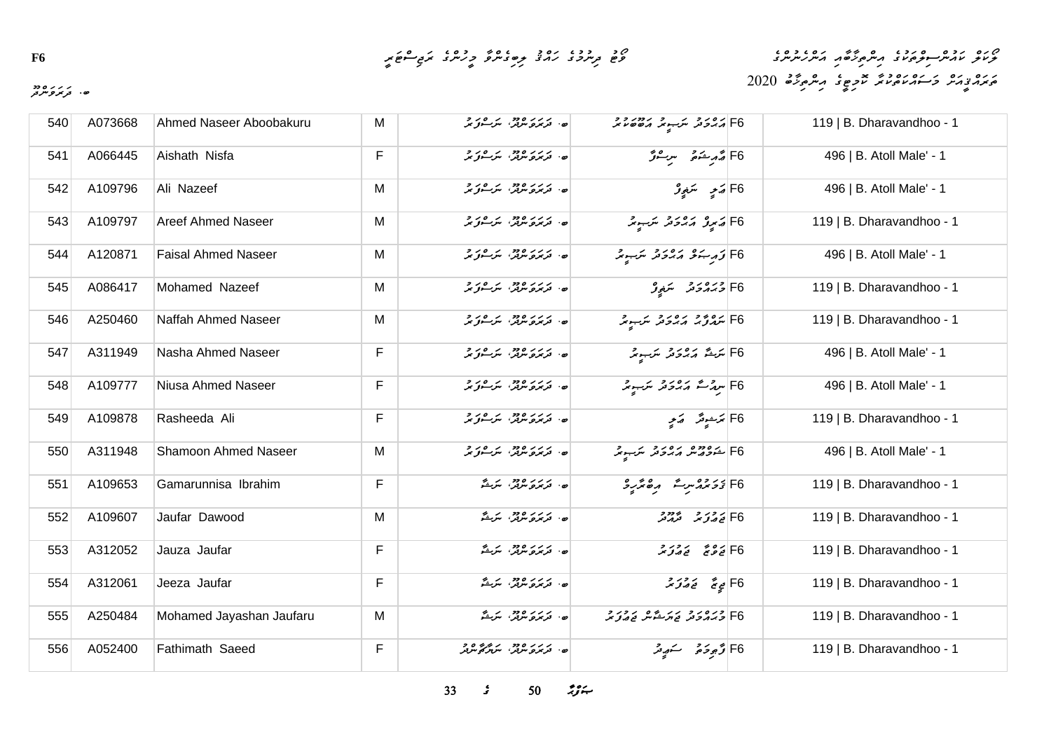*sCw7q7s5w7m< o<n9nOoAw7o< sCq;mAwBoEw7q<m; wBm;vB* م من المرة المرة المرة المرجع المرجع المرجع في 2020<br>مجم*د المريض المرجع المرجع المرجع المرجع المراجع المراجع الم*رجع

| 540 | A073668 | Ahmed Naseer Aboobakuru     | M | ے مریر واقع میں دیا ہے۔<br>جس فریرو سرفر اسکوسی       | F6 גפני ית הפי המסשית                                                                                | 119   B. Dharavandhoo - 1 |
|-----|---------|-----------------------------|---|-------------------------------------------------------|------------------------------------------------------------------------------------------------------|---------------------------|
| 541 | A066445 | Aishath Nisfa               | F | ر در دود.<br>ه۰ تربره مربر، مرکز بر                   | F6 مُرمِشَمُ سِرْعَةً                                                                                | 496   B. Atoll Male' - 1  |
| 542 | A109796 | Ali Nazeef                  | M | ر در د ودو.<br>ه۰ تر برو سرتر، سر سور بر              | F6 کی پر س <i>کن</i> وِر                                                                             | 496   B. Atoll Male' - 1  |
| 543 | A109797 | <b>Areef Ahmed Naseer</b>   | M | ە ئەكەر 300 كەرر 2                                    | F6 كەيدۇ كەبرى تەرىپەيز                                                                              | 119   B. Dharavandhoo - 1 |
| 544 | A120871 | <b>Faisal Ahmed Naseer</b>  | M | ه بربر ده دو.<br>ه بربره نربس بربانو بر               | F6 كەرىنىڭ كەبرى كىلى ئىسىرىمى                                                                       | 496   B. Atoll Male' - 1  |
| 545 | A086417 | Mohamed Nazeef              | M | ە بەر بەدە بەر بەر د<br>ھ - تەيرە بىرتىر، بىر بىر بىر | F6 كەبرگە كىرى سىنب <i>و</i> گە                                                                      | 119   B. Dharavandhoo - 1 |
| 546 | A250460 | Naffah Ahmed Naseer         | M | ر در دود.<br>ه۰ تربره مربر، مرکز بر                   | F6 <i>سَمَدُوَّرْ مَدْدَوَدْ</i> سَ <i>بِ</i> يْرَ                                                   | 119   B. Dharavandhoo - 1 |
| 547 | A311949 | Nasha Ahmed Naseer          | F | ە بەر بەدە بەر بەر د<br>ھەندىرى بىرلىر، بىر سۆسى      | F6 سَرْئَدُ 1995 سَرَجِيمُ                                                                           | 496   B. Atoll Male' - 1  |
| 548 | A109777 | Niusa Ahmed Naseer          | F | ه بربر ده دو.<br>ه بربره نربس بربانو بر               | F6 سرقم شرکت مرسوبر                                                                                  | 496   B. Atoll Male' - 1  |
| 549 | A109878 | Rasheeda Ali                | F | ە بەر بەدە بەر بەر د<br>ھ - تەيرە بىرتىر، بىر بىر بىر | F6 بَرَحوثر <sub>م</sub> َرَمٍ                                                                       | 119   B. Dharavandhoo - 1 |
| 550 | A311948 | <b>Shamoon Ahmed Naseer</b> | M | ر در د ودو.<br>ه۰ تر برو سرتر، سر سور بر              | F6 خوړش پره ده کرلومو                                                                                | 496   B. Atoll Male' - 1  |
| 551 | A109653 | Gamarunnisa Ibrahim         | F | ھ کرىمرى مەدىبە كىلىگە ئىش                            | F6 تۈكەتمە مەھەر يەھەر بىر ئالىرى ئالىرى ئالىرى ئالىرى ئالىرى ئالىرى ئالىرى ئالىرى ئالىرى ئالىرى ئال | 119   B. Dharavandhoo - 1 |
| 552 | A109607 | Jaufar Dawood               | M | ە · تەترىر قەدەر ، سَرْشَہُ ·                         | F6 يَ <i>وَدُ بَرَّ مُدَّمَّرٌ</i>                                                                   | 119   B. Dharavandhoo - 1 |
| 553 | A312052 | Jauza Jaufar                | F | ە · تۈپۈچ بىرىش · بىرىش                               | F6 يَوْمَجُ بِمَجْرَ <sup>مِر</sup> ُ                                                                | 119   B. Dharavandhoo - 1 |
| 554 | A312061 | Jeeza Jaufar                | F | ھ کر <i>مرکز مرکز مرکبے</i><br>ھ                      | F6 ي <sub>ح</sub> ج نح <i>هز</i> تر                                                                  | 119   B. Dharavandhoo - 1 |
| 555 | A250484 | Mohamed Jayashan Jaufaru    | M | ە ئەترىر ق <sup>79</sup> ، ئىرىش                      | F6 دُبرورو په کرشه کارورو                                                                            | 119   B. Dharavandhoo - 1 |
| 556 | A052400 | Fathimath Saeed             | F | ر در در دود.<br>۰۰ تربره سرتر، سرگرگرس                | F6 <i>وُجوحَۃ سَموِيڈ</i>                                                                            | 119   B. Dharavandhoo - 1 |

*r د د ه ود*<br>@ . تر *بر و س*ر تر

**33** *s* **50** *n***<sub>s</sub>***n***<sub>s</sub>**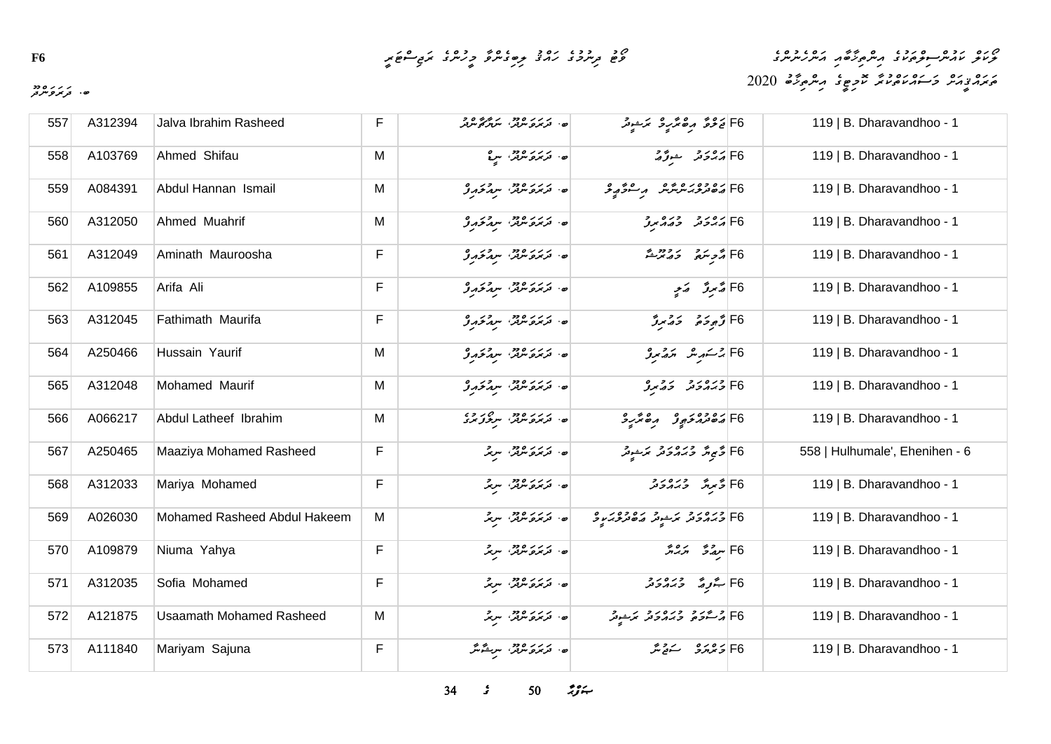*sCw7q7s5w7m< o<n9nOoAw7o< sCq;mAwBoEw7q<m; wBm;vB* م من المسجد المسجد المسجد المسجد المسجد العام 2020<br>مسجد المسجد المسجد المسجد المسجد المسجد المسجد المسجد المسجد ال

| 557 | A312394 | Jalva Ibrahim Rasheed           | F           | ر در دود.<br>۰۰ تربره سرتر، سرگرگوسرتر | F6 فَرُقَرَّةً وَهُ يُرْمِرِدُ بَرَسْوِيْرَ        | 119   B. Dharavandhoo - 1      |
|-----|---------|---------------------------------|-------------|----------------------------------------|----------------------------------------------------|--------------------------------|
| 558 | A103769 | Ahmed Shifau                    | M           | ے مریرویوں سے                          | F6 كەبرى ئىرگە ئىسىمىتى ئىسىمىتى ئىسىمىتى بىر      | 119   B. Dharavandhoo - 1      |
| 559 | A084391 | Abdul Hannan Ismail             | M           | ه مر مرد ودو.<br>مستخدم مرد مستخدر     | F6 <i>ړه ده د ه وې په د هڅه و</i>                  | 119   B. Dharavandhoo - 1      |
| 560 | A312050 | Ahmed Muahrif                   | M           | ه وروده در مرد و                       | F6 בכבת בבתית                                      | 119   B. Dharavandhoo - 1      |
| 561 | A312049 | Aminath Mauroosha               | F           | ه کريزه وده. سرگرگرگر                  | F6 مُحْرِسَمَةَ حَمْدَ مَشْتَدَ                    | 119   B. Dharavandhoo - 1      |
| 562 | A109855 | Arifa Ali                       | $\mathsf F$ | ه ترىرە «در » سرگە تور ۋ               | F6 صَّمِرَةٌ صَمِّحٍ                               | 119   B. Dharavandhoo - 1      |
| 563 | A312045 | Fathimath Maurifa               | F           | ھ تر <i>ترو</i> شہر شرکت کی ت          | F6 <i>وُجِودَة دَمَّبُودٌ</i>                      | 119   B. Dharavandhoo - 1      |
| 564 | A250466 | Hussain Yaurif                  | M           | ه تریزه سره مرکز و                     | F6 يُرسَمهِ مَدْ مَرَ مَرَ مِرْدِ                  | 119   B. Dharavandhoo - 1      |
| 565 | A312048 | Mohamed Maurif                  | M           | ه تریزه سرد مرکز و                     | F6 دُيرودي دَرْمَورُ                               | 119   B. Dharavandhoo - 1      |
| 566 | A066217 | Abdul Latheef Ibrahim           | M           | ه ۰ تربره دو.<br>۴ تربره سربر سرگر برد | F6 בֿבּעּת <i>בֿ</i> פּנַר הַבּּצ <sup>ֿ</sup> יבַ | 119   B. Dharavandhoo - 1      |
| 567 | A250465 | Maaziya Mohamed Rasheed         | $\mathsf F$ | ے - تریزو سربر - سربر -                | F6 وَمِهرَ وَبَرَ رَوِ بَرَ شَوِيرَ                | 558   Hulhumale', Ehenihen - 6 |
| 568 | A312033 | Mariya Mohamed                  | $\mathsf F$ | ے - تریروسرتر، سربر                    | F6 دُبرمَد ديرورد                                  | 119   B. Dharavandhoo - 1      |
| 569 | A026030 | Mohamed Rasheed Abdul Hakeem    | M           | ے - تریروسرتر، سربر                    | F6 <i>وبروبرو برجونر مەمەروب</i>                   | 119   B. Dharavandhoo - 1      |
| 570 | A109879 | Niuma Yahya                     | F           | ے مریزہ سرچر سرپر                      | F6 سم <i>من</i> گ م <i>رکب</i> گر                  | 119   B. Dharavandhoo - 1      |
| 571 | A312035 | Sofia Mohamed                   | $\mathsf F$ | ے مریرہ سرچ سرپر                       | F6 جۇرۇ ئەيرە ئەر                                  | 119   B. Dharavandhoo - 1      |
| 572 | A121875 | <b>Usaamath Mohamed Rasheed</b> | M           | ص- تریره سرچین سرپر<br>  ص- تریره سرپر | F6 پر دره در در در برخونه                          | 119   B. Dharavandhoo - 1      |
| 573 | A111840 | Mariyam Sajuna                  | F           | ە · ترىرە بىرە " سرىشەش                | F6 كەنگەر ئەرەپىگە                                 | 119   B. Dharavandhoo - 1      |

**34** *s* **50** *z***<sub>***f***</sub>**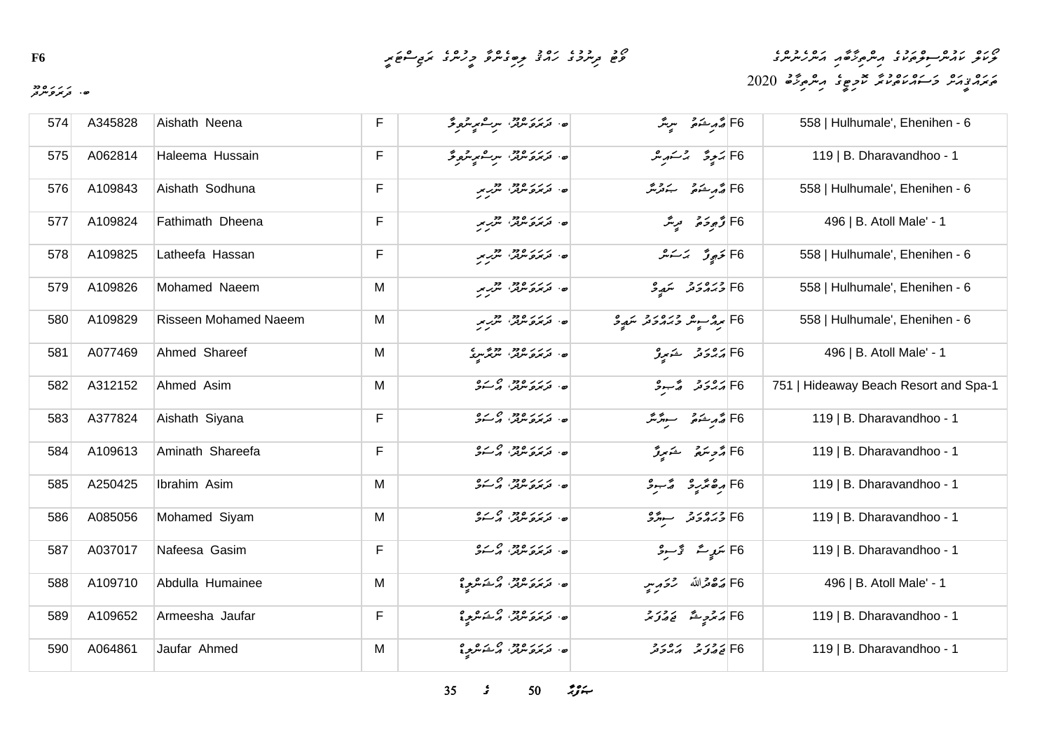*sCw7q7s5w7m< o<n9nOoAw7o< sCq;mAwBoEw7q<m; wBm;vB* م من المرة المرة المرة المرجع المرجع المرجع في 2020<br>مجم*د المريض المرجع المرجع المرجع المرجع المراجع المراجع الم*رجع

| 574 | A345828 | Aishath Neena                | F           | ە ئەترىر ئەدە سرىسىر شەرق                         | F6 مَدْمِ شَمَّةٍ سِرِيْدٌ                                                                                     | 558   Hulhumale', Ehenihen - 6        |
|-----|---------|------------------------------|-------------|---------------------------------------------------|----------------------------------------------------------------------------------------------------------------|---------------------------------------|
| 575 | A062814 | Haleema Hussain              | F           | ه مر د ور دور برگور مرد مرد و گر                  | F6  يَرْمٍ فِي سَمَدِ شَرْسُ                                                                                   | 119   B. Dharavandhoo - 1             |
| 576 | A109843 | Aishath Sodhuna              | F           | ے مریر والی مریر پر                               | F6 مەم ئىقسىم ئىستىرلىكى بىر                                                                                   | 558   Hulhumale', Ehenihen - 6        |
| 577 | A109824 | Fathimath Dheena             | F           | ے - تربرو بھی میں بر<br>ے - تربرو سربر - سربر بر  | F6 <i>وَّجِودَة</i> مِرِسَّر                                                                                   | 496   B. Atoll Male' - 1              |
| 578 | A109825 | Latheefa Hassan              | $\mathsf F$ | ه بر در ودو دو.<br>ه تربره نربل نگرمبر            | F6 تخ <i>چوڻ بزخ</i> شر                                                                                        | 558   Hulhumale', Ehenihen - 6        |
| 579 | A109826 | Mohamed Naeem                | M           | ے کربرہ ووج اور بر                                | F6 <i>3222 سَمِي</i> و                                                                                         | 558   Hulhumale', Ehenihen - 6        |
| 580 | A109829 | <b>Risseen Mohamed Naeem</b> | M           | ے - تربرو سربر - میرے<br>ے - تربرو سربر - سربر بر | F6 بروكسونكر وبرودور تترويح                                                                                    | 558   Hulhumale', Ehenihen - 6        |
| 581 | A077469 | Ahmed Shareef                | M           | ه به تربره دو دوره به د                           | F6 كەندى قىم بىر ئىستىدى ئىستىدى كىتار ئىستان ئىستان ئىستان ئىستان ئىستان ئىستان ئىستان ئىستان ئىستان ئىستان ئ | 496   B. Atoll Male' - 1              |
| 582 | A312152 | Ahmed Asim                   | M           | ە بەر بەرەدە مى بەھ                               | F6 كەندى قەسىدى                                                                                                | 751   Hideaway Beach Resort and Spa-1 |
| 583 | A377824 | Aishath Siyana               | $\mathsf F$ | ە بەر بەرەدە مەرە<br>ھ تەيمەھ سرقە كەسلىق         | F6 گەرىسكەق سونگىگر                                                                                            | 119   B. Dharavandhoo - 1             |
| 584 | A109613 | Aminath Shareefa             | $\mathsf F$ | ە بەر دەرەدە بىرە<br>ھ تەيمەن سەر                 | F6 مَرْحِ سَمَعِ حَسَبِيرً                                                                                     | 119   B. Dharavandhoo - 1             |
| 585 | A250425 | Ibrahim Asim                 | M           |                                                   | F6 مەھەرىپە ھەجبەد                                                                                             | 119   B. Dharavandhoo - 1             |
| 586 | A085056 | Mohamed Siyam                | M           | ە· ئەرەر ەدە، مى رە                               | F6 <i>3222 بروتر میبرد</i>                                                                                     | 119   B. Dharavandhoo - 1             |
| 587 | A037017 | Nafeesa Gasim                | $\mathsf F$ | ە · ئەترىرە « » » » بە                            | F6 سَمِيٍّ - تَوْسِرْ -                                                                                        | 119   B. Dharavandhoo - 1             |
| 588 | A109710 | Abdulla Humainee             | M           | ھ بربروس مشکور                                    | F6 كەھىراللە ج <sub>ى</sub> مكىرىس                                                                             | 496   B. Atoll Male' - 1              |
| 589 | A109652 | Armeesha Jaufar              | $\mathsf F$ | ه بربر ودود میکند و ه                             | F6 كەيمرىيەتشىر ئەركىزىمىز                                                                                     | 119   B. Dharavandhoo - 1             |
| 590 | A064861 | Jaufar Ahmed                 | M           | ھ بربروس مشهري                                    | F6 يَهْ دَمَهُ مَدْرَوْرَ                                                                                      | 119   B. Dharavandhoo - 1             |

*r د د ه ود*<br>@ . تر *بر و س*ر تر

**35** *s* **50** *n***<sub>s</sub>***n***<sub>s</sub>**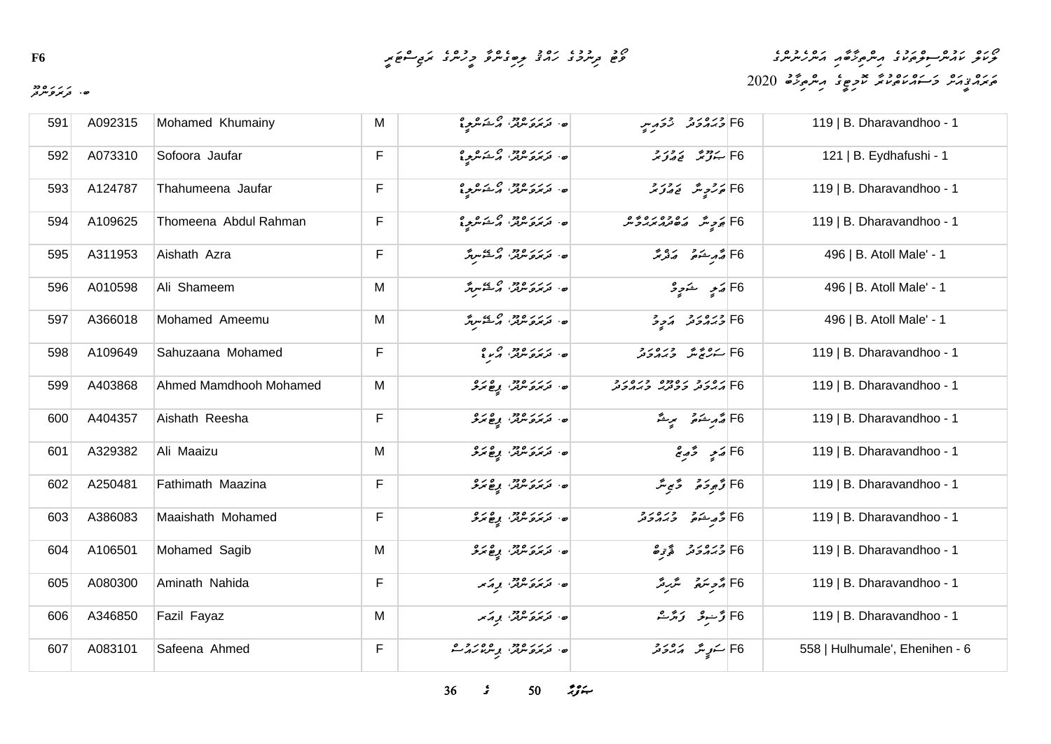*sCw7q7s5w7m< o<n9nOoAw7o< sCq;mAwBoEw7q<m; wBm;vB* م من المسجد المسجد المسجد المسجد المسجد العام 2020<br>مسجد المسجد المسجد المسجد المسجد المسجد المسجد المسجد المسجد ال

| 591 | A092315 | Mohamed Khumainy       | M           | ے مر دی مر پر انگریزی کے مرد ع                                                                                                                                                                                                  | F6 <i>32,825 جومبر</i>                | 119   B. Dharavandhoo - 1      |
|-----|---------|------------------------|-------------|---------------------------------------------------------------------------------------------------------------------------------------------------------------------------------------------------------------------------------|---------------------------------------|--------------------------------|
| 592 | A073310 | Sofoora Jaufar         | $\mathsf F$ | ه بربر ودود میکند و ه                                                                                                                                                                                                           | F6 بنوترنز ت <sub>ق</sub> مترنز       | 121   B. Eydhafushi - 1        |
| 593 | A124787 | Thahumeena Jaufar      | F           | ھ بر مرکز وجو میں شہر ہو ؟<br>جس مرکزی مرکز اور شہر مرکز ؟                                                                                                                                                                      | F6 <i>وَرْحٍ مَّنْ</i> وَيُرْتَزِيْرَ | 119   B. Dharavandhoo - 1      |
| 594 | A109625 | Thomeena Abdul Rahman  | $\mathsf F$ | ه بربر ودو م شهر و و                                                                                                                                                                                                            | F6 يُوحِسٌ مُصْرَمَ مُدَمَّرٍ         | 119   B. Dharavandhoo - 1      |
| 595 | A311953 | Aishath Azra           | F           | ه كريره دور ميكن مركز بين مركز بين مركز بين مركز بين مركز بين مركز بين مركز بين مركز بين مركز بين مركز بين مركز<br>من المركز بين مركز بين مركز بين مركز بين مركز بين مركز بين مركز بين مركز بين مركز بين مركز بين مركز بين مركز | F6 مەم ئىشقى مەنى <i>رىتى</i>         | 496   B. Atoll Male' - 1       |
| 596 | A010598 | Ali Shameem            | M           | ە ئەمەرەدە مىك ئىر                                                                                                                                                                                                              | F6 <i>ڇَجِ حَجِ</i> و                 | 496   B. Atoll Male' - 1       |
| 597 | A366018 | Mohamed Ameemu         | M           | ھ کر مرکز 200 م گئے۔<br>ھ کر مرکز مرکز کے مس                                                                                                                                                                                    | F6 <i>3222 مُوَدِّ</i>                | 496   B. Atoll Male' - 1       |
| 598 | A109649 | Sahuzaana Mohamed      | $\mathsf F$ |                                                                                                                                                                                                                                 | F6 يەرىج تىر مەمدىر دىر               | 119   B. Dharavandhoo - 1      |
| 599 | A403868 | Ahmed Mamdhooh Mohamed | M           | ص تر <i>بر ووجه و ه بر و</i>                                                                                                                                                                                                    | F6   رەر د رەددە درەر د               | 119   B. Dharavandhoo - 1      |
| 600 | A404357 | Aishath Reesha         | $\mathsf F$ | ه تر <i>بره ود و و برو</i>                                                                                                                                                                                                      | F6 مُرشَعْ مِيشَ                      | 119   B. Dharavandhoo - 1      |
| 601 | A329382 | Ali Maaizu             | M           | ه تر <i>برده ده.</i> وه برو                                                                                                                                                                                                     | F6 كەمچە گەرىج                        | 119   B. Dharavandhoo - 1      |
| 602 | A250481 | Fathimath Maazina      | $\mathsf F$ | ه تر <i>بره من بوده ب</i> ره                                                                                                                                                                                                    | F6 ز <i>نجوخوش څې</i> ش               | 119   B. Dharavandhoo - 1      |
| 603 | A386083 | Maaishath Mohamed      | $\mathsf F$ | ه تر <i>بر ده ده.</i><br>ه تر برو سربر ب <sub>ر</sub> ه برو                                                                                                                                                                     | F6 <i>جُهِيشَمُ حُكْمُ</i> دَنْرُ     | 119   B. Dharavandhoo - 1      |
| 604 | A106501 | Mohamed Sagib          | M           | ه بربر ود.<br>ه تربره نربل پوه برخ                                                                                                                                                                                              | F6 ديرورو گون <sub>و</sub> ھ          | 119   B. Dharavandhoo - 1      |
| 605 | A080300 | Aminath Nahida         | $\mathsf F$ |                                                                                                                                                                                                                                 | F6 مُتَّحِسَمُهُ مُتَّرَمَّدُ         | 119   B. Dharavandhoo - 1      |
| 606 | A346850 | Fazil Fayaz            | M           | ه· تریزوکلرد و ترکه بر                                                                                                                                                                                                          | F6 گرُنڊنگ کرمگر <sup>م</sup> گ       | 119   B. Dharavandhoo - 1      |
| 607 | A083101 | Safeena Ahmed          | F           | ه بربر ودو به وه در و ه                                                                                                                                                                                                         | F6 س <i>َوٍيدٌ پَرُدُونَرُ</i>        | 558   Hulhumale', Ehenihen - 6 |

**36** *s* **50** *z***<sub>***f***</sub>**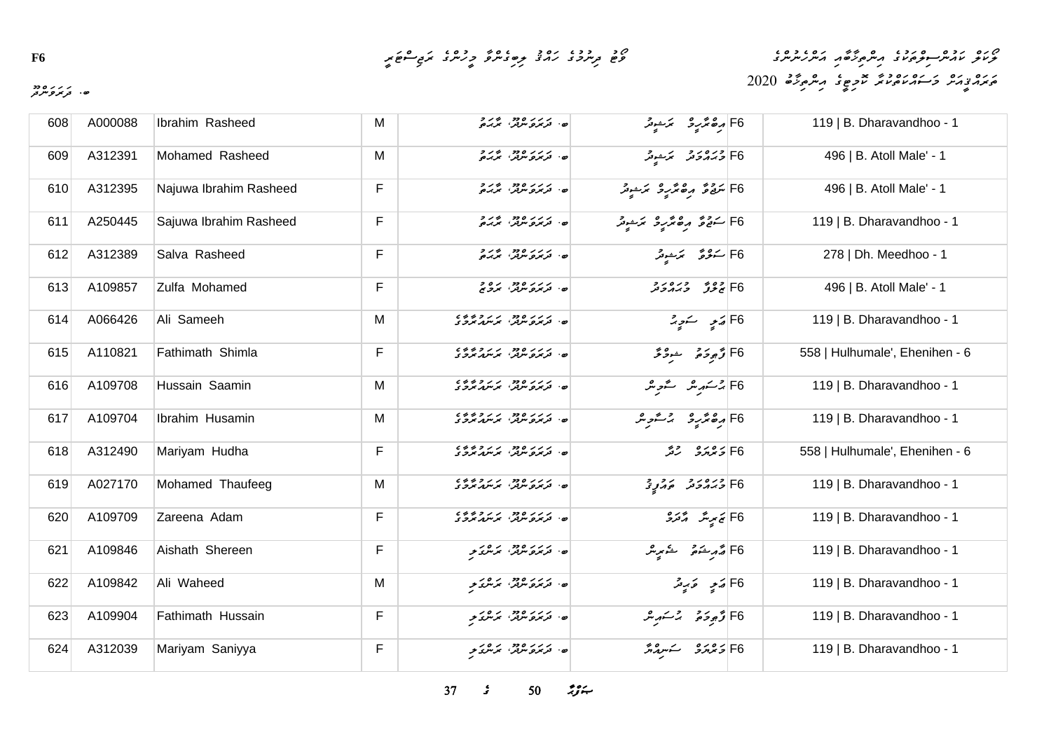*sCw7q7s5w7m< o<n9nOoAw7o< sCq;mAwBoEw7q<m; wBm;vB* م من المسجد المسجد المسجد المسجد المسجد العام 2020<br>مسجد المسجد المسجد المسجد المسجد المسجد المسجد المسجد المسجد ال

| 608 | A000088 | Ibrahim Rasheed        | M | ە بەر بەرە بەر دەر<br>ھ بىر بىر بۇ بىر بىر بىر بىر                           | F6 م <i>ِنْ جُرِّدٍ جَي جَوْمِ</i> رُ      | 119   B. Dharavandhoo - 1      |
|-----|---------|------------------------|---|------------------------------------------------------------------------------|--------------------------------------------|--------------------------------|
| 609 | A312391 | Mohamed Rasheed        | M | ه . تربره دو . در و<br>ه . تربره سربر . بربره                                | F6 <i>وُبَرُوْدَوْ بَرَحْبِيْنْ</i>        | 496   B. Atoll Male' - 1       |
| 610 | A312395 | Najuwa Ibrahim Rasheed | F | ے - در دور - در د<br>ے - تر دو سربر - بر رہ                                  | F6 سَرَةٍ وَ " مِرْهُ مَرْسٍ مَرْسِرِ مَرْ | 496   B. Atoll Male' - 1       |
| 611 | A250445 | Sajuwa Ibrahim Rasheed | F | ه به در وده پور و<br>ه به ترتدو برتد برندمي                                  | F6 سَنَّةٍ وَ مِرْهَ بَرْسِيْرِ مَرْسِيْرَ | 119   B. Dharavandhoo - 1      |
| 612 | A312389 | Salva Rasheed          | F | ے - در دور - در د<br>ے - تر دو سربر - بر رہ                                  | F6 سَعُوَّةُ - مَرْشِيْتَر                 | 278   Dh. Meedhoo - 1          |
| 613 | A109857 | Zulfa Mohamed          | F | ه به کربر وجود برو و<br>ه به تربرو سرتر، ابرو بح                             | F6 يحوز حده دور                            | 496   B. Atoll Male' - 1       |
| 614 | A066426 | Ali Sameeh             | M | ر د د د ه دو .<br>ن د تربره سرتر ، برسرو برو د                               | F6 <i>ڇُجِ سَوچ</i> ُ                      | 119   B. Dharavandhoo - 1      |
| 615 | A110821 | Fathimath Shimla       | F | ر د د د ه دو .<br>ن د تربره سرتر ، برسرو برو د                               | F6 <i>وُجِودَة</i> جودَّةَ                 | 558   Hulhumale', Ehenihen - 6 |
| 616 | A109708 | Hussain Saamin         | M | נגנ סמי גנגד בייר<br>פי נקו <i>ע</i> פייטט, ולייט <i>ו אב</i> צ              | F6 يُرْسَمْ مِيْرَ مُسْتَجِيْر             | 119   B. Dharavandhoo - 1      |
| 617 | A109704 | Ibrahim Husamin        | M | נגנ סמי גנדים.<br>שי "המפיינה" מייטו מרכ                                     | F6 <sub>م</sub> ەنگەر 2 گەمەتكە            | 119   B. Dharavandhoo - 1      |
| 618 | A312490 | Mariyam Hudha          | F | נ גנגס חי גנגדים<br>סי נקודקס ייקולי ודייטו זקיב ב                           | F6 كاير برنگر محمدً                        | 558   Hulhumale', Ehenihen - 6 |
| 619 | A027170 | Mohamed Thaufeeg       | M | ے - تر <i>برے وہ - برے وہ ہے ۔</i><br>ن <i>ے - تر بری مربی - برسمہ برح</i> ی | F6 <i>ۇنەم دۇرۇ ھەرپى</i> قى               | 119   B. Dharavandhoo - 1      |
| 620 | A109709 | Zareena Adam           | F | נגנ סמי גנדים.<br>סי נקו <i>בקס</i> ייקט, ו <i>קיירו אב</i> צ                | F6 نج مریٹر گرنٹرنز                        | 119   B. Dharavandhoo - 1      |
| 621 | A109846 | Aishath Shereen        | F | ھ کريمرو موجز کم شرکت پر                                                     |                                            | 119   B. Dharavandhoo - 1      |
| 622 | A109842 | Ali Waheed             | M | ھ تریزو مربر برمربر پر                                                       | F6 کی پو می تھی تھی۔<br>مسجد ج             | 119   B. Dharavandhoo - 1      |
| 623 | A109904 | Fathimath Hussain      | F | ھ تریزو مردر برمزنو                                                          | F6 ۇ <sub>جۇ</sub> رۇ جىسىرى <i>گ</i>      | 119   B. Dharavandhoo - 1      |
| 624 | A312039 | Mariyam Saniyya        | F | ھ تریزو مربر برمربر پر                                                       | F6 كەبەر كەبەر يەر                         | 119   B. Dharavandhoo - 1      |

**37** *s* **50** *z***<sub>***f***</sub>**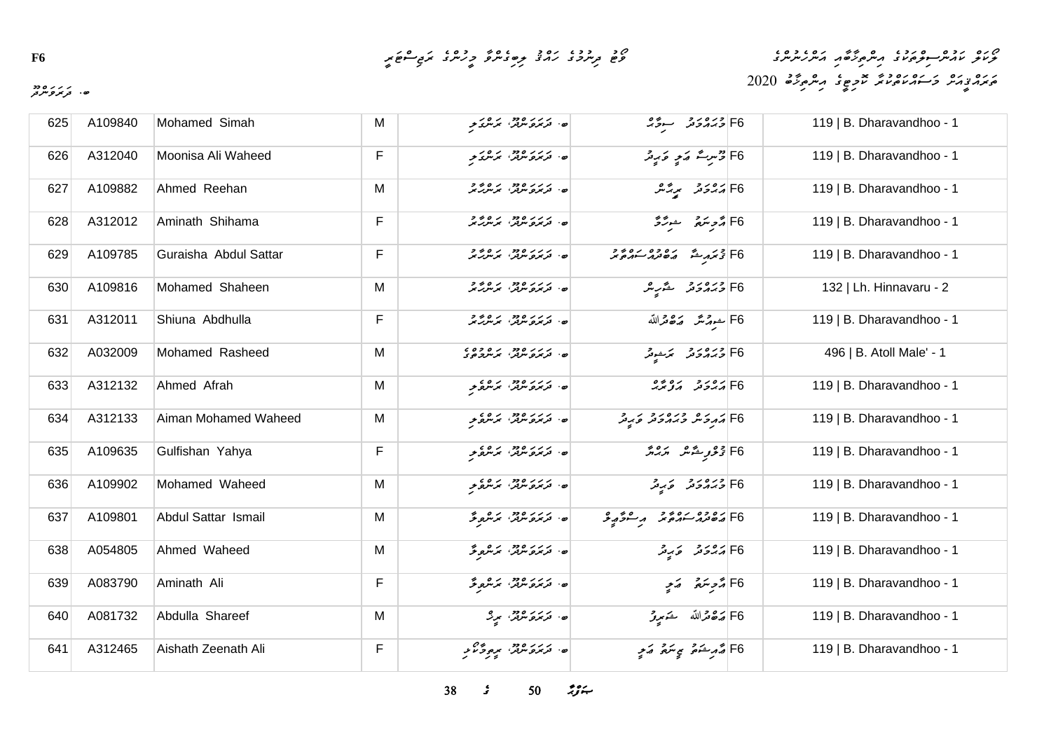*sCw7q7s5w7m< o<n9nOoAw7o< sCq;mAwBoEw7q<m; wBm;vB* م من المرة المرة المرة المرجع المرجع المرجع في 2020<br>مجم*د المريض المرجع المرجع المرجع المرجع المراجع المراجع الم*رجع

| 625 | A109840 | Mohamed Simah         | M           | ە ئەيرەكتىرى ئەسىم بو                                        | F6 <i>3323 جدة</i> مبد <i>و</i>                                                                                | 119   B. Dharavandhoo - 1 |
|-----|---------|-----------------------|-------------|--------------------------------------------------------------|----------------------------------------------------------------------------------------------------------------|---------------------------|
| 626 | A312040 | Moonisa Ali Waheed    | $\mathsf F$ | ه به تریره در برد بر در د                                    | F6 وُسِرَ مَرِ وَرِيْدَ                                                                                        | 119   B. Dharavandhoo - 1 |
| 627 | A109882 | Ahmed Reehan          | M           | ے کربرہ دوسرے دوسرے<br>جس کربرہ سربر برس                     | F6 <i>גَ بْدُوَ</i> تْرَ بِرِيْدَ مِنْ                                                                         | 119   B. Dharavandhoo - 1 |
| 628 | A312012 | Aminath Shihama       | $\mathsf F$ | ر در در دود.<br>ن در تر تر تر تر تر تر تر تر                 | F6 مُتَّحِسَمُ مُشَرِّدً                                                                                       | 119   B. Dharavandhoo - 1 |
| 629 | A109785 | Guraisha Abdul Sattar | F           | ے - تربرہ میں بھی بھی ہے ۔<br>ن = تربرہ سربر = تربربر        | F6 تونيديش پره ده بره د د                                                                                      | 119   B. Dharavandhoo - 1 |
| 630 | A109816 | Mohamed Shaheen       | M           | ر در در دود.<br>ن در تر تر تر تر تر تر تر تر                 | F6 <i>32828</i> مت <i>ثوب</i> ر                                                                                | 132   Lh. Hinnavaru - 2   |
| 631 | A312011 | Shiuna Abdhulla       | F           | ر در در دود.<br>ن در تر تر تر تر تر تر تر تر                 | F6 شو <i>م شرق مرک قر</i> الله                                                                                 | 119   B. Dharavandhoo - 1 |
| 632 | A032009 | Mohamed Rasheed       | M           | ر د بر د ودون بر د و و ه و<br>ن - تر بر و سربر از بر سرچ و ی | F6 <i>\$نەۋى تەخ</i> بىر                                                                                       | 496   B. Atoll Male' - 1  |
| 633 | A312132 | Ahmed Afrah           | M           | ص- تربره دوم - بر ه ع<br>  ص- تربره سربر، مرسره م            | F6 كەبرو كەرگە ئەرگەنگەندىكە ئەنگەندىكە 14 كەبرىيەت ئىلگەندىكە ئاستۇنىيەت كەنگەندىكە 19 كەنتىڭ كەنتى كەنتىڭ كە | 119   B. Dharavandhoo - 1 |
| 634 | A312133 | Aiman Mohamed Waheed  | M           | ه . تربره دو . د ه ، و                                       | F6 كەركى قەرەر قارىر قارىر                                                                                     | 119   B. Dharavandhoo - 1 |
| 635 | A109635 | Gulfishan Yahya       | $\mathsf F$ | ه . تربر و ده . بره و .<br>ه . تربرو سربر . برسرو م          | F6 تۇقۇرىشى مەر <i>بەت</i> ر                                                                                   | 119   B. Dharavandhoo - 1 |
| 636 | A109902 | Mohamed Waheed        | M           | ه . تربره دو . د ه ، و                                       | F6 <i>\$222 مَي</i> قر                                                                                         | 119   B. Dharavandhoo - 1 |
| 637 | A109801 | Abdul Sattar Ismail   | M           | ە ئەممەمەدە مەھمۇ                                            | 67 - 2000 - 2000 مرحوم و                                                                                       | 119   B. Dharavandhoo - 1 |
| 638 | A054805 | Ahmed Waheed          | M           | ھ تریزو سربر ایر شرور تھ                                     | F6 كەندى قىرىتى ئىق                                                                                            | 119   B. Dharavandhoo - 1 |
| 639 | A083790 | Aminath Ali           | $\mathsf F$ | ە · ئەيمەھ سەر بەر ئەسىر ئە                                  | F6 مُرْحِبَتِهِ مَعْ                                                                                           | 119   B. Dharavandhoo - 1 |
| 640 | A081732 | Abdulla Shareef       | M           | ے مریزہ سرد ہوت                                              | F6 كەھەراللە خەمب <i>ور</i>                                                                                    | 119   B. Dharavandhoo - 1 |
| 641 | A312465 | Aishath Zeenath Ali   | $\mathsf F$ | ه کربره ود.<br>ه تربره سرتر، برمور لار                       | F6 مُرشَوَ بِي سَمَرُ مَرْمٍ                                                                                   | 119   B. Dharavandhoo - 1 |

*r د د ه ود*<br>@ . تر *بر و س*ر تر

**38** *s* **50** *n***<sub>s</sub>***n***<sub>s</sub>**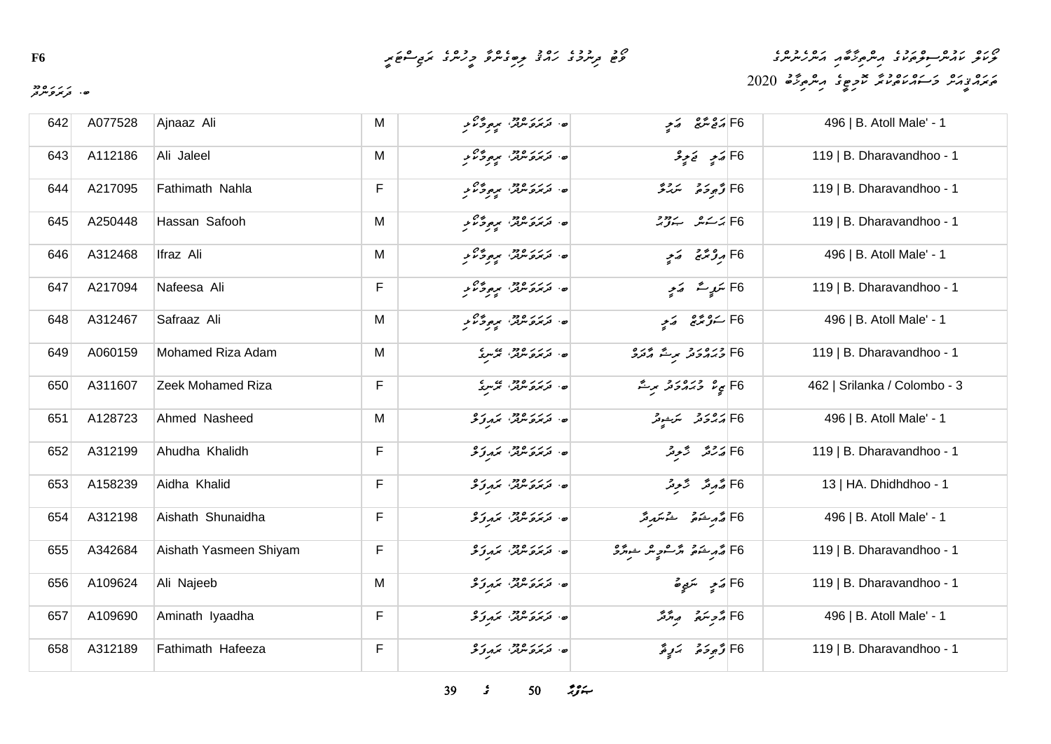*sCw7q7s5w7m< o<n9nOoAw7o< sCq;mAwBoEw7q<m; wBm;vB* م من المرة المرة المرة المرجع المرجع المرجع في 2020<br>مجم*د المريض المرجع المرجع المرجع المرجع المراجع المراجع الم*رجع

| 642 | A077528 | Ajnaaz Ali             | M | ه مرتزو بنده مردود بن                   | F6 كەڭ شىخ ھەمچە                        | 496   B. Atoll Male' - 1     |
|-----|---------|------------------------|---|-----------------------------------------|-----------------------------------------|------------------------------|
| 643 | A112186 | Ali Jaleel             | M | ه کربره دو.<br>ه تربره سربر برم و رس    | F6 کړ <i>ي چ</i> وگر                    | 119   B. Dharavandhoo - 1    |
| 644 | A217095 | Fathimath Nahla        | F | ه کريزه دو.<br>ه تريزه سرتر، مره و لاتړ | F6 رَّجِ حَمَّى سَرَكَتَرَ              | 119   B. Dharavandhoo - 1    |
| 645 | A250448 | Hassan Safooh          | M | ه کريره دو.<br>ه تربروسربر بروژبر       | F6 پرسته جوړين                          | 119   B. Dharavandhoo - 1    |
| 646 | A312468 | Ifraz Ali              | M | ه کربره دو.<br>ه تربره سربر بره و ما د  | F6 <sub>مو</sub> وثر پخ م <i>جمع</i>    | 496   B. Atoll Male' - 1     |
| 647 | A217094 | Nafeesa Ali            | F | ه تربره دو.<br>ه تربره سربر بره و رو    | F6 سَمِي شَرِ صَحِي                     | 119   B. Dharavandhoo - 1    |
| 648 | A312467 | Safraaz Ali            | M | ه تربره دو.<br>ه تربره سربر بره و رو    | F6 ڪويڙي <i>م</i> َبي                   | 496   B. Atoll Male' - 1     |
| 649 | A060159 | Mohamed Riza Adam      | M | ر در در ود.<br>۰۰ تربره سرتر، برسرد     | F6 دُيرورو برنگ مگرو                    | 119   B. Dharavandhoo - 1    |
| 650 | A311607 | Zeek Mohamed Riza      | F | ر در در وو.<br>۰۰ ترمره مرکز، مرس       | F6 ي <i>ي ° دُبُرُودگر بر</i> گ         | 462   Srilanka / Colombo - 3 |
| 651 | A128723 | Ahmed Nasheed          | M | ە· ئەيرەسىرى ئەرىكى                     | F6 كەنزى كىلى سىرىسى قىر                | 496   B. Atoll Male' - 1     |
| 652 | A312199 | Ahudha Khalidh         | F | ە· ئەيرەسىرى ئەرىكى                     | F6 كەرلىگە گەنى قى                      | 119   B. Dharavandhoo - 1    |
| 653 | A158239 | Aidha Khalid           | F | ە· ئەيمەھ سەئى ئىمەتى ئى                | F6 مَّەمِعَّہ شَّعِفَہ                  | 13   HA. Dhidhdhoo - 1       |
| 654 | A312198 | Aishath Shunaidha      | F | ە · ئەتمەن ئەرىكى ئىمبەرگە ئى           | F6 مُرمِسَمَ شَمَسَ بِمَ                | 496   B. Atoll Male' - 1     |
| 655 | A342684 | Aishath Yasmeen Shiyam | F | ە· ئەيرەسىرى ئەرىكى                     | F6 مُستَعْفَرَ مُرْسُورٍ مُرْ سُومَرُدَ | 119   B. Dharavandhoo - 1    |
| 656 | A109624 | Ali Najeeb             | M | ە· ئەيرەسىرى ئەرىكى                     | F6 کړې س <i>ر<sub>ک</sub>ې ه</i>        | 119   B. Dharavandhoo - 1    |
| 657 | A109690 | Aminath Iyaadha        | F | ە· ئەيرەسىرى ئەرىكى                     | F6 مُرْحِسَمَة مِتَرَمَّدَ              | 496   B. Atoll Male' - 1     |
| 658 | A312189 | Fathimath Hafeeza      | F | ە · ئەترىرە بىر بىر ئەرىخ               | F6 <i>وَّجِ حَقَّ بَرَبِي</i> َّةٍ      | 119   B. Dharavandhoo - 1    |

**39** *s* **50** *z***<sub>***f***</sub>**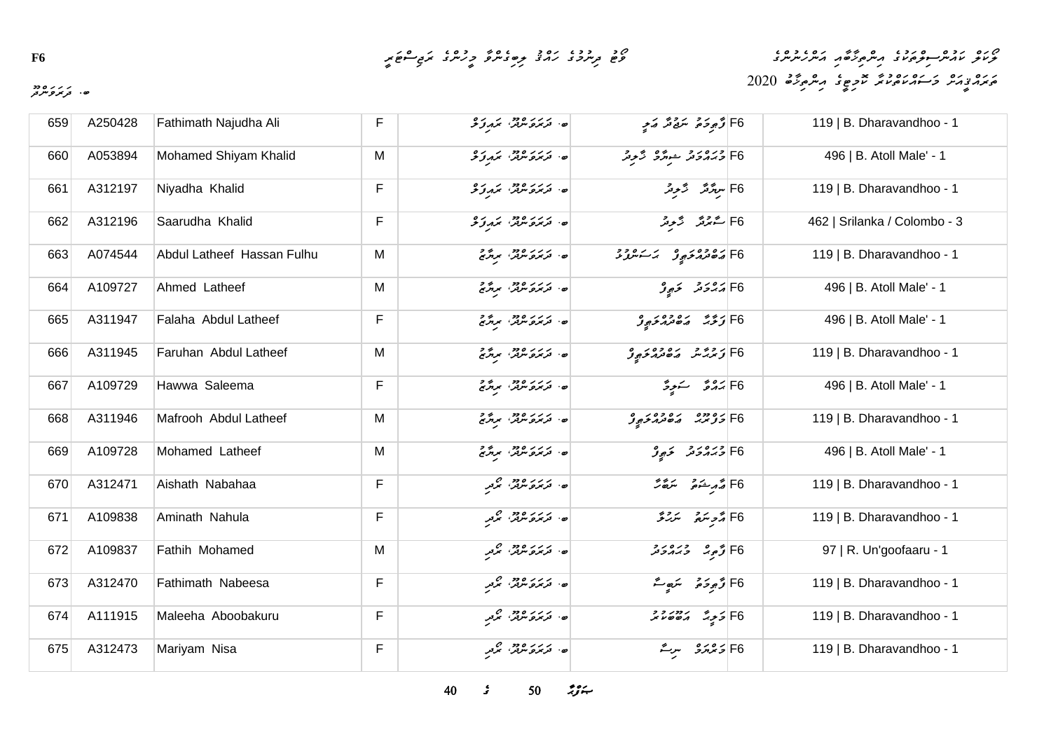*sCw7q7s5w7m< o<n9nOoAw7o< sCq;mAwBoEw7q<m; wBm;vB* م من المرة المرة المرة المرجع المرجع المرجع في 2020<br>مجم*د المريض المرجع المرجع المرجع المرجع المراجع المراجع الم*رجع

| 659 | A250428 | Fathimath Najudha Ali      | F           | ە· ئەترىرە دەرە ئەرىرى                                   | F6 أَوَّجِ وَحَمْ سَمَةٍ مَّذَ مَ مِ    | 119   B. Dharavandhoo - 1    |
|-----|---------|----------------------------|-------------|----------------------------------------------------------|-----------------------------------------|------------------------------|
| 660 | A053894 | Mohamed Shiyam Khalid      | M           | ە· ئەيرەسىرى ئەرىكى                                      | F6 دُبَرْدُدَتْر جورَّ رُّجِرْ          | 496   B. Atoll Male' - 1     |
| 661 | A312197 | Niyadha Khalid             | F           | ە· ئەيرەسىرى ئەرىكى                                      | F6 سرمزما گرمانی ک                      | 119   B. Dharavandhoo - 1    |
| 662 | A312196 | Saarudha Khalid            | $\mathsf F$ | ه بربره دور بربر و د                                     | F6 گەنزلار گەرنر                        | 462   Srilanka / Colombo - 3 |
| 663 | A074544 | Abdul Latheef Hassan Fulhu | M           |                                                          | F6 مەھەرمىق بۇ مەسىرى                   | 119   B. Dharavandhoo - 1    |
| 664 | A109727 | Ahmed Latheef              | M           | ر در دود.<br>ه۰ تربره سرتر، بربرمج                       | F6 كەندى قىرۇ                           | 496   B. Atoll Male' - 1     |
| 665 | A311947 | Falaha Abdul Latheef       | F           | ر در در وو.<br>ه۰ ترسره سربر، سربرم                      | F6 زَدَّبَّہُ مَصْرَمْ <i>مَوْدِ</i> رْ | 496   B. Atoll Male' - 1     |
| 666 | A311945 | Faruhan Abdul Latheef      | M           | ه · تریروسرتر، بروگرم                                    | F6 زىرتىش مەھ <i>ەممۇمۇمۇ</i>           | 119   B. Dharavandhoo - 1    |
| 667 | A109729 | Hawwa Saleema              | F           | ے - تر <i>بر</i> ے مرد ہے ۔<br>ے- تر برے سربر - بر بر بح | F6 پَرُوُمُ سَمَوِدً                    | 496   B. Atoll Male' - 1     |
| 668 | A311946 | Mafrooh Abdul Latheef      | M           | ر در دود.<br>ه۰ تربره سرتر، بربرمج                       | F6 دوروه ده ده ده د و                   | 119   B. Dharavandhoo - 1    |
| 669 | A109728 | Mohamed Latheef            | M           | ה גן הם מצי<br>סי נקודת מקצה ו תואמת                     | F6 دېرونه <sub>ځې</sub> و               | 496   B. Atoll Male' - 1     |
| 670 | A312471 | Aishath Nabahaa            | F           | ے - تریروسرتر، کرتر                                      | F6 مُدمِسَمُ سَهَّرَ                    | 119   B. Dharavandhoo - 1    |
| 671 | A109838 | Aminath Nahula             | F           | ه . تر بر ده دود .<br>ه . تر بر و بر در بر بر بر         | F6 مُجِسَعُ سَرَكَةٌ                    | 119   B. Dharavandhoo - 1    |
| 672 | A109837 | Fathih Mohamed             | M           | ے - تریرے سربل محمد                                      | F6 تَوْمِرٌ حَمَدُ حَمَدَ               | 97   R. Un'goofaaru - 1      |
| 673 | A312470 | Fathimath Nabeesa          | F           | ے - تریرو شرقر، مرتبر                                    | F6 زَّەپرەَ مَە سَى سَمَّة بِ           | 119   B. Dharavandhoo - 1    |
| 674 | A111915 | Maleeha Aboobakuru         | F           | ے - تریرو سرتر، کرتر                                     | F6 كەمەيدىسى ئەھمەتلىر                  | 119   B. Dharavandhoo - 1    |
| 675 | A312473 | Mariyam Nisa               | F           | ے - تریرہ سربر ہے۔<br>ے - تریرہ سربر - تریر              | F6 كەبھەنى سرىسىگە                      | 119   B. Dharavandhoo - 1    |

*40 sC 50 nNw?mS*

*r@w7m=m8m@ .9*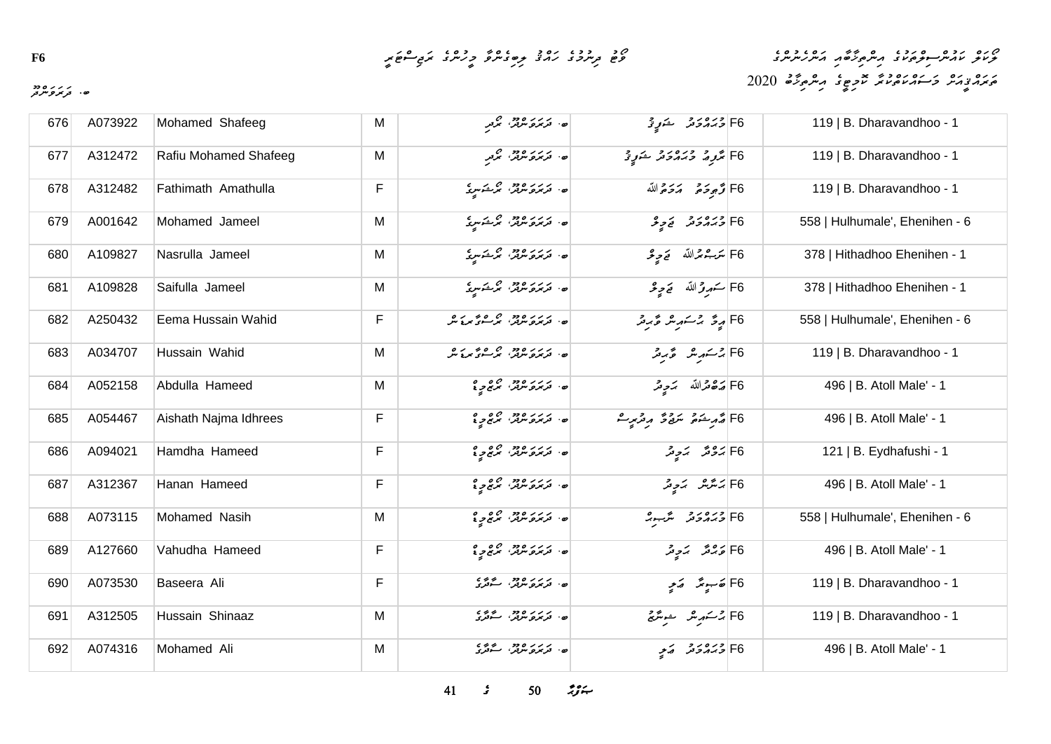*sCw7q7s5w7m< o<n9nOoAw7o< sCq;mAwBoEw7q<m; wBm;vB* م من المسجد المسجد المسجد المسجد المسجد العام 2020<br>مسجد المسجد المسجد المسجد المسجد المسجد المسجد المسجد المسجد ال

| 676 | A073922 | Mohamed Shafeeg       | M           | ے مریز واقع مریز ا                                                 | F6 <i>252,25 شوي</i> قى                     | 119   B. Dharavandhoo - 1      |
|-----|---------|-----------------------|-------------|--------------------------------------------------------------------|---------------------------------------------|--------------------------------|
| 677 | A312472 | Rafiu Mohamed Shafeeg | M           | ے - تریرو سربر ، مرتبر                                             | F6 بَرُومُ حَرَمُ حَرَ حَرَبٍ ثَمَّ         | 119   B. Dharavandhoo - 1      |
| 678 | A312482 | Fathimath Amathulla   | F           | ە ئەيرەتلەر ئەسكەن                                                 | F6 وَجِعَةٍ مَرَحَمُ اللّه                  | 119   B. Dharavandhoo - 1      |
| 679 | A001642 | Mohamed Jameel        | M           | ە ئەمرەم دەرە بىر ئەسىرى<br>ھەر ئەمرى ئىرىش ئىرىشكىلىرىگى          | F6 \$ پر پر پر تو تو تو تر                  | 558   Hulhumale', Ehenihen - 6 |
| 680 | A109827 | Nasrulla Jameel       | M           | ە ئەمەرەدە ئەيدىن                                                  | F6 سَرَ-مِحْرَاللّه     يَحْ حِ عْرَ        | 378   Hithadhoo Ehenihen - 1   |
| 681 | A109828 | Saifulla Jameel       | M           | ە ئەمەرەدە ئەيدىن                                                  | F6 كمبرتر الله كمح يوفر                     | 378   Hithadhoo Ehenihen - 1   |
| 682 | A250432 | Eema Hussain Wahid    | $\mathsf F$ | ه به مربر وجود المرکزی برو ش                                       | F6 <sub>مو</sub> وٌ بڑے پر بھ ٹ <i>وب</i> ھ | 558   Hulhumale', Ehenihen - 6 |
| 683 | A034707 | Hussain Wahid         | M           | ے - تربرہ رحمد - ص ص ع برغ مگر<br>ے - تربرہ مربوب - برسومی برغ مگر | F6 يُرْسَمَ مِيْتَ مُحْ مِيْتَمْرِ          | 119   B. Dharavandhoo - 1      |
| 684 | A052158 | Abdulla Hameed        | M           | ه . در در دور می و ه                                               | F6 مَەھىراللە بەر قىر                       | 496   B. Atoll Male' - 1       |
| 685 | A054467 | Aishath Najma Idhrees | $\mathsf F$ | ه . در دود 00 و 0<br>۵ . در دوسربل مربح و ٤                        | F6 مُەم شەھ سەق ئومرىمى F6                  | 496   B. Atoll Male' - 1       |
| 686 | A094021 | Hamdha Hameed         | $\mathsf F$ | ه بربره ود می ه و                                                  | F6   پَروُنَزُ   پَروِنْزُ                  | 121   B. Eydhafushi - 1        |
| 687 | A312367 | Hanan Hameed          | $\mathsf F$ | ه . تر پره دو مرج و ه                                              | F6   يَسَّرُسُ لَيَ يَرْمِزُ                | 496   B. Atoll Male' - 1       |
| 688 | A073115 | Mohamed Nasih         | M           | ە . ئەرىرە دە مەم ە<br>ھ . ئەيمەھ سرىر . مەم چ                     | F6 <i>وُيَهُوَ مَدْ سُرْبِهِ وُ</i>         | 558   Hulhumale', Ehenihen - 6 |
| 689 | A127660 | Vahudha Hameed        | F           | ه . تربره ود می ه ه<br>ه . تربره سربل . برج چ                      | F6 <i>ق</i> ەشقە سەرىقە                     | 496   B. Atoll Male' - 1       |
| 690 | A073530 | Baseera Ali           | $\mathsf F$ | ە بەر بەدە بەدە<br>ھ تەيمەنى سەتەرى                                | F6 ڪَ-پونٽر صَعِي                           | 119   B. Dharavandhoo - 1      |
| 691 | A312505 | Hussain Shinaaz       | M           | ه کربره دو.<br>ده تربرو سرتر، سوتری                                | F6 يُرْسَمَ مِيلَ مُشْتَقِيحَ               | 119   B. Dharavandhoo - 1      |
| 692 | A074316 | Mohamed Ali           | M           | ر در د ود.<br>ن تربره سرتر، سوتری                                  | F6 <i>32222 مَ</i> حِ                       | 496   B. Atoll Male' - 1       |

*41 sC 50 nNw?mS*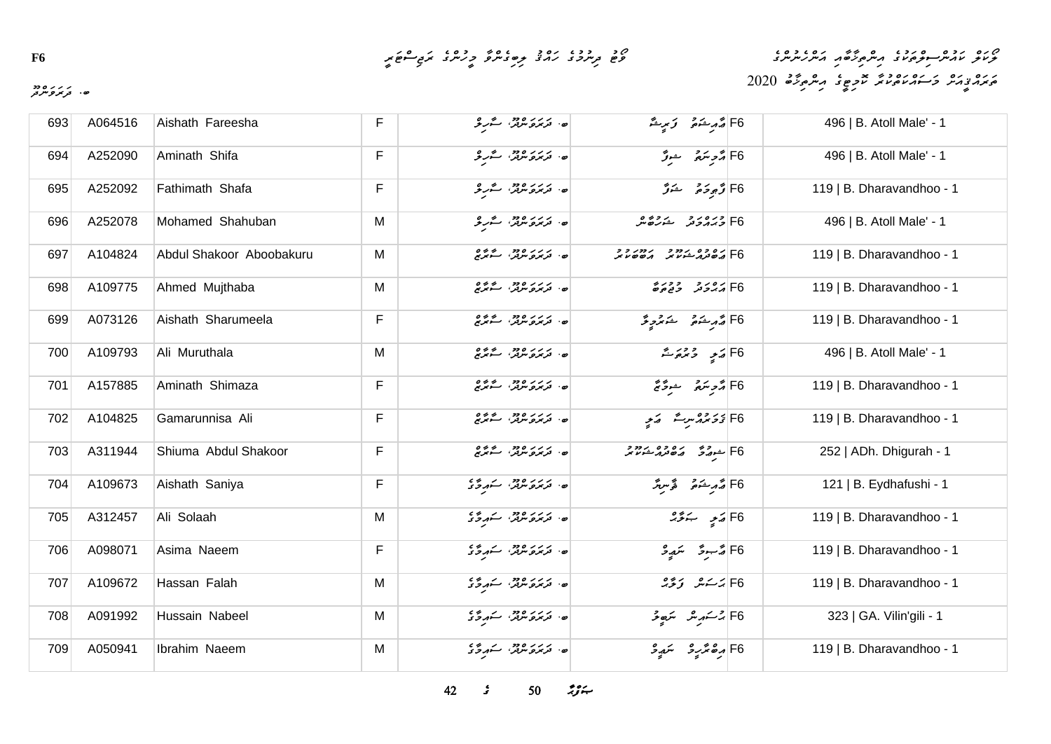*sCw7q7s5w7m< o<n9nOoAw7o< sCq;mAwBoEw7q<m; wBm;vB* م من المرة المرة المرة المرجع المرجع المرجع في 2020<br>مجم*د المريض المرجع المرجع المرجع المرجع المراجع المراجع الم*رجع

| 693 | A064516 | Aishath Fareesha         | F            | ە بەيزىر ئەرەپ سەر بۇ                        | F6 مُرمِشَمُ وَمَرِمَّةً              | 496   B. Atoll Male' - 1  |
|-----|---------|--------------------------|--------------|----------------------------------------------|---------------------------------------|---------------------------|
| 694 | A252090 | Aminath Shifa            | F            | ە ئەيرەھ سرچى گەربى                          | F6 مُرْحِسَمُ مِسْرَرٌ                | 496   B. Atoll Male' - 1  |
| 695 | A252092 | Fathimath Shafa          | $\mathsf F$  | ە ئەيرەسىزى ئىربى                            | F6 <i>وَّجِودَة</i> شَرَرَّ           | 119   B. Dharavandhoo - 1 |
| 696 | A252078 | Mohamed Shahuban         | M            | ه تریره سره شرقی                             |                                       | 496   B. Atoll Male' - 1  |
| 697 | A104824 | Abdul Shakoor Aboobakuru | M            | ه کريره وجه شوده                             | F6 בפנג ביניג בפיט בי                 | 119   B. Dharavandhoo - 1 |
| 698 | A109775 | Ahmed Mujthaba           | M            | ە كەررەدە بەرە<br>ھ تەيروس                   | F6 كەبرىق مەدەپىيە ق                  | 119   B. Dharavandhoo - 1 |
| 699 | A073126 | Aishath Sharumeela       | $\mathsf F$  | ە كەبرە دەھ ئەمەدە<br>ھ تەبىرى سرتىر ئىسىرى  | F6 مُەمِسْدَە ئىستىمەت <sub>ى</sub> ئ | 119   B. Dharavandhoo - 1 |
| 700 | A109793 | Ali Muruthala            | M            | ە . ئەرىرەدە .<br>ھ . ئەندۈسۈندا سىرىمى      | F6 كەمچە ئەممەمۇسىگە                  | 496   B. Atoll Male' - 1  |
| 701 | A157885 | Aminath Shimaza          | F            | ە بەر بەرەدە بەر بەر                         | F6 مُرْحِسَمُ مُ مُسِرَّجٌ            | 119   B. Dharavandhoo - 1 |
| 702 | A104825 | Gamarunnisa Ali          | F            | ە · ئەبرومەتر، مەيزى                         | F6 تۈكەتمەكەس كەيپە                   | 119   B. Dharavandhoo - 1 |
| 703 | A311944 | Shiuma Abdul Shakoor     | $\mathsf F$  | ه کربره وو. د ده                             | F6 خوړځ ده دره د دره د                | 252   ADh. Dhigurah - 1   |
| 704 | A109673 | Aishath Saniya           | $\mathsf{F}$ | ھ تریزو مربق کے دی                           | F6 مُدِينَة مِنْ مُؤْسِدً             | 121   B. Eydhafushi - 1   |
| 705 | A312457 | Ali Solaah               | M            | ە ئەيزىرەدە.<br>ھ تەيزىر سرچى سىمبرىرى       | F6 <i>ڇُجِ جَهُنَّ</i>                | 119   B. Dharavandhoo - 1 |
| 706 | A098071 | Asima Naeem              | $\mathsf F$  | ھ تریزو مربق کے دی                           | F6 مُسِرَّ سَمِرَ م                   | 119   B. Dharavandhoo - 1 |
| 707 | A109672 | Hassan Falah             | M            | ه . تربره بيره .<br>ه . تربره سربر . سکه و د | F6 ئەستەش <i>ە ق</i> ۇر               | 119   B. Dharavandhoo - 1 |
| 708 | A091992 | Hussain Nabeel           | M            | ه تریره مین کرده                             | F6 پر کمبر شریع قر                    | 323   GA. Vilin'gili - 1  |
| 709 | A050941 | Ibrahim Naeem            | M            | ه نربره دو.<br>ه نربروسرتر، سکه وی           | F6 <sub>م</sub> ەنزىد سەرە            | 119   B. Dharavandhoo - 1 |

*42 sC 50 nNw?mS*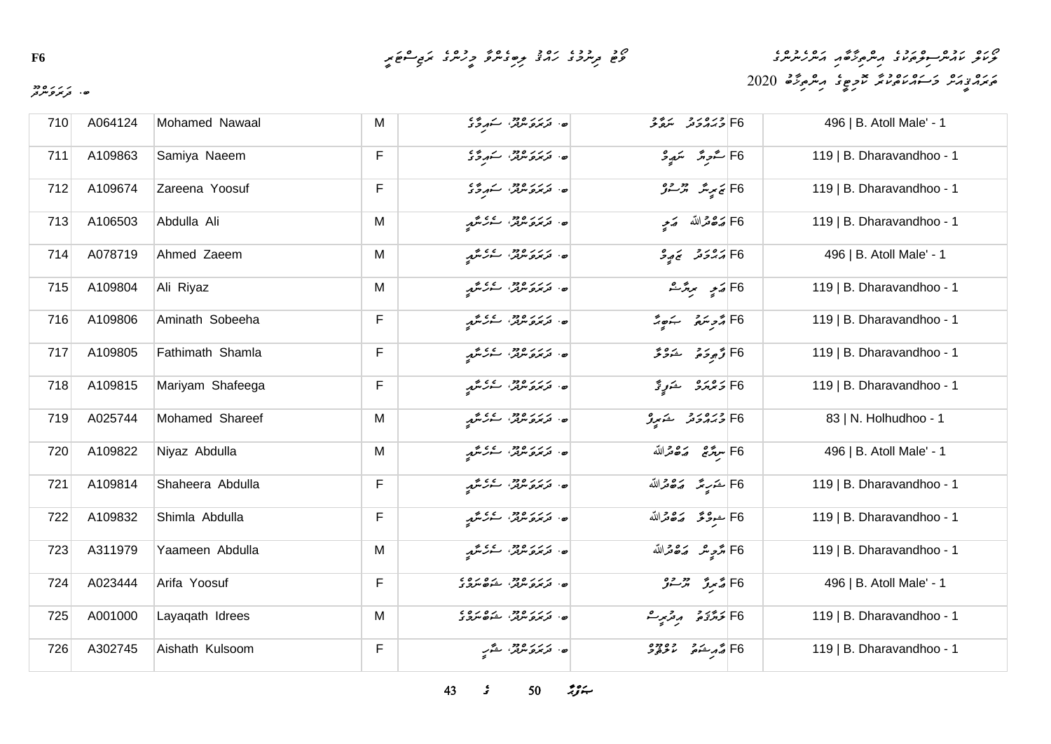*sCw7q7s5w7m< o<n9nOoAw7o< sCq;mAwBoEw7q<m; wBm;vB* م من المرة المرة المرة المرجع المرجع المرجع في 2020<br>مجم*د المريض المرجع المرجع المرجع المرجع المراجع المراجع الم*رجع

| 710 | A064124 | Mohamed Nawaal   | M           | ھ ترىرى مرتز، سەردى                                               | F6 3 <i>5223</i> سَرَةَ تَرْ       | 496   B. Atoll Male' - 1  |
|-----|---------|------------------|-------------|-------------------------------------------------------------------|------------------------------------|---------------------------|
| 711 | A109863 | Samiya Naeem     | $\mathsf F$ | ه تریره مین کرده                                                  | F6 گے پیم شہو                      | 119   B. Dharavandhoo - 1 |
| 712 | A109674 | Zareena Yoosuf   | $\mathsf F$ | ھ تریزو مربق کے دی                                                | F6 يَرْمِيرٌ بِرْمَشْرٌ وَ         | 119   B. Dharavandhoo - 1 |
| 713 | A106503 | Abdulla Ali      | M           | ە ئەيرە مەدە ئەرگىد                                               | F6 كَدَهْ قْدْاللّه     كَمَعِي    | 119   B. Dharavandhoo - 1 |
| 714 | A078719 | Ahmed Zaeem      | M           | ە ئەيرەسى ئەرگەر                                                  | F6 <i>גُرُدُوَنَہ بَنَ ہِ</i> وُ   | 496   B. Atoll Male' - 1  |
| 715 | A109804 | Ali Riyaz        | M           | ە ئەيرەسى ئەرگەر                                                  | F6 کی موہڑ ہے                      | 119   B. Dharavandhoo - 1 |
| 716 | A109806 | Aminath Sobeeha  | F           | ە ئەيرەمەدە مەركىد                                                | F6 مُرْحِبَتَهُ جَمَعِيَّةُ        | 119   B. Dharavandhoo - 1 |
| 717 | A109805 | Fathimath Shamla | $\mathsf F$ | ە ئەيرەمەدە ئەس ئىر                                               | F6 تَ <i>وجوح</i> شَرَوْتَرَ       | 119   B. Dharavandhoo - 1 |
| 718 | A109815 | Mariyam Shafeega | $\mathsf F$ | ە ئەيرەسى ئەرەپىر                                                 | F6 <i>وَ بُرْمَرْ وَ شَوِيْ</i> زً | 119   B. Dharavandhoo - 1 |
| 719 | A025744 | Mohamed Shareef  | M           | ە ئەيرەمىرى ئەرگىد                                                | F6 <i>3222 شمېرو</i>               | 83   N. Holhudhoo - 1     |
| 720 | A109822 | Niyaz Abdulla    | M           | ە ئەيرەمىرى ئەرگىد                                                | F6 سِتَرْجَ صَصْحَرْاللَّه         | 496   B. Atoll Male' - 1  |
| 721 | A109814 | Shaheera Abdulla | $\mathsf F$ | ه به در دود دوره در استاند کنید.<br>اما از مربوع مربود استان مربع | F6 ڪوپ <i>نگ مَنگونگ</i> الله      | 119   B. Dharavandhoo - 1 |
| 722 | A109832 | Shimla Abdulla   | $\mathsf F$ | ە ئەيرە مەدە ئەر ئىگىد                                            | F6 شوقرمحر كم كانترالله            | 119   B. Dharavandhoo - 1 |
| 723 | A311979 | Yaameen Abdulla  | M           | ە ئەيرەمەدە ئەرگەر                                                | F6 مَرْحٍ مَر مَرْهُ قَرْاللّه     | 119   B. Dharavandhoo - 1 |
| 724 | A023444 | Arifa Yoosuf     | $\mathsf F$ | ر در ده دو.<br>به تریروسربر، شوه سرچ ی                            | F6 مەمبۇ مەمبۇ                     | 496   B. Atoll Male' - 1  |
| 725 | A001000 | Layaqath Idrees  | M           | ر در در دود.<br>۱۰۰۰ تربرو سربر، شوه سربر د                       | F6 كَرْتَرْدَهُ مِرْتَرْسٍ مَنْ    | 119   B. Dharavandhoo - 1 |
| 726 | A302745 | Aishath Kulsoom  | F           | ے - تریزہ سرچر، سنگرر                                             | F6 مەم شەھ مەم دەج تە              | 119   B. Dharavandhoo - 1 |

*43 5 50 <i>n*<sub>1</sub> *n*<sub>1</sub>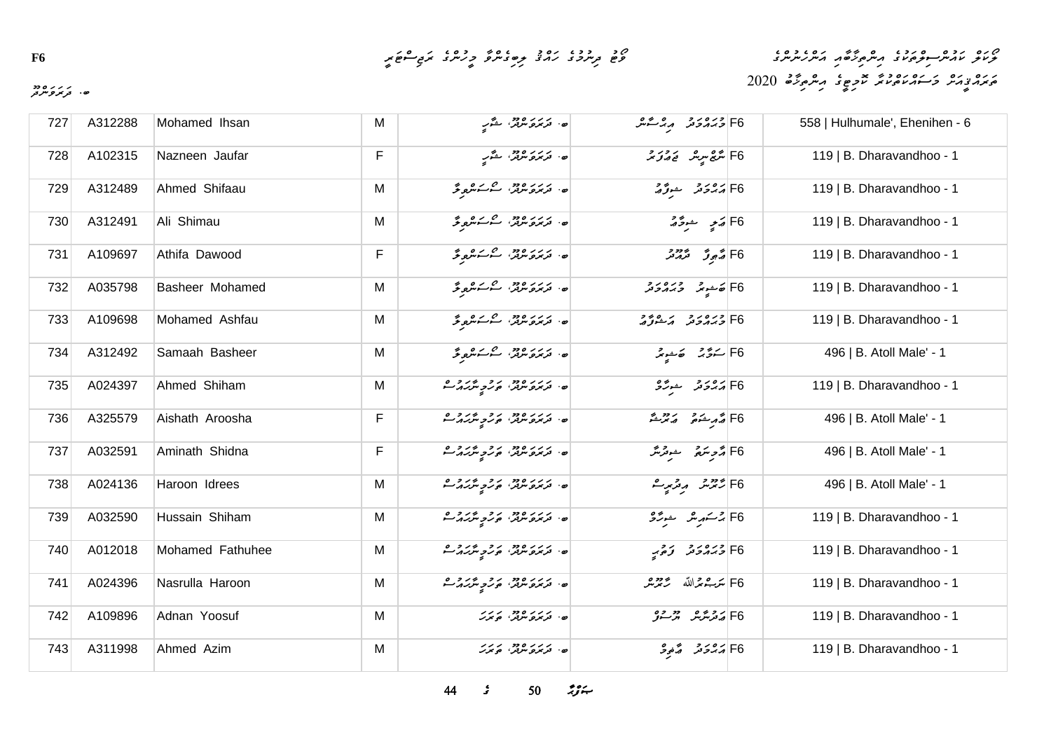*sCw7q7s5w7m< o<n9nOoAw7o< sCq;mAwBoEw7q<m; wBm;vB* م من المسجد المسجد المسجد المسجد المسجد العام 2020<br>مسجد المسجد المسجد المسجد المسجد المسجد المسجد المسجد المسجد ال

| 727 | A312288 | Mohamed Ihsan    | M | ە · تەترىر قەرىر، ئىش <sup>ى</sup> ر                  | F6 دُبَرْدُدَ د مِدْسَمْسْ             | 558   Hulhumale', Ehenihen - 6 |
|-----|---------|------------------|---|-------------------------------------------------------|----------------------------------------|--------------------------------|
| 728 | A102315 | Nazneen Jaufar   | F | ے - تریرہ سرچر، حتّی ب                                | F6 گمگھ سرپٹر کے <i>مرک</i> کر         | 119   B. Dharavandhoo - 1      |
| 729 | A312489 | Ahmed Shifaau    | M | ھ ترىرە مەدە سىر شرىر ئى                              | F6 <i>ډېر د توگ</i> ړ                  | 119   B. Dharavandhoo - 1      |
| 730 | A312491 | Ali Shimau       | M | ە ئەيرە مەدە سى ئىسكى ئى                              | F6 <i>جَرِجِ</i> سُ <i>وَدَّةُ</i>     | 119   B. Dharavandhoo - 1      |
| 731 | A109697 | Athifa Dawood    | F | ھ ترىرە مەدە سىر شرىر ئى                              | F6 مَّ جورَّ مُرْمَ <sup>ر</sup> َ م   | 119   B. Dharavandhoo - 1      |
| 732 | A035798 | Basheer Mohamed  | M | ە ئەيرە ئىرى ئىر ئىسكىرى ئى                           | F6 صَحْبِيمٌ وَيَرْمُرْوَمُرْ          | 119   B. Dharavandhoo - 1      |
| 733 | A109698 | Mohamed Ashfau   | M | ە ئەيروسى سىسكىروگ                                    | F6 دېرمونو کمشو <i>ن</i> ه             | 119   B. Dharavandhoo - 1      |
| 734 | A312492 | Samaah Basheer   | M | ە ئەيرەسى شەك ھەم                                     | F6 ڪ <i>وگر ڪ</i> شو <i>گر</i>         | 496   B. Atoll Male' - 1       |
| 735 | A024397 | Ahmed Shiham     | M | ه برنده دو برو برنده شور ده                           | F6 <i>ړې څو شوگ</i> و                  | 119   B. Dharavandhoo - 1      |
| 736 | A325579 | Aishath Aroosha  | F | ے - تر <i>برو سربل ، ورح شربہ ا</i> ے                 | F6 مەم ھەر مەمىر ئىشكە                 | 496   B. Atoll Male' - 1       |
| 737 | A032591 | Aminath Shidna   | F | ے مرمرہ میں مرکز شرور ہے<br>ے مرمرہ سربی مرکز شرکہ کے | F6 مُرْحِ سَرَمَ مُسْتَخِفَّرْ سُنَّرَ | 496   B. Atoll Male' - 1       |
| 738 | A024136 | Haroon Idrees    | M | ه برنده در در برد و ه                                 | F6 گنجرنگر پروگرپریشر                  | 496   B. Atoll Male' - 1       |
| 739 | A032590 | Hussain Shiham   | M | ے مرمرہ میں مرکز شرور ہے<br>ے مرمرہ سربی مرکز شرکہ کے |                                        | 119   B. Dharavandhoo - 1      |
| 740 | A012018 | Mohamed Fathuhee | M | ے - تر <i>برو سربل، بور</i> تر بھر بر دے              | F6 <i>5&gt;23 وَجُوَمِ</i> رٍ          | 119   B. Dharavandhoo - 1      |
| 741 | A024396 | Nasrulla Haroon  | M | ه به در دود به در به در در د                          | F6 يترب محرالله محترم حريب             | 119   B. Dharavandhoo - 1      |
| 742 | A109896 | Adnan Yoosuf     | M | ه به در وده بر در<br>ه به ترتدو سرتر المحرمه          | F6 كەنگەنگەر بۇرگىز                    | 119   B. Dharavandhoo - 1      |
| 743 | A311998 | Ahmed Azim       | M | ه . تربره دو . د . ر<br>ه . تربرو بربر . می بربر      | F6 كەندى قىر قەرىجە 3.                 | 119   B. Dharavandhoo - 1      |

*44 sC 50 nNw?mS*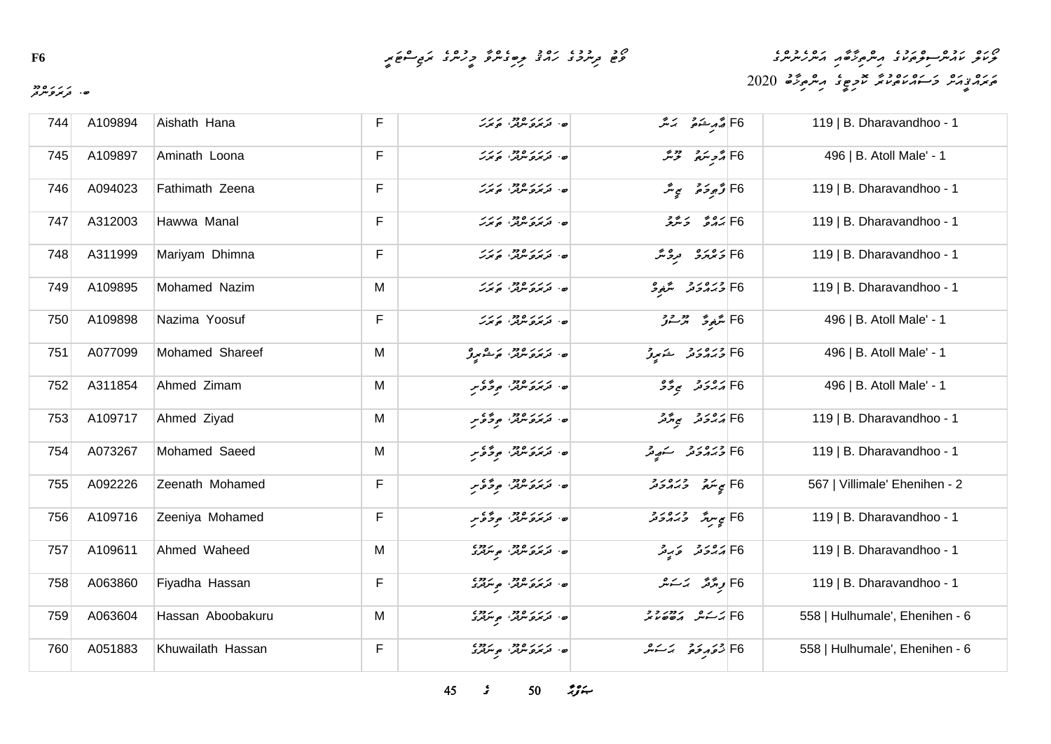*sCw7q7s5w7m< o<n9nOoAw7o< sCq;mAwBoEw7q<m; wBm;vB* م من المرة المرة المرة المرجع المرجع المرجع في 2020<br>مجم*د المريض المرجع المرجع المرجع المرجع المراجع المراجع الم*رجع

| 744 | A109894 | Aishath Hana      | F           | ے - تر برے دور - بر بر بر<br>ے - تر بری سربر - تو بربر    | F6 م <i>ەمبىغى ئەنگ</i> ە                | 119   B. Dharavandhoo - 1      |
|-----|---------|-------------------|-------------|-----------------------------------------------------------|------------------------------------------|--------------------------------|
| 745 | A109897 | Aminath Loona     | F           | ە بەر رەدە بەر<br>ھ تەيرۈشۈر ئويمەر                       | F6 مُجِسَعَةٍ مَحْسَّر                   | 496   B. Atoll Male' - 1       |
| 746 | A094023 | Fathimath Zeena   | F           | ه . تربره دو.<br>ه . تربرو بربر، نوبرگ                    | F6 <i>وَّجِودَهُ</i> پِسَّ               | 119   B. Dharavandhoo - 1      |
| 747 | A312003 | Hawwa Manal       | $\mathsf F$ | ه . تر بره دود . بر بر بر<br>ه . تر برو سربر ، می بر بر   | F6 يَرْدُوَّ وَسَّرْتَى                  | 119   B. Dharavandhoo - 1      |
| 748 | A311999 | Mariyam Dhimna    | F           | ه . تربره دو.<br>ه . تربرو بربر . می بربر                 | F6 <i>وَجُهْدَوْ</i> مِرْدَسَّ           | 119   B. Dharavandhoo - 1      |
| 749 | A109895 | Mohamed Nazim     | M           | ه . تربره دو.<br>ه . تربرو بربر . ه بربر                  | F6 <i>3222 سُمْہو \$</i>                 | 119   B. Dharavandhoo - 1      |
| 750 | A109898 | Nazima Yoosuf     | F           | ه . تربره دو.<br>ه . تربرو بربر . می بربر                 | F6 سُمْدِةَ \$رَكْتَرَ                   | 496   B. Atoll Male' - 1       |
| 751 | A077099 | Mohamed Shareef   | M           | ە · ئەسمەھ بەر ئەھمىدى بەر ئەسمەتلىرى بەر ئەسمەتلىرى بولۇ | F6 <i>\$222 مىغىرقى</i>                  | 496   B. Atoll Male' - 1       |
| 752 | A311854 | Ahmed Zimam       | M           | ه نربر دود.<br>ه نربره سربر موفره بر                      | F6 <i>גُرْدَنْدْ بِي</i> رُّرُ           | 496   B. Atoll Male' - 1       |
| 753 | A109717 | Ahmed Ziyad       | М           | ه · تریزو بروژ ، و 5 و بر                                 | F6 <i>גُرْدُوَ پَرْ جِهْرُوْ</i>         | 119   B. Dharavandhoo - 1      |
| 754 | A073267 | Mohamed Saeed     | M           | ه بر در دور و در در بر                                    | F6  <i>وُبَہُ وَمَدْ سَهِ م</i> ِ        | 119   B. Dharavandhoo - 1      |
| 755 | A092226 | Zeenath Mohamed   | F           | ه· تریزو ارود و ځو تر                                     | F6 يې <i>متم</i> د حمد <i>مت</i> ه د تنه | 567   Villimale' Ehenihen - 2  |
| 756 | A109716 | Zeeniya Mohamed   | $\mathsf F$ | ه بربر ده دو.<br>ه بربره سربر المورد و                    | F6 يې سرگر د حمد <i>ح</i> مد <i>ح</i> مد | 119   B. Dharavandhoo - 1      |
| 757 | A109611 | Ahmed Waheed      | M           | ه ۰ تربره ود.<br>ه ۰ تربره سربر م سربرد                   | F6 <i>גُرْدُوَنْ وَبِ</i> يْرُ           | 119   B. Dharavandhoo - 1      |
| 758 | A063860 | Fiyadha Hassan    | F           | ه ۰ تربره ود.<br>ه ۰ تربره سربر م سربرد                   | F6 وِ پَرْتَرُ کے سَدَسْ                 | 119   B. Dharavandhoo - 1      |
| 759 | A063604 | Hassan Aboobakuru | M           | ه به تربره دود.<br>ه به تربره سربر المجمع سربرد           | $2222$ $-227$ F6                         | 558   Hulhumale', Ehenihen - 6 |
| 760 | A051883 | Khuwailath Hassan | F           | ه ۰ تربره ود.<br>ه ۰ تربره سربر م سربرد                   | F6 ژۇرى <i>زە بەسكىل</i>                 | 558   Hulhumale', Ehenihen - 6 |

*45 sC 50 nNw?mS*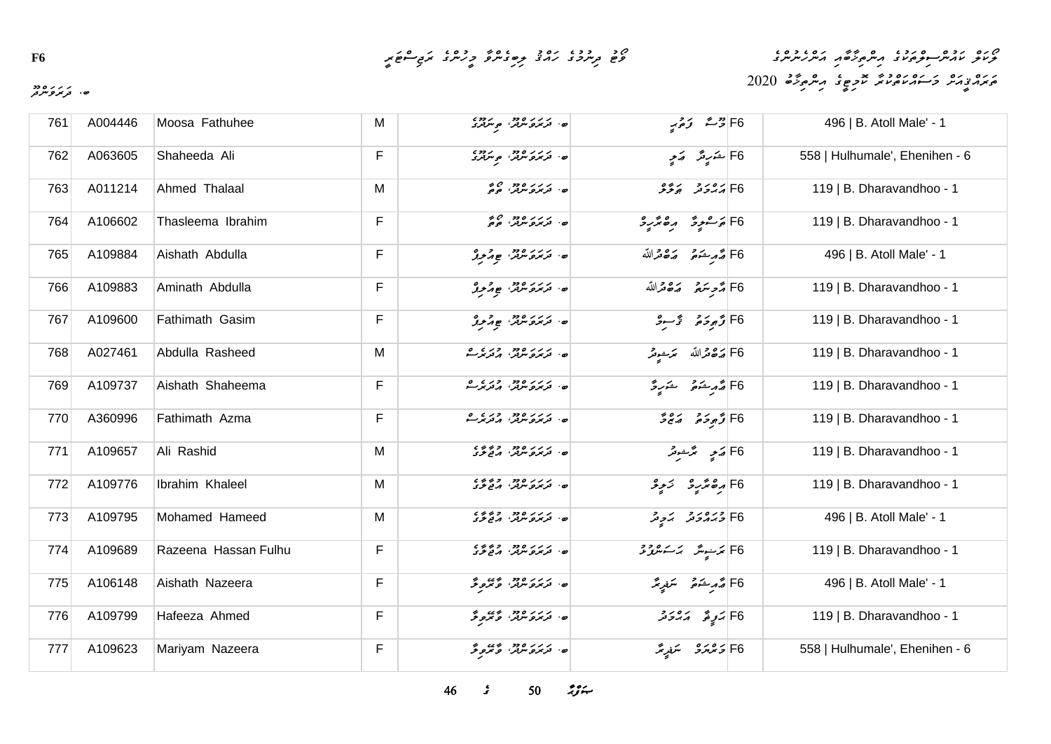*sCw7q7s5w7m< o<n9nOoAw7o< sCq;mAwBoEw7q<m; wBm;vB* م من المرة المرة المرة المرجع المرجع المرجع في 2020<br>مجم*د المريض المرجع المرجع المرجع المرجع المراجع المراجع الم*رجع

| 761 | A004446 | Moosa Fathuhee       | M | ه ۰ تربره ود.<br>ه ۰ تربرو سربر م سربرد                                                                        | F6 تخریم ترت <i>م</i> ړ           | 496   B. Atoll Male' - 1       |
|-----|---------|----------------------|---|----------------------------------------------------------------------------------------------------------------|-----------------------------------|--------------------------------|
| 762 | A063605 | Shaheeda Ali         | F | ه ۰ ترمره دود.<br>ه ۰ ترمره سربر ا م سربرد                                                                     | F6 ڪرپائر ک <i>ي پ</i>            | 558   Hulhumale', Ehenihen - 6 |
| 763 | A011214 | Ahmed Thalaal        | M | ر ر ر ر و دو.<br>ن - تربرو سربر، مومح                                                                          |                                   | 119   B. Dharavandhoo - 1      |
| 764 | A106602 | Thasleema Ibrahim    | F | ر ر ر د ود.<br>ه۰ تربرو نرتر، موم                                                                              | F6 <i>جَرْحُوِدُ وَهُمَّرِدُ</i>  | 119   B. Dharavandhoo - 1      |
| 765 | A109884 | Aishath Abdulla      | F | ם ממשתיים בין בין                                                                                              | F6 مُذْمِسْتَمْعْ مَدْھَمْرَاللّه | 496   B. Atoll Male' - 1       |
| 766 | A109883 | Aminath Abdulla      | F | ه تر مرد ود.<br>ه تر مرد مرد عبد د                                                                             | F6 مُحْرِسَمَة مَصْعَمُ اللّه     | 119   B. Dharavandhoo - 1      |
| 767 | A109600 | Fathimath Gasim      | F | ه تر بر دور و د دو                                                                                             | F6 رَّج <i>وحَة</i> تَحْسِوْ      | 119   B. Dharavandhoo - 1      |
| 768 | A027461 | Abdulla Rasheed      | M | ے - تربری میں - تربری - میں - تربر - تربر<br>ج- تربری سربر، - برتربر --                                        | F6 كەڭ قىراللە كىرىشوتىر          | 119   B. Dharavandhoo - 1      |
| 769 | A109737 | Aishath Shaheema     | F | ے - تر <i>تر و</i> زیر - در دی - در استقلاب<br>جا - تر تر تر مرتبر - در تر تر سو                               | F6 مُرمِشَمُ شَرِيَّ              | 119   B. Dharavandhoo - 1      |
| 770 | A360996 | Fathimath Azma       | F | ر در در ۲۶۵ ور در ۵<br>۰۰ تربروسرتر، پرتربر ۲                                                                  | F6 تَوجِعَة حَمَّعَةً             | 119   B. Dharavandhoo - 1      |
| 771 | A109657 | Ali Rashid           | M | ر در در ده د وي.<br>ن تر در سرتر از د خ                                                                        | F6 کی په مگسونگر                  | 119   B. Dharavandhoo - 1      |
| 772 | A109776 | Ibrahim Khaleel      | M | ه کربره دو و وي.<br>ن تربرو سرتر اړتے مر <sub>ک</sub>                                                          | F6 <sub>م</sub> ەنزىر ئىچى        | 119   B. Dharavandhoo - 1      |
| 773 | A109795 | Mohamed Hameed       | M | ه کرد ده دود و ده.<br>ه گریمرو سرگر ارگرمی                                                                     | F6 دُيَرْدُوَنْرَ بَرَوِنْرَ      | 496   B. Atoll Male' - 1       |
| 774 | A109689 | Razeena Hassan Fulhu | F | ر در در ده د وي.<br>ن تربروسرتر، برقع تر د                                                                     | F6 ىزىنېدىگە كەسكەنلەرنى          | 119   B. Dharavandhoo - 1      |
| 775 | A106148 | Aishath Nazeera      | F |                                                                                                                | F6 مُدمِسْمَة سَمْدِيَّتْهِ       | 496   B. Atoll Male' - 1       |
| 776 | A109799 | Hafeeza Ahmed        | F | ە· ئەنمەھ سەبىر، ئەنمىھ ئىلگەن ئىلگەن ئىلگەن ئىلگەن ئىلگەن ئىلگەن ئىلگەن ئىلگەن ئىلگەن ئىلگەن ئىلگەن ئىلگەن ئى | F6 كَرَمٍ فَلَمْ الْمَدْوَمْرُ    | 119   B. Dharavandhoo - 1      |
| 777 | A109623 | Mariyam Nazeera      | F | ە · ئەترىر ۋە « »» بىر ئە                                                                                      | F6 <i>وَجُهْدَوْ سَمْدِيَّر</i> َ | 558   Hulhumale', Ehenihen - 6 |

*46 s* 50 *i*<sub>S</sub> $\approx$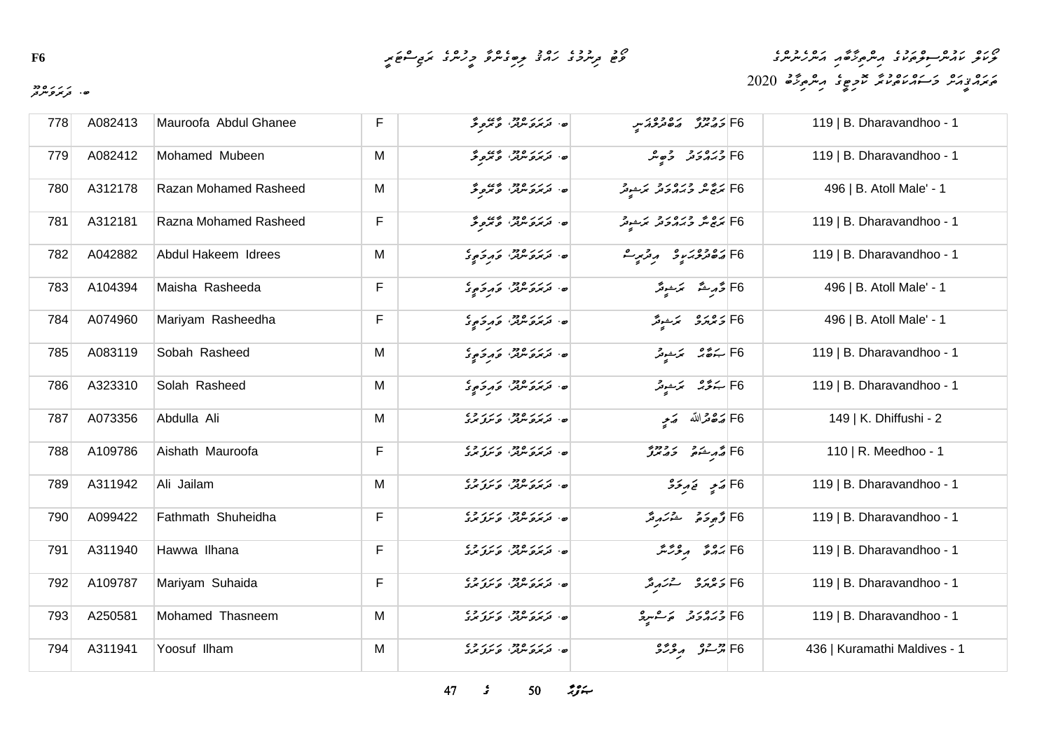*sCw7q7s5w7m< o<n9nOoAw7o< sCq;mAwBoEw7q<m; wBm;vB* م من المرة المرة المرة المرجع المرجع المرجع في 2020<br>مجم*د المريض المرجع المرجع المرجع المرجع المراجع المراجع الم*رجع

| 778 | A082413 | Mauroofa Abdul Ghanee | F           | ە· ئەيمەھ سرقر، ئۇتتى ئىستى ئىلىن ئىلىن ئىلىن ئىلىن ئىلىن ئىلىن ئىلىن ئىلىن ئىللىن ئىللىن ئىللىن ئىللىن ئ | F6 <i>בەجۇق مەھەرى مىرى</i>                                                                                                                                                                                                     | 119   B. Dharavandhoo - 1    |
|-----|---------|-----------------------|-------------|-----------------------------------------------------------------------------------------------------------|---------------------------------------------------------------------------------------------------------------------------------------------------------------------------------------------------------------------------------|------------------------------|
| 779 | A082412 | Mohamed Mubeen        | M           | ه . تربره دود . د<br>ه . تربره سربر . و برو تر                                                            | F6 <i>ڈیزون</i> و وی ش                                                                                                                                                                                                          | 119   B. Dharavandhoo - 1    |
| 780 | A312178 | Razan Mohamed Rasheed | M           | ه کربره دو در در ش                                                                                        | F6 بَرَجٌ مَرْ وَبَرَ رُوَ بِرَسْوِيْرَ                                                                                                                                                                                         | 496   B. Atoll Male' - 1     |
| 781 | A312181 | Razna Mohamed Rasheed | $\mathsf F$ | ه به دره دود وي د و                                                                                       | F6 برج بر وبرودو بر <sub>شو</sub> تر                                                                                                                                                                                            | 119   B. Dharavandhoo - 1    |
| 782 | A042882 | Abdul Hakeem Idrees   | M           | ه · مُرْمَره ملل مَ مِرْحَمٍ لَا                                                                          | F6 كەھەر <i>ۋە ئوي بو</i> رتىرىشە                                                                                                                                                                                               | 119   B. Dharavandhoo - 1    |
| 783 | A104394 | Maisha Rasheeda       | F           | ه · تریزو مرتز، تر مرتوبی                                                                                 | F6 گرم محر محر مقرمتر<br>م                                                                                                                                                                                                      | 496   B. Atoll Male' - 1     |
| 784 | A074960 | Mariyam Rasheedha     | F           | ه · مریره معرض مردم محمد و محمد محمد الله محمد الله محمد محمد محمد محمد الله محمد الله محمد الله محمد     | F6 كى <i>جرىرى - م</i> ەسىرى <i>گ</i>                                                                                                                                                                                           | 496   B. Atoll Male' - 1     |
| 785 | A083119 | Sobah Rasheed         | M           | ه و در ود.<br>ه و مرمرو سرتر الو در و در د                                                                | F6 بەھ بۇ ئەسىر ئىرىدىگر                                                                                                                                                                                                        | 119   B. Dharavandhoo - 1    |
| 786 | A323310 | Solah Rasheed         | M           | ه · مریره معرض مردم محمد و محمد می                                                                        | F6  جنۇچە   تەخەرىمى                                                                                                                                                                                                            | 119   B. Dharavandhoo - 1    |
| 787 | A073356 | Abdulla Ali           | M           | ر در ده دو.<br>۰۰ تربرو سربر ۱ و سرو بر د                                                                 | F6 كَدْھْقْرَاللّه      كرمج                                                                                                                                                                                                    | 149   K. Dhiffushi - 2       |
| 788 | A109786 | Aishath Mauroofa      | $\mathsf F$ | ر در در دود.<br>۱۰۰۰ تریروسها و ترویری                                                                    | F6 مەم ئىسكە ئەم بىر                                                                                                                                                                                                            | 110   R. Meedhoo - 1         |
| 789 | A311942 | Ali Jailam            | M           | ر در ده دو.<br>ه۰ تربرو سرتر، و سرو بر د                                                                  | F6 <i>ڇَجِ ڇَمجو</i> گر                                                                                                                                                                                                         | 119   B. Dharavandhoo - 1    |
| 790 | A099422 | Fathmath Shuheidha    | F           | ر در ده دود.<br>به در برو سربر او کرو برو                                                                 | F6 ژَّجِرَة حَمَّ سَمَّرَ مِرْدَّ                                                                                                                                                                                               | 119   B. Dharavandhoo - 1    |
| 791 | A311940 | Hawwa Ilhana          | F           | ر در ده دو.<br>ه۰ تربرو سربر ۱ و سرو بر د                                                                 | F6 بَرْدُوْ مِنْزَنْدَ                                                                                                                                                                                                          | 119   B. Dharavandhoo - 1    |
| 792 | A109787 | Mariyam Suhaida       | F           | ر در ده دو.<br>۰۰ تربرو سربر ۱ و سرو بر د                                                                 | F6 كالانتراكية المستركار محمد محمد محمد الم                                                                                                                                                                                     | 119   B. Dharavandhoo - 1    |
| 793 | A250581 | Mohamed Thasneem      | M           | ر در ده دو.<br>۱۰۰۰ تربروسربر و ترو برد                                                                   | F6 32,25 كوكسبر                                                                                                                                                                                                                 | 119   B. Dharavandhoo - 1    |
| 794 | A311941 | Yoosuf Ilham          | M           | ر در ده دو .<br>ه۰ تربرو سربر ، و سرو بر د                                                                | F6 پر سو گھر محدودی کی این این محدود کی این این این این کار این این کار کردی کے این کا این کار کردی کے این کا<br>مردم کے این کار کردی کے این کار کردی کے این کار کردی کے باہر کردی کے باہر کردی ہے جس کردی کے باہر کردی کے باہر | 436   Kuramathi Maldives - 1 |

*47 sC 50 nNw?mS*

*r@w7m=m8m@ .9*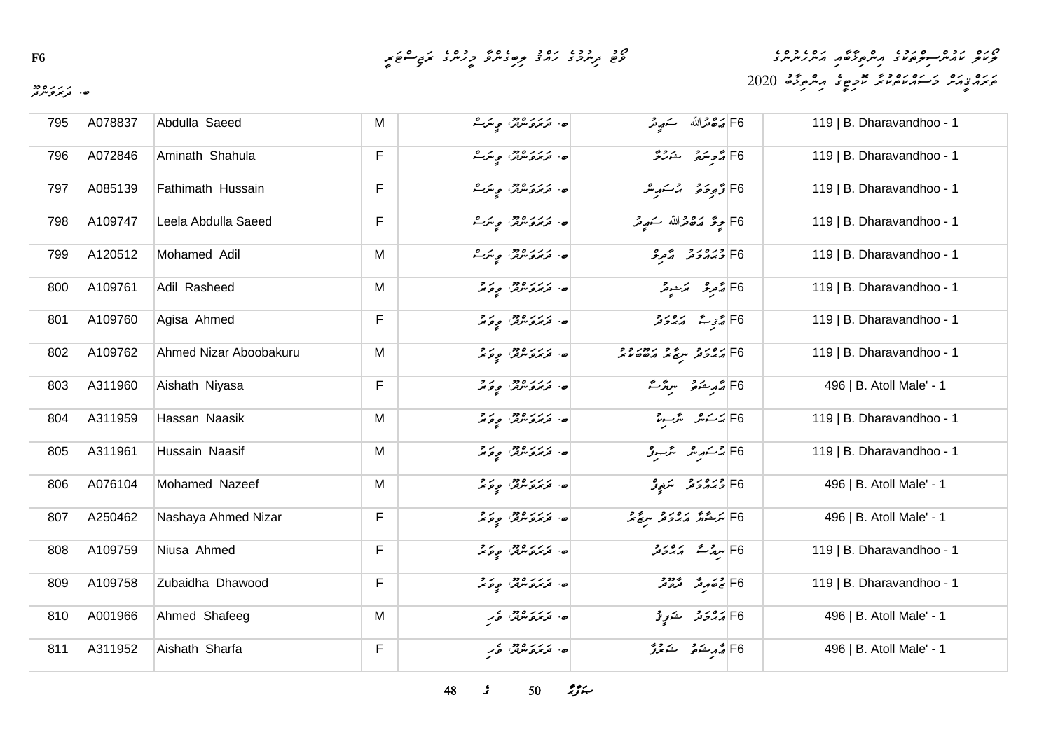*sCw7q7s5w7m< o<n9nOoAw7o< sCq;mAwBoEw7q<m; wBm;vB* م من المرة المرة المرة المرجع المرجع المرجع في 2020<br>مجم*د المريض المرجع المرجع المرجع المرجع المراجع المراجع الم*رجع

| 795 | A078837 | Abdulla Saeed          | M           | ە· ئەترىر ئەدەر بەيدىك                                        | F6 كەڭدىراللە كىر <i>و</i> تىر                | 119   B. Dharavandhoo - 1 |
|-----|---------|------------------------|-------------|---------------------------------------------------------------|-----------------------------------------------|---------------------------|
| 796 | A072846 | Aminath Shahula        | F           | ه نریزه مرد میکن و ترک                                        | F6 مُرْحِسَمُ شَرْكَرٌ                        | 119   B. Dharavandhoo - 1 |
| 797 | A085139 | Fathimath Hussain      | F           | ه بربره ود ورت                                                | F6 <i>وُجوحو پرڪوينگ</i> ر                    | 119   B. Dharavandhoo - 1 |
| 798 | A109747 | Leela Abdulla Saeed    | F           | ه بربر ودد و برگ                                              | F6 مِرَّدٌ 25مَّاللَّهُ سَمَّدٍ مِّرْ         | 119   B. Dharavandhoo - 1 |
| 799 | A120512 | Mohamed Adil           | M           | ە· ئەيرەمەددە بەيترىش                                         | F6 ديرورو گوری                                | 119   B. Dharavandhoo - 1 |
| 800 | A109761 | Adil Rasheed           | M           | ە . ئەيرەسىرى مەمۇرى<br>ھ . ئەيرە سرىر ، م <sub>ە</sub> مەمۇر |                                               | 119   B. Dharavandhoo - 1 |
| 801 | A109760 | Agisa Ahmed            | F           | ه بربر ودو.<br>ه تربروس و کرد                                 | F6 مُتِي سَمَّ مَدَّدَ مَدْ                   | 119   B. Dharavandhoo - 1 |
| 802 | A109762 | Ahmed Nizar Aboobakuru | M           | ص- تر بر ده در محرم بر در د                                   | F6 גיבנג יישאיג גייטי ב                       | 119   B. Dharavandhoo - 1 |
| 803 | A311960 | Aishath Niyasa         | $\mathsf F$ | ے مربرہ وو۔<br>  ص مربرہ سربر المحو بر                        | F6 مُرمِسْمَعُ سِيَرْتُمْ                     | 496   B. Atoll Male' - 1  |
| 804 | A311959 | Hassan Naasik          | M           | ه بربر ودو.<br>ه تربروس و کرد                                 | F6   پرستدش میٹرسنڈ                           | 119   B. Dharavandhoo - 1 |
| 805 | A311961 | Hussain Naasif         | M           | ے - تربرہ میں میں مرد<br>ے - تربرہ سرتر المحو بر              | F6 پرستہر شریق گرجوں                          | 119   B. Dharavandhoo - 1 |
| 806 | A076104 | Mohamed Nazeef         | M           | ه بر دره دو.<br>۳ ترمره شرقر، مورد بر                         | F6 <i>35222 سَمَعِ وَ</i>                     | 496   B. Atoll Male' - 1  |
| 807 | A250462 | Nashaya Ahmed Nizar    | $\mathsf F$ | ر در در دود.<br>۰۰ تربره سرتر، و و بر                         | F6 سَرْشَۃَدَّ مَ <sup>رو</sup> دو سِیِّ سَ   | 496   B. Atoll Male' - 1  |
| 808 | A109759 | Niusa Ahmed            | F           | ه بربر ودو.<br>ه تربروس و کار                                 | F6 سرقر شهر 195 میلادی                        | 119   B. Dharavandhoo - 1 |
| 809 | A109758 | Zubaidha Dhawood       | $\mathsf F$ | ە . ئەيرەسىرى مەمۇرى<br>ھ . ئەيرە سرىر ، م <sub>ە</sub> مەمۇر | F6 تح <i>قه ب</i> ر شهر در در براستان به در د | 119   B. Dharavandhoo - 1 |
| 810 | A001966 | Ahmed Shafeeg          | M           | ے مریرہ میں عرب                                               | F6 <i>ړېرونز خنړن</i> ځ                       | 496   B. Atoll Male' - 1  |
| 811 | A311952 | Aishath Sharfa         | F           | ے - ترترو سربر ، وب<br>ے - ترترو سربر ، وب                    | F6 مُذہب مُحَمَّدٌ مُحَمَّدٌ                  | 496   B. Atoll Male' - 1  |

*48 sC 50 nNw?mS*

*r@w7m=m8m@ .9*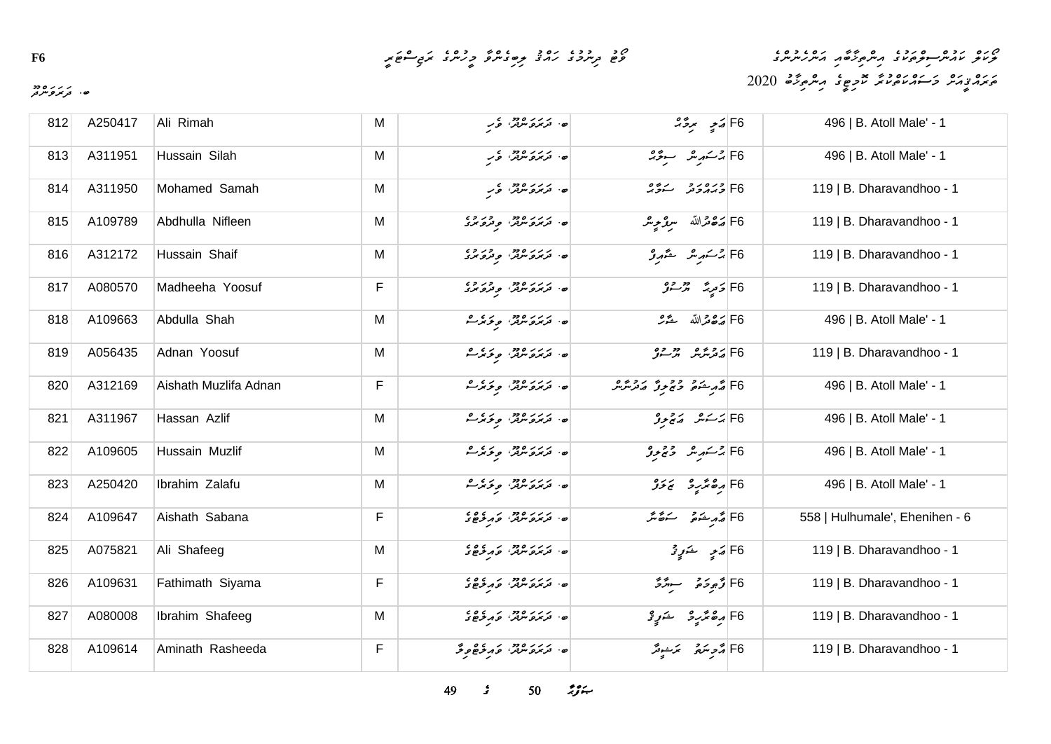*sCw7q7s5w7m< o<n9nOoAw7o< sCq;mAwBoEw7q<m; wBm;vB* م من المسجد المسجد المسجد المسجد المسجد العام 2020<br>مسجد المسجد المسجد المسجد المسجد المسجد المسجد المسجد المسجد ال

| 812 | A250417 | Ali Rimah             | M           | ے مربر واقع کی ج                                       | F6ھ پر مر <i>ڈ ب</i>                | 496   B. Atoll Male' - 1       |
|-----|---------|-----------------------|-------------|--------------------------------------------------------|-------------------------------------|--------------------------------|
| 813 | A311951 | Hussain Silah         | M           | ے - تریزی سربل، تحرب                                   | F6 پرڪيريش سو <i>گي</i> ڙ           | 496   B. Atoll Male' - 1       |
| 814 | A311950 | Mohamed Samah         | M           | ے مریرہ میں وب                                         | $232.25$ F6                         | 119   B. Dharavandhoo - 1      |
| 815 | A109789 | Abdhulla Nifleen      | M           | ه . ترتره سربر . و . و .<br>ه . ترتره سربر . م تره برو | F6 كەھەراللە س <i>وتى</i> چىگر      | 119   B. Dharavandhoo - 1      |
| 816 | A312172 | Hussain Shaif         | M           | ه بمرتره ود در در<br>ه بمرتره سربل وترویزی             | F6 يُرْسَمُ مِنْ مِسْمَدِرْ وَ      | 119   B. Dharavandhoo - 1      |
| 817 | A080570 | Madheeha Yoosuf       | $\mathsf F$ | ه به تریزه در در در در در د                            | F6 ك <sup>و</sup> مريد مخرستوفر     | 119   B. Dharavandhoo - 1      |
| 818 | A109663 | Abdulla Shah          | M           | ە ئەيرەتلەر مەدىن ھەر بىر                              | F6 مَرْحَدْاللَّهُ شَرْرُ           | 496   B. Atoll Male' - 1       |
| 819 | A056435 | Adnan Yoosuf          | M           | ه بربر ودود. و تر بر م                                 | F6 كەنگەنگەر بۇرگۇ                  | 119   B. Dharavandhoo - 1      |
| 820 | A312169 | Aishath Muzlifa Adnan | F           | ه نرىرە دە بوترى                                       | F6 مەم شەم كەنج مۇ مەمەر ئىرىدىك    | 496   B. Atoll Male' - 1       |
| 821 | A311967 | Hassan Azlif          | M           | ە ئەيرەتلەر مەدىن ھەر بىر                              | F6 يَرْسَسْ مَ <sub>ح</sub> ْمِوْ   | 496   B. Atoll Male' - 1       |
| 822 | A109605 | Hussain Muzlif        | M           | ە ئەيرەسىرى مۇترىق                                     | F6 يُرْسَمْ مِنْ مِنْ وَجْمِعْ وَ   | 496   B. Atoll Male' - 1       |
| 823 | A250420 | Ibrahim Zalafu        | M           | ە ئەيرەتلەر مەدىن ھەر بىر                              | F6 مەھەمگەر تەسىم <i>قۇ</i> ر       | 496   B. Atoll Male' - 1       |
| 824 | A109647 | Aishath Sabana        | $\mathsf F$ | ه بربره دو بر ده ده                                    | F6 مُدِيسَة مُتَصَمَّر              | 558   Hulhumale', Ehenihen - 6 |
| 825 | A075821 | Ali Shafeeg           | M           | ه مرمره دوم در ده د                                    | F6 <sub>ه</sub> َ <i>۾ سَمَوِ ڏ</i> | 119   B. Dharavandhoo - 1      |
| 826 | A109631 | Fathimath Siyama      | $\mathsf F$ | ه برگرومبرد و دوسی                                     | F6 رَّجِودَة سِيرَةَ                | 119   B. Dharavandhoo - 1      |
| 827 | A080008 | Ibrahim Shafeeg       | M           | ه برگرومبرد و دومود                                    | F6 <sub>م</sub> ەنگەر ئىستىر ئىچ    | 119   B. Dharavandhoo - 1      |
| 828 | A109614 | Aminath Rasheeda      | F           | ھ ترىزەتلىرى قەرى <i>گە ۋە</i>                         | F6 م <i>ُّوسَع</i> ْ مَشبِعَّ       | 119   B. Dharavandhoo - 1      |

*49 sC 50 nNw?mS*